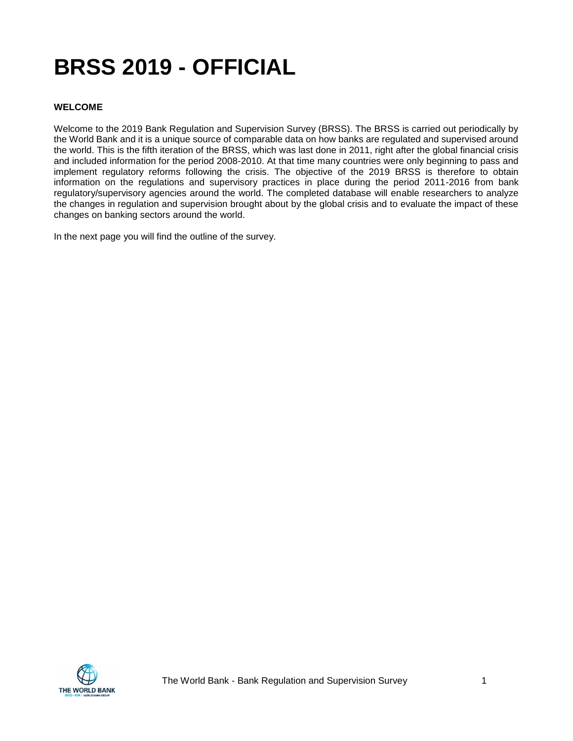# **BRSS 2019 - OFFICIAL**

#### **WELCOME**

Welcome to the 2019 Bank Regulation and Supervision Survey (BRSS). The BRSS is carried out periodically by the World Bank and it is a unique source of comparable data on how banks are regulated and supervised around the world. This is the fifth iteration of the BRSS, which was last done in 2011, right after the global financial crisis and included information for the period 2008-2010. At that time many countries were only beginning to pass and implement regulatory reforms following the crisis. The objective of the 2019 BRSS is therefore to obtain information on the regulations and supervisory practices in place during the period 2011-2016 from bank regulatory/supervisory agencies around the world. The completed database will enable researchers to analyze the changes in regulation and supervision brought about by the global crisis and to evaluate the impact of these changes on banking sectors around the world.

In the next page you will find the outline of the survey.

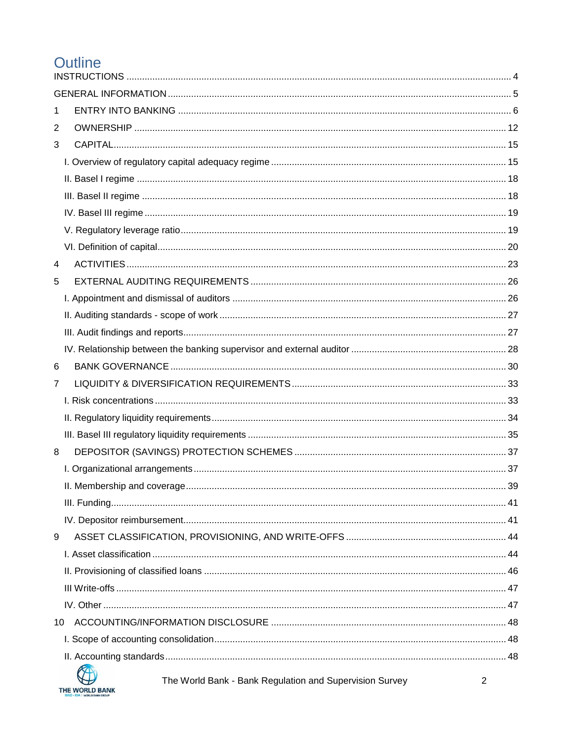# Outline

| 1              |    |  |
|----------------|----|--|
| $\overline{2}$ |    |  |
| 3              |    |  |
|                |    |  |
|                |    |  |
|                |    |  |
|                |    |  |
|                |    |  |
|                |    |  |
| 4              |    |  |
| 5              |    |  |
|                |    |  |
|                |    |  |
|                |    |  |
|                |    |  |
| 6              |    |  |
| $\overline{7}$ |    |  |
|                |    |  |
|                |    |  |
|                |    |  |
| 8              |    |  |
|                |    |  |
|                |    |  |
|                |    |  |
|                |    |  |
| 9              |    |  |
|                |    |  |
|                |    |  |
|                |    |  |
|                |    |  |
|                | 10 |  |
|                |    |  |
|                |    |  |
|                | KA |  |



The World Bank - Bank Regulation and Supervision Survey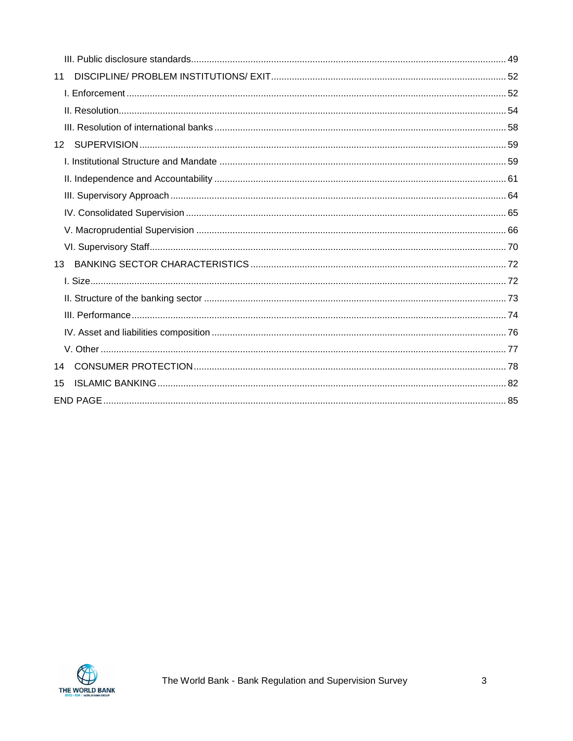| 11              |  |
|-----------------|--|
|                 |  |
|                 |  |
|                 |  |
| 12 <sup>2</sup> |  |
|                 |  |
|                 |  |
|                 |  |
|                 |  |
|                 |  |
|                 |  |
| 13              |  |
|                 |  |
|                 |  |
|                 |  |
|                 |  |
|                 |  |
| 14              |  |
| 15              |  |
|                 |  |

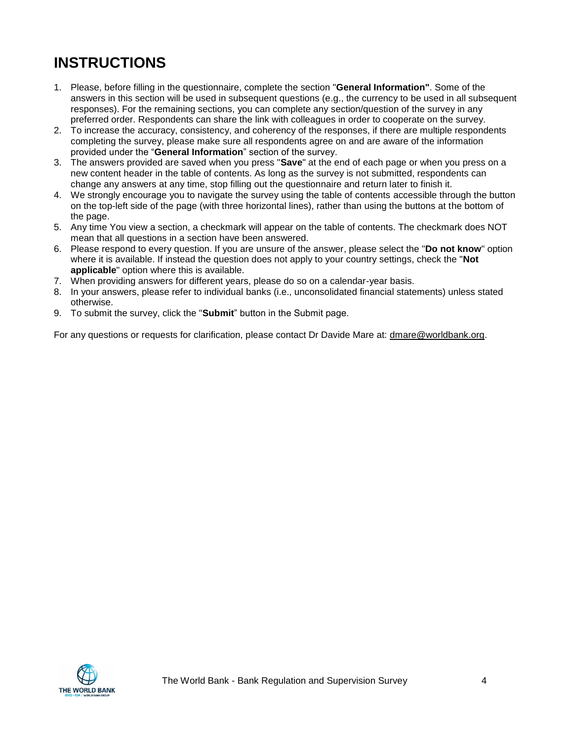# <span id="page-3-0"></span>**INSTRUCTIONS**

- 1. Please, before filling in the questionnaire, complete the section "**General Information"**. Some of the answers in this section will be used in subsequent questions (e.g., the currency to be used in all subsequent responses). For the remaining sections, you can complete any section/question of the survey in any preferred order. Respondents can share the link with colleagues in order to cooperate on the survey.
- 2. To increase the accuracy, consistency, and coherency of the responses, if there are multiple respondents completing the survey, please make sure all respondents agree on and are aware of the information provided under the "**General Information**" section of the survey.
- 3. The answers provided are saved when you press "**Save**" at the end of each page or when you press on a new content header in the table of contents. As long as the survey is not submitted, respondents can change any answers at any time, stop filling out the questionnaire and return later to finish it.
- 4. We strongly encourage you to navigate the survey using the table of contents accessible through the button on the top-left side of the page (with three horizontal lines), rather than using the buttons at the bottom of the page.
- 5. Any time You view a section, a checkmark will appear on the table of contents. The checkmark does NOT mean that all questions in a section have been answered.
- 6. Please respond to every question. If you are unsure of the answer, please select the "**Do not know**" option where it is available. If instead the question does not apply to your country settings, check the "**Not applicable**" option where this is available.
- 7. When providing answers for different years, please do so on a calendar-year basis.
- 8. In your answers, please refer to individual banks (i.e., unconsolidated financial statements) unless stated otherwise.
- 9. To submit the survey, click the "**Submit**" button in the Submit page.

For any questions or requests for clarification, please contact Dr Davide Mare at: dmare@worldbank.org.

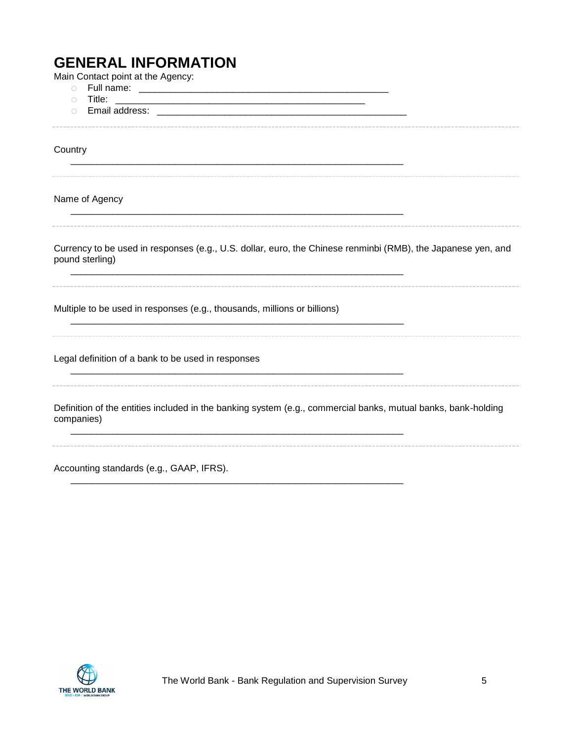# <span id="page-4-0"></span>**GENERAL INFORMATION**

| Main Contact point at the Agency:                                                                                                                                                                                                                          |
|------------------------------------------------------------------------------------------------------------------------------------------------------------------------------------------------------------------------------------------------------------|
| $\bigcirc$                                                                                                                                                                                                                                                 |
| $\bigcirc$<br>Email address: Email and the state of the state of the state of the state of the state of the state of the state of the state of the state of the state of the state of the state of the state of the state of the state of th<br>$\bigcirc$ |
|                                                                                                                                                                                                                                                            |
|                                                                                                                                                                                                                                                            |
| Country                                                                                                                                                                                                                                                    |
|                                                                                                                                                                                                                                                            |
|                                                                                                                                                                                                                                                            |
| Name of Agency                                                                                                                                                                                                                                             |
|                                                                                                                                                                                                                                                            |
|                                                                                                                                                                                                                                                            |
| Currency to be used in responses (e.g., U.S. dollar, euro, the Chinese renminbi (RMB), the Japanese yen, and<br>pound sterling)                                                                                                                            |
| Multiple to be used in responses (e.g., thousands, millions or billions)                                                                                                                                                                                   |
| Legal definition of a bank to be used in responses                                                                                                                                                                                                         |
| Definition of the entities included in the banking system (e.g., commercial banks, mutual banks, bank-holding<br>companies)                                                                                                                                |
|                                                                                                                                                                                                                                                            |

Accounting standards (e.g., GAAP, IFRS).



\_\_\_\_\_\_\_\_\_\_\_\_\_\_\_\_\_\_\_\_\_\_\_\_\_\_\_\_\_\_\_\_\_\_\_\_\_\_\_\_\_\_\_\_\_\_\_\_\_\_\_\_\_\_\_\_\_\_\_\_\_\_\_\_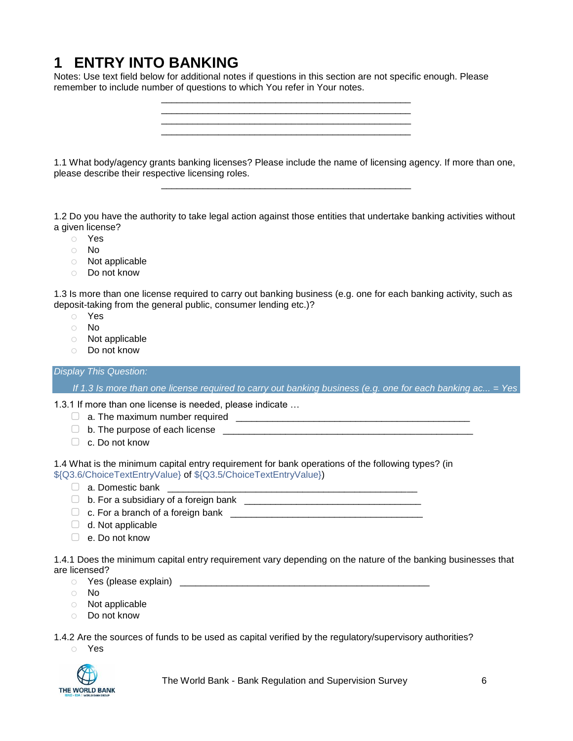# <span id="page-5-0"></span>**1 ENTRY INTO BANKING**

Notes: Use text field below for additional notes if questions in this section are not specific enough. Please remember to include number of questions to which You refer in Your notes.

1.1 What body/agency grants banking licenses? Please include the name of licensing agency. If more than one, please describe their respective licensing roles. \_\_\_\_\_\_\_\_\_\_\_\_\_\_\_\_\_\_\_\_\_\_\_\_\_\_\_\_\_\_\_\_\_\_\_\_\_\_\_\_\_\_\_\_\_\_\_\_

\_\_\_\_\_\_\_\_\_\_\_\_\_\_\_\_\_\_\_\_\_\_\_\_\_\_\_\_\_\_\_\_\_\_\_\_\_\_\_\_\_\_\_\_\_\_\_\_ \_\_\_\_\_\_\_\_\_\_\_\_\_\_\_\_\_\_\_\_\_\_\_\_\_\_\_\_\_\_\_\_\_\_\_\_\_\_\_\_\_\_\_\_\_\_\_\_ \_\_\_\_\_\_\_\_\_\_\_\_\_\_\_\_\_\_\_\_\_\_\_\_\_\_\_\_\_\_\_\_\_\_\_\_\_\_\_\_\_\_\_\_\_\_\_\_ \_\_\_\_\_\_\_\_\_\_\_\_\_\_\_\_\_\_\_\_\_\_\_\_\_\_\_\_\_\_\_\_\_\_\_\_\_\_\_\_\_\_\_\_\_\_\_\_

1.2 Do you have the authority to take legal action against those entities that undertake banking activities without a given license?

- o Yes
- o No
- o Not applicable
- o Do not know

1.3 Is more than one license required to carry out banking business (e.g. one for each banking activity, such as deposit-taking from the general public, consumer lending etc.)?

- o Yes
- o No
- o Not applicable
- o Do not know

#### *Display This Question:*

*If 1.3 Is more than one license required to carry out banking business (e.g. one for each banking ac... = Yes*

1.3.1 If more than one license is needed, please indicate …

- ▢ a. The maximum number required \_\_\_\_\_\_\_\_\_\_\_\_\_\_\_\_\_\_\_\_\_\_\_\_\_\_\_\_\_\_\_\_\_\_\_\_\_\_\_\_\_\_\_\_\_
- ▢ b. The purpose of each license \_\_\_\_\_\_\_\_\_\_\_\_\_\_\_\_\_\_\_\_\_\_\_\_\_\_\_\_\_\_\_\_\_\_\_\_\_\_\_\_\_\_\_\_\_\_\_\_
- ▢ c. Do not know

1.4 What is the minimum capital entry requirement for bank operations of the following types? (in \${Q3.6/ChoiceTextEntryValue} of \${Q3.5/ChoiceTextEntryValue})

- ▢ a. Domestic bank \_\_\_\_\_\_\_\_\_\_\_\_\_\_\_\_\_\_\_\_\_\_\_\_\_\_\_\_\_\_\_\_\_\_\_\_\_\_\_\_\_\_\_\_\_\_\_\_
- $\Box$  b. For a subsidiary of a foreign bank
- ▢ c. For a branch of a foreign bank \_\_\_\_\_\_\_\_\_\_\_\_\_\_\_\_\_\_\_\_\_\_\_\_\_\_\_\_\_\_\_\_\_\_\_\_\_
- $\Box$  d. Not applicable
- ▢ e. Do not know

1.4.1 Does the minimum capital entry requirement vary depending on the nature of the banking businesses that are licensed?

- o Yes (please explain) \_\_\_\_\_\_\_\_\_\_\_\_\_\_\_\_\_\_\_\_\_\_\_\_\_\_\_\_\_\_\_\_\_\_\_\_\_\_\_\_\_\_\_\_\_\_\_\_
- o No
- o Not applicable
- o Do not know

1.4.2 Are the sources of funds to be used as capital verified by the regulatory/supervisory authorities?

o Yes



The World Bank - Bank Regulation and Supervision Survey 6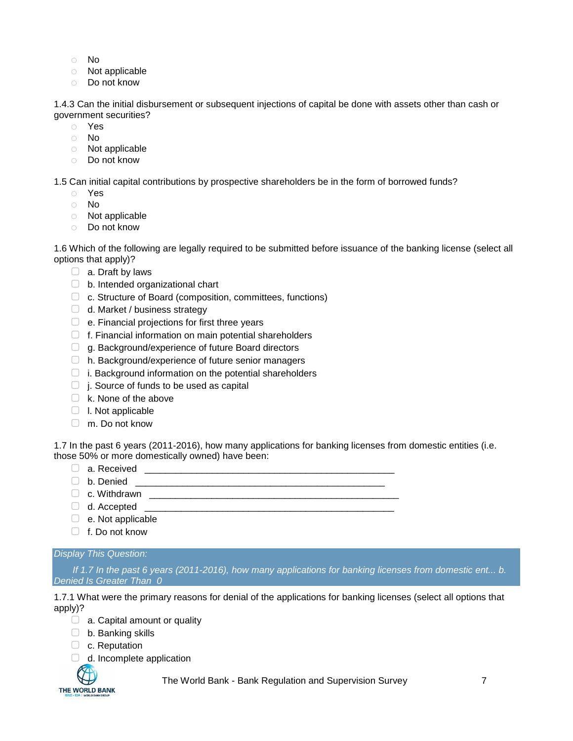- o No
- o Not applicable
- o Do not know

1.4.3 Can the initial disbursement or subsequent injections of capital be done with assets other than cash or government securities?

- o Yes
- o No
- o Not applicable
- o Do not know

1.5 Can initial capital contributions by prospective shareholders be in the form of borrowed funds?

- o Yes
- o No
- o Not applicable
- o Do not know

1.6 Which of the following are legally required to be submitted before issuance of the banking license (select all options that apply)?

- $\Box$  a. Draft by laws
- $\Box$  b. Intended organizational chart
- □ c. Structure of Board (composition, committees, functions)
- ▢ d. Market / business strategy
- $\Box$  e. Financial projections for first three years
- □ f. Financial information on main potential shareholders
- □ g. Background/experience of future Board directors
- ▢ h. Background/experience of future senior managers
- $\Box$  i. Background information on the potential shareholders
- $\Box$  j. Source of funds to be used as capital
- $\Box$  k. None of the above
- ▢ l. Not applicable
- ▢ m. Do not know

1.7 In the past 6 years (2011-2016), how many applications for banking licenses from domestic entities (i.e. those 50% or more domestically owned) have been:

- ▢ a. Received \_\_\_\_\_\_\_\_\_\_\_\_\_\_\_\_\_\_\_\_\_\_\_\_\_\_\_\_\_\_\_\_\_\_\_\_\_\_\_\_\_\_\_\_\_\_\_\_
- ▢ b. Denied \_\_\_\_\_\_\_\_\_\_\_\_\_\_\_\_\_\_\_\_\_\_\_\_\_\_\_\_\_\_\_\_\_\_\_\_\_\_\_\_\_\_\_\_\_\_\_\_
- ▢ c. Withdrawn \_\_\_\_\_\_\_\_\_\_\_\_\_\_\_\_\_\_\_\_\_\_\_\_\_\_\_\_\_\_\_\_\_\_\_\_\_\_\_\_\_\_\_\_\_\_\_\_
- $\Box$  d. Accepted  $\Box$
- $\Box$  e. Not applicable
- ▢ f. Do not know

#### *Display This Question:*

*If 1.7 In the past 6 years (2011-2016), how many applications for banking licenses from domestic ent... b. Denied Is Greater Than 0*

1.7.1 What were the primary reasons for denial of the applications for banking licenses (select all options that apply)?

- $\Box$  a. Capital amount or quality
- ▢ b. Banking skills
- □ c. Reputation
- $\Box$  d. Incomplete application



The World Bank - Bank Regulation and Supervision Survey 7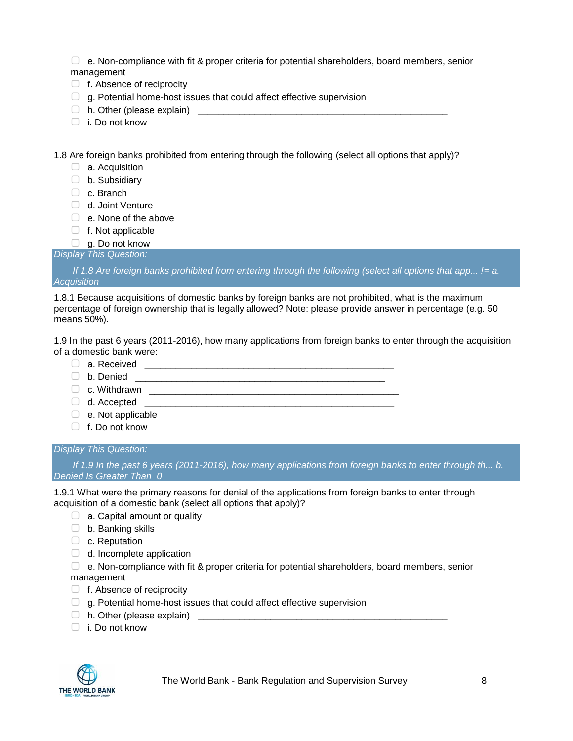$\Box$  e. Non-compliance with fit & proper criteria for potential shareholders, board members, senior management

- □ f. Absence of reciprocity
- $\Box$  g. Potential home-host issues that could affect effective supervision
- $\Box$  h. Other (please explain)
- ▢ i. Do not know

1.8 Are foreign banks prohibited from entering through the following (select all options that apply)?

- □ a. Acquisition
- ▢ b. Subsidiary
- ▢ c. Branch
- □ d. Joint Venture
- $\Box$  e. None of the above
- ▢ f. Not applicable
- $\Box$  g. Do not know

*Display This Question:*

*If 1.8 Are foreign banks prohibited from entering through the following (select all options that app... != a. Acquisition*

1.8.1 Because acquisitions of domestic banks by foreign banks are not prohibited, what is the maximum percentage of foreign ownership that is legally allowed? Note: please provide answer in percentage (e.g. 50 means 50%).

1.9 In the past 6 years (2011-2016), how many applications from foreign banks to enter through the acquisition of a domestic bank were:

- ▢ a. Received \_\_\_\_\_\_\_\_\_\_\_\_\_\_\_\_\_\_\_\_\_\_\_\_\_\_\_\_\_\_\_\_\_\_\_\_\_\_\_\_\_\_\_\_\_\_\_\_
- $\Box$  b. Denied  $\Box$
- ▢ c. Withdrawn \_\_\_\_\_\_\_\_\_\_\_\_\_\_\_\_\_\_\_\_\_\_\_\_\_\_\_\_\_\_\_\_\_\_\_\_\_\_\_\_\_\_\_\_\_\_\_\_
- $\Box$  d. Accepted  $\Box$
- $\Box$  e. Not applicable
- $\Box$  f. Do not know

#### *Display This Question:*

*If 1.9 In the past 6 years (2011-2016), how many applications from foreign banks to enter through th... b. Denied Is Greater Than 0*

1.9.1 What were the primary reasons for denial of the applications from foreign banks to enter through acquisition of a domestic bank (select all options that apply)?

- $\Box$  a. Capital amount or quality
- ▢ b. Banking skills
- □ c. Reputation
- $\Box$  d. Incomplete application

▢ e. Non-compliance with fit & proper criteria for potential shareholders, board members, senior management

- □ f. Absence of reciprocity
- $\Box$  g. Potential home-host issues that could affect effective supervision
- $\Box$  h. Other (please explain)
- ▢ i. Do not know

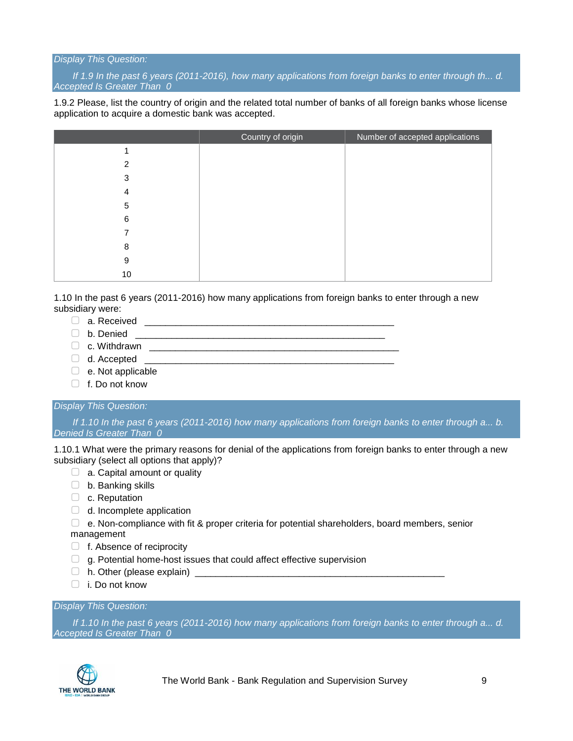#### *Display This Question:*

*If 1.9 In the past 6 years (2011-2016), how many applications from foreign banks to enter through th... d. Accepted Is Greater Than 0*

1.9.2 Please, list the country of origin and the related total number of banks of all foreign banks whose license application to acquire a domestic bank was accepted.

|    | Country of origin | Number of accepted applications |
|----|-------------------|---------------------------------|
|    |                   |                                 |
| 2  |                   |                                 |
| 3  |                   |                                 |
| 4  |                   |                                 |
| 5  |                   |                                 |
| 6  |                   |                                 |
|    |                   |                                 |
| 8  |                   |                                 |
| 9  |                   |                                 |
| 10 |                   |                                 |

1.10 In the past 6 years (2011-2016) how many applications from foreign banks to enter through a new subsidiary were:

- $\Box$  a. Received
- ▢ b. Denied \_\_\_\_\_\_\_\_\_\_\_\_\_\_\_\_\_\_\_\_\_\_\_\_\_\_\_\_\_\_\_\_\_\_\_\_\_\_\_\_\_\_\_\_\_\_\_\_
- ▢ c. Withdrawn \_\_\_\_\_\_\_\_\_\_\_\_\_\_\_\_\_\_\_\_\_\_\_\_\_\_\_\_\_\_\_\_\_\_\_\_\_\_\_\_\_\_\_\_\_\_\_\_
- $\Box$  d. Accepted
- $\Box$  e. Not applicable
- □ f. Do not know

#### *Display This Question:*

*If 1.10 In the past 6 years (2011-2016) how many applications from foreign banks to enter through a... b. Denied Is Greater Than 0*

1.10.1 What were the primary reasons for denial of the applications from foreign banks to enter through a new subsidiary (select all options that apply)?

- $\Box$  a. Capital amount or quality
- ▢ b. Banking skills
- □ c. Reputation
- $\Box$  d. Incomplete application
- $\Box$  e. Non-compliance with fit & proper criteria for potential shareholders, board members, senior management
- □ f. Absence of reciprocity
- $\Box$  g. Potential home-host issues that could affect effective supervision
- $\Box$  h. Other (please explain)
- $\Box$  i. Do not know

#### *Display This Question:*

*If 1.10 In the past 6 years (2011-2016) how many applications from foreign banks to enter through a... d. Accepted Is Greater Than 0*



The World Bank - Bank Regulation and Supervision Survey 9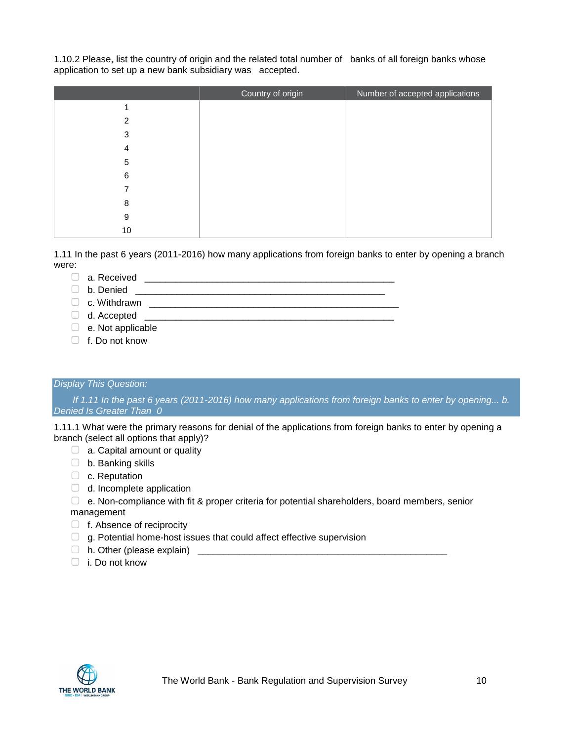1.10.2 Please, list the country of origin and the related total number of banks of all foreign banks whose application to set up a new bank subsidiary was accepted.

|    | Country of origin | Number of accepted applications |
|----|-------------------|---------------------------------|
|    |                   |                                 |
| 2  |                   |                                 |
| 3  |                   |                                 |
| 4  |                   |                                 |
| 5  |                   |                                 |
| 6  |                   |                                 |
|    |                   |                                 |
| 8  |                   |                                 |
| 9  |                   |                                 |
| 10 |                   |                                 |

1.11 In the past 6 years (2011-2016) how many applications from foreign banks to enter by opening a branch were:

- ▢ a. Received \_\_\_\_\_\_\_\_\_\_\_\_\_\_\_\_\_\_\_\_\_\_\_\_\_\_\_\_\_\_\_\_\_\_\_\_\_\_\_\_\_\_\_\_\_\_\_\_
- $\Box$  b. Denied  $\Box$

 $\Box$  c. Withdrawn  $\Box$ 

 $\Box$  d. Accepted

 $\Box$  e. Not applicable

▢ f. Do not know

#### *Display This Question:*

*If 1.11 In the past 6 years (2011-2016) how many applications from foreign banks to enter by opening... b. Denied Is Greater Than 0*

1.11.1 What were the primary reasons for denial of the applications from foreign banks to enter by opening a branch (select all options that apply)?

- $\Box$  a. Capital amount or quality
- □ b. Banking skills
- □ c. Reputation
- $\Box$  d. Incomplete application
- $\Box$  e. Non-compliance with fit & proper criteria for potential shareholders, board members, senior

management

- □ f. Absence of reciprocity
- $\Box$  g. Potential home-host issues that could affect effective supervision
- $\Box$  h. Other (please explain)  $\Box$
- ▢ i. Do not know

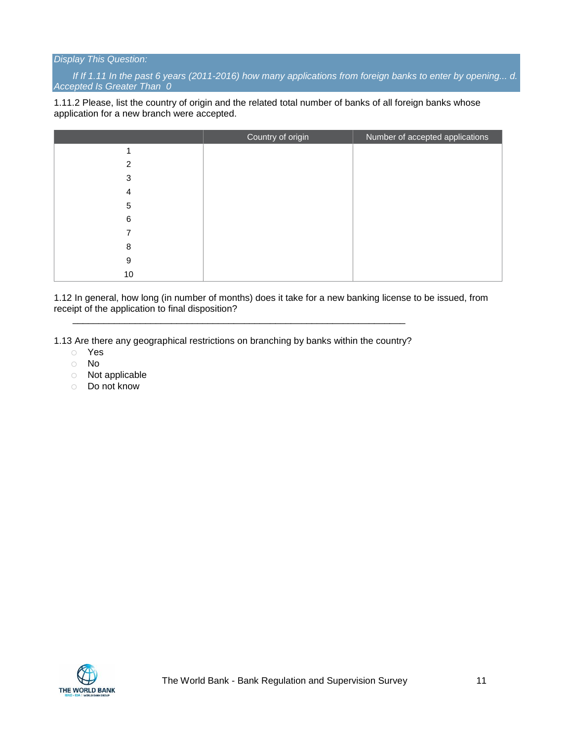#### *Display This Question:*

*If If 1.11 In the past 6 years (2011-2016) how many applications from foreign banks to enter by opening... d. Accepted Is Greater Than 0*

1.11.2 Please, list the country of origin and the related total number of banks of all foreign banks whose application for a new branch were accepted.

|                | Country of origin | Number of accepted applications |
|----------------|-------------------|---------------------------------|
|                |                   |                                 |
| $\mathfrak{p}$ |                   |                                 |
| 3              |                   |                                 |
| 4              |                   |                                 |
| 5              |                   |                                 |
| 6              |                   |                                 |
|                |                   |                                 |
| 8              |                   |                                 |
| 9              |                   |                                 |
| 10             |                   |                                 |

1.12 In general, how long (in number of months) does it take for a new banking license to be issued, from receipt of the application to final disposition?

1.13 Are there any geographical restrictions on branching by banks within the country?

\_\_\_\_\_\_\_\_\_\_\_\_\_\_\_\_\_\_\_\_\_\_\_\_\_\_\_\_\_\_\_\_\_\_\_\_\_\_\_\_\_\_\_\_\_\_\_\_\_\_\_\_\_\_\_\_\_\_\_\_\_\_\_\_

- o Yes
- o No
- o Not applicable
- o Do not know

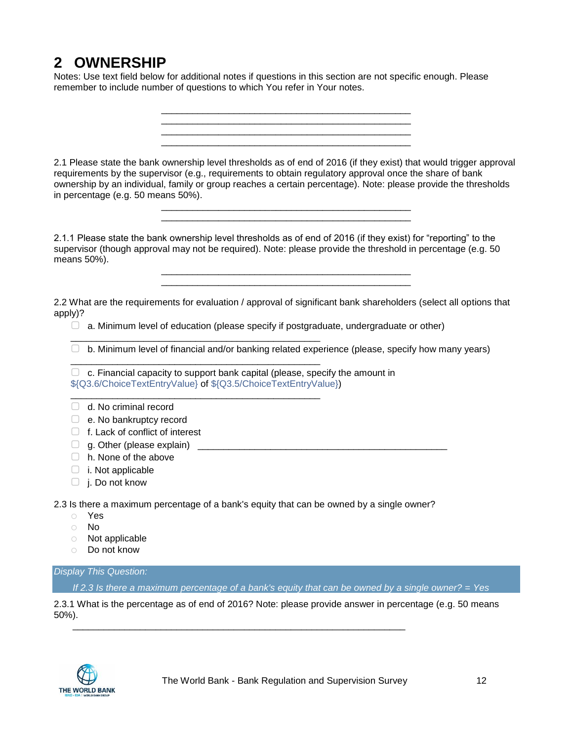# <span id="page-11-0"></span>**2 OWNERSHIP**

Notes: Use text field below for additional notes if questions in this section are not specific enough. Please remember to include number of questions to which You refer in Your notes.

2.1 Please state the bank ownership level thresholds as of end of 2016 (if they exist) that would trigger approval requirements by the supervisor (e.g., requirements to obtain regulatory approval once the share of bank ownership by an individual, family or group reaches a certain percentage). Note: please provide the thresholds in percentage (e.g. 50 means 50%).

> \_\_\_\_\_\_\_\_\_\_\_\_\_\_\_\_\_\_\_\_\_\_\_\_\_\_\_\_\_\_\_\_\_\_\_\_\_\_\_\_\_\_\_\_\_\_\_\_ \_\_\_\_\_\_\_\_\_\_\_\_\_\_\_\_\_\_\_\_\_\_\_\_\_\_\_\_\_\_\_\_\_\_\_\_\_\_\_\_\_\_\_\_\_\_\_\_

> \_\_\_\_\_\_\_\_\_\_\_\_\_\_\_\_\_\_\_\_\_\_\_\_\_\_\_\_\_\_\_\_\_\_\_\_\_\_\_\_\_\_\_\_\_\_\_\_ \_\_\_\_\_\_\_\_\_\_\_\_\_\_\_\_\_\_\_\_\_\_\_\_\_\_\_\_\_\_\_\_\_\_\_\_\_\_\_\_\_\_\_\_\_\_\_\_

> \_\_\_\_\_\_\_\_\_\_\_\_\_\_\_\_\_\_\_\_\_\_\_\_\_\_\_\_\_\_\_\_\_\_\_\_\_\_\_\_\_\_\_\_\_\_\_\_

2.1.1 Please state the bank ownership level thresholds as of end of 2016 (if they exist) for "reporting" to the supervisor (though approval may not be required). Note: please provide the threshold in percentage (e.g. 50 means 50%).

2.2 What are the requirements for evaluation / approval of significant bank shareholders (select all options that apply)?

\_\_\_\_\_\_\_\_\_\_\_\_\_\_\_\_\_\_\_\_\_\_\_\_\_\_\_\_\_\_\_\_\_\_\_\_\_\_\_\_\_\_\_\_\_\_\_\_ \_\_\_\_\_\_\_\_\_\_\_\_\_\_\_\_\_\_\_\_\_\_\_\_\_\_\_\_\_\_\_\_\_\_\_\_\_\_\_\_\_\_\_\_\_\_\_\_

 $\Box$  a. Minimum level of education (please specify if postgraduate, undergraduate or other)

 $\Box$  b. Minimum level of financial and/or banking related experience (please, specify how many years)

 $\Box$  c. Financial capacity to support bank capital (please, specify the amount in \${Q3.6/ChoiceTextEntryValue} of \${Q3.5/ChoiceTextEntryValue})

\_\_\_\_\_\_\_\_\_\_\_\_\_\_\_\_\_\_\_\_\_\_\_\_\_\_\_\_\_\_\_\_\_\_\_\_\_\_\_\_\_\_\_\_\_\_\_\_

\_\_\_\_\_\_\_\_\_\_\_\_\_\_\_\_\_\_\_\_\_\_\_\_\_\_\_\_\_\_\_\_\_\_\_\_\_\_\_\_\_\_\_\_\_\_\_\_

\_\_\_\_\_\_\_\_\_\_\_\_\_\_\_\_\_\_\_\_\_\_\_\_\_\_\_\_\_\_\_\_\_\_\_\_\_\_\_\_\_\_\_\_\_\_\_\_

- $\Box$  d. No criminal record
- □ e. No bankruptcy record
- □ f. Lack of conflict of interest
- ▢ g. Other (please explain) \_\_\_\_\_\_\_\_\_\_\_\_\_\_\_\_\_\_\_\_\_\_\_\_\_\_\_\_\_\_\_\_\_\_\_\_\_\_\_\_\_\_\_\_\_\_\_\_
- □ h. None of the above
- $\Box$  i. Not applicable
- ▢ j. Do not know

2.3 Is there a maximum percentage of a bank's equity that can be owned by a single owner?

\_\_\_\_\_\_\_\_\_\_\_\_\_\_\_\_\_\_\_\_\_\_\_\_\_\_\_\_\_\_\_\_\_\_\_\_\_\_\_\_\_\_\_\_\_\_\_\_\_\_\_\_\_\_\_\_\_\_\_\_\_\_\_\_

- o Yes
- o No
- o Not applicable
- o Do not know

*Display This Question:*

*If 2.3 Is there a maximum percentage of a bank's equity that can be owned by a single owner? = Yes*

2.3.1 What is the percentage as of end of 2016? Note: please provide answer in percentage (e.g. 50 means 50%).

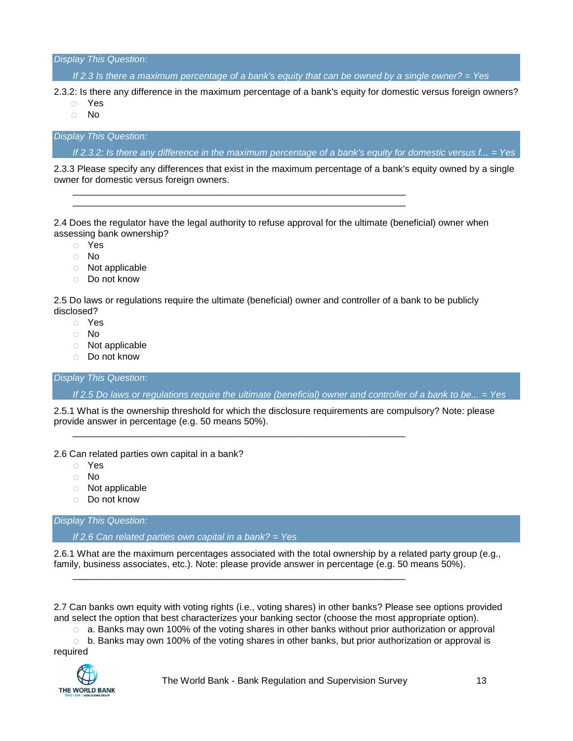*Display This Question:*

*If 2.3 Is there a maximum percentage of a bank's equity that can be owned by a single owner? = Yes*

2.3.2: Is there any difference in the maximum percentage of a bank's equity for domestic versus foreign owners?

- o Yes
- o No

*Display This Question:*

*If 2.3.2: Is there any difference in the maximum percentage of a bank's equity for domestic versus f... = Yes*

2.3.3 Please specify any differences that exist in the maximum percentage of a bank's equity owned by a single owner for domestic versus foreign owners.

2.4 Does the regulator have the legal authority to refuse approval for the ultimate (beneficial) owner when assessing bank ownership?

\_\_\_\_\_\_\_\_\_\_\_\_\_\_\_\_\_\_\_\_\_\_\_\_\_\_\_\_\_\_\_\_\_\_\_\_\_\_\_\_\_\_\_\_\_\_\_\_\_\_\_\_\_\_\_\_\_\_\_\_\_\_\_\_ \_\_\_\_\_\_\_\_\_\_\_\_\_\_\_\_\_\_\_\_\_\_\_\_\_\_\_\_\_\_\_\_\_\_\_\_\_\_\_\_\_\_\_\_\_\_\_\_\_\_\_\_\_\_\_\_\_\_\_\_\_\_\_\_

- o Yes
- o No
- o Not applicable
- o Do not know

2.5 Do laws or regulations require the ultimate (beneficial) owner and controller of a bank to be publicly disclosed?

- o Yes
- o No
- o Not applicable
- o Do not know

*Display This Question:*

*If 2.5 Do laws or regulations require the ultimate (beneficial) owner and controller of a bank to be... = Yes*

2.5.1 What is the ownership threshold for which the disclosure requirements are compulsory? Note: please provide answer in percentage (e.g. 50 means 50%).

\_\_\_\_\_\_\_\_\_\_\_\_\_\_\_\_\_\_\_\_\_\_\_\_\_\_\_\_\_\_\_\_\_\_\_\_\_\_\_\_\_\_\_\_\_\_\_\_\_\_\_\_\_\_\_\_\_\_\_\_\_\_\_\_

\_\_\_\_\_\_\_\_\_\_\_\_\_\_\_\_\_\_\_\_\_\_\_\_\_\_\_\_\_\_\_\_\_\_\_\_\_\_\_\_\_\_\_\_\_\_\_\_\_\_\_\_\_\_\_\_\_\_\_\_\_\_\_\_

2.6 Can related parties own capital in a bank?

- o Yes
- o No
- o Not applicable
- o Do not know

*Display This Question:*

*If 2.6 Can related parties own capital in a bank? = Yes*

2.6.1 What are the maximum percentages associated with the total ownership by a related party group (e.g., family, business associates, etc.). Note: please provide answer in percentage (e.g. 50 means 50%).

2.7 Can banks own equity with voting rights (i.e., voting shares) in other banks? Please see options provided and select the option that best characterizes your banking sector (choose the most appropriate option).

 $\circ$  a. Banks may own 100% of the voting shares in other banks without prior authorization or approval

 $\circ$  b. Banks may own 100% of the voting shares in other banks, but prior authorization or approval is required



The World Bank - Bank Regulation and Supervision Survey 13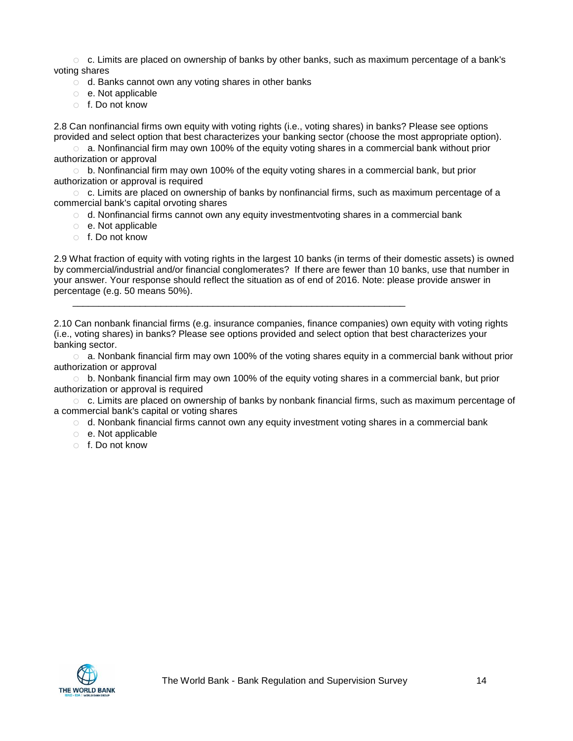$\circ$  c. Limits are placed on ownership of banks by other banks, such as maximum percentage of a bank's voting shares

- o d. Banks cannot own any voting shares in other banks
- o e. Not applicable
- o f. Do not know

2.8 Can nonfinancial firms own equity with voting rights (i.e., voting shares) in banks? Please see options provided and select option that best characterizes your banking sector (choose the most appropriate option).

 $\circ$  a. Nonfinancial firm may own 100% of the equity voting shares in a commercial bank without prior authorization or approval

 $\circ$  b. Nonfinancial firm may own 100% of the equity voting shares in a commercial bank, but prior authorization or approval is required

 $\circ$  c. Limits are placed on ownership of banks by nonfinancial firms, such as maximum percentage of a commercial bank's capital orvoting shares

 $\circ$  d. Nonfinancial firms cannot own any equity investmentvoting shares in a commercial bank

\_\_\_\_\_\_\_\_\_\_\_\_\_\_\_\_\_\_\_\_\_\_\_\_\_\_\_\_\_\_\_\_\_\_\_\_\_\_\_\_\_\_\_\_\_\_\_\_\_\_\_\_\_\_\_\_\_\_\_\_\_\_\_\_

- o e. Not applicable
- o f. Do not know

2.9 What fraction of equity with voting rights in the largest 10 banks (in terms of their domestic assets) is owned by commercial/industrial and/or financial conglomerates? If there are fewer than 10 banks, use that number in your answer. Your response should reflect the situation as of end of 2016. Note: please provide answer in percentage (e.g. 50 means 50%).

2.10 Can nonbank financial firms (e.g. insurance companies, finance companies) own equity with voting rights (i.e., voting shares) in banks? Please see options provided and select option that best characterizes your banking sector.

 $\circ$  a. Nonbank financial firm may own 100% of the voting shares equity in a commercial bank without prior authorization or approval

 $\circ$  b. Nonbank financial firm may own 100% of the equity voting shares in a commercial bank, but prior authorization or approval is required

o c. Limits are placed on ownership of banks by nonbank financial firms, such as maximum percentage of a commercial bank's capital or voting shares

- $\circ$  d. Nonbank financial firms cannot own any equity investment voting shares in a commercial bank
- o e. Not applicable
- o f. Do not know

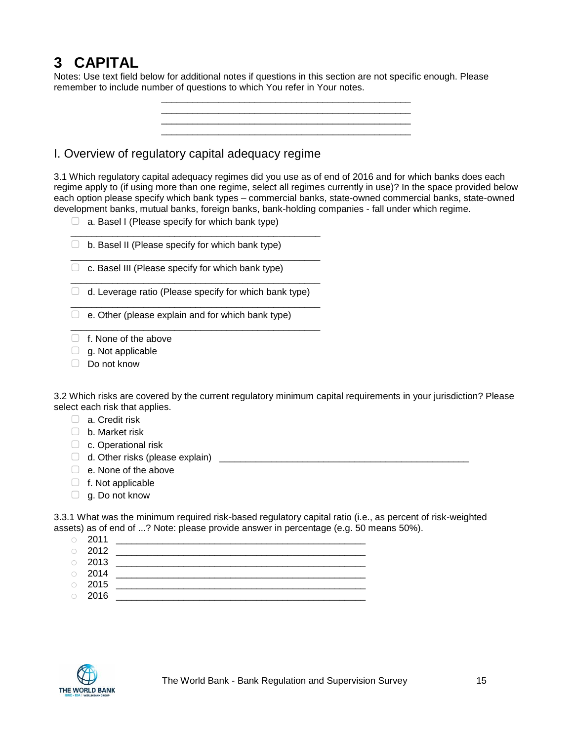# <span id="page-14-0"></span>**3 CAPITAL**

Notes: Use text field below for additional notes if questions in this section are not specific enough. Please remember to include number of questions to which You refer in Your notes.

\_\_\_\_\_\_\_\_\_\_\_\_\_\_\_\_\_\_\_\_\_\_\_\_\_\_\_\_\_\_\_\_\_\_\_\_\_\_\_\_\_\_\_\_\_\_\_\_

\_\_\_\_\_\_\_\_\_\_\_\_\_\_\_\_\_\_\_\_\_\_\_\_\_\_\_\_\_\_\_\_\_\_\_\_\_\_\_\_\_\_\_\_\_\_\_\_

<span id="page-14-1"></span>I. Overview of regulatory capital adequacy regime

3.1 Which regulatory capital adequacy regimes did you use as of end of 2016 and for which banks does each regime apply to (if using more than one regime, select all regimes currently in use)? In the space provided below each option please specify which bank types – commercial banks, state-owned commercial banks, state-owned development banks, mutual banks, foreign banks, bank-holding companies - fall under which regime.

- $\Box$  a. Basel I (Please specify for which bank type)
- $\Box$  b. Basel II (Please specify for which bank type)
- $\Box$  c. Basel III (Please specify for which bank type)
- \_\_\_\_\_\_\_\_\_\_\_\_\_\_\_\_\_\_\_\_\_\_\_\_\_\_\_\_\_\_\_\_\_\_\_\_\_\_\_\_\_\_\_\_\_\_\_\_  $\Box$  d. Leverage ratio (Please specify for which bank type) \_\_\_\_\_\_\_\_\_\_\_\_\_\_\_\_\_\_\_\_\_\_\_\_\_\_\_\_\_\_\_\_\_\_\_\_\_\_\_\_\_\_\_\_\_\_\_\_

\_\_\_\_\_\_\_\_\_\_\_\_\_\_\_\_\_\_\_\_\_\_\_\_\_\_\_\_\_\_\_\_\_\_\_\_\_\_\_\_\_\_\_\_\_\_\_\_

\_\_\_\_\_\_\_\_\_\_\_\_\_\_\_\_\_\_\_\_\_\_\_\_\_\_\_\_\_\_\_\_\_\_\_\_\_\_\_\_\_\_\_\_\_\_\_\_

\_\_\_\_\_\_\_\_\_\_\_\_\_\_\_\_\_\_\_\_\_\_\_\_\_\_\_\_\_\_\_\_\_\_\_\_\_\_\_\_\_\_\_\_\_\_\_\_

- $\Box$  e. Other (please explain and for which bank type)
- ▢ f. None of the above
- $\Box$  g. Not applicable
- ▢ Do not know

3.2 Which risks are covered by the current regulatory minimum capital requirements in your jurisdiction? Please select each risk that applies.

- □ a. Credit risk
- ▢ b. Market risk
- □ c. Operational risk
- ▢ d. Other risks (please explain) \_\_\_\_\_\_\_\_\_\_\_\_\_\_\_\_\_\_\_\_\_\_\_\_\_\_\_\_\_\_\_\_\_\_\_\_\_\_\_\_\_\_\_\_\_\_\_\_
- $\Box$  e. None of the above
- $\Box$  f. Not applicable
- $\Box$  g. Do not know

3.3.1 What was the minimum required risk-based regulatory capital ratio (i.e., as percent of risk-weighted assets) as of end of ...? Note: please provide answer in percentage (e.g. 50 means 50%).

- o 2011 \_\_\_\_\_\_\_\_\_\_\_\_\_\_\_\_\_\_\_\_\_\_\_\_\_\_\_\_\_\_\_\_\_\_\_\_\_\_\_\_\_\_\_\_\_\_\_\_
- $\circ$  2012  $\circ$  2013
- 
- o 2014 \_\_\_\_\_\_\_\_\_\_\_\_\_\_\_\_\_\_\_\_\_\_\_\_\_\_\_\_\_\_\_\_\_\_\_\_\_\_\_\_\_\_\_\_\_\_\_\_
- o 2015 \_\_\_\_\_\_\_\_\_\_\_\_\_\_\_\_\_\_\_\_\_\_\_\_\_\_\_\_\_\_\_\_\_\_\_\_\_\_\_\_\_\_\_\_\_\_\_\_
- o 2016 \_\_\_\_\_\_\_\_\_\_\_\_\_\_\_\_\_\_\_\_\_\_\_\_\_\_\_\_\_\_\_\_\_\_\_\_\_\_\_\_\_\_\_\_\_\_\_\_

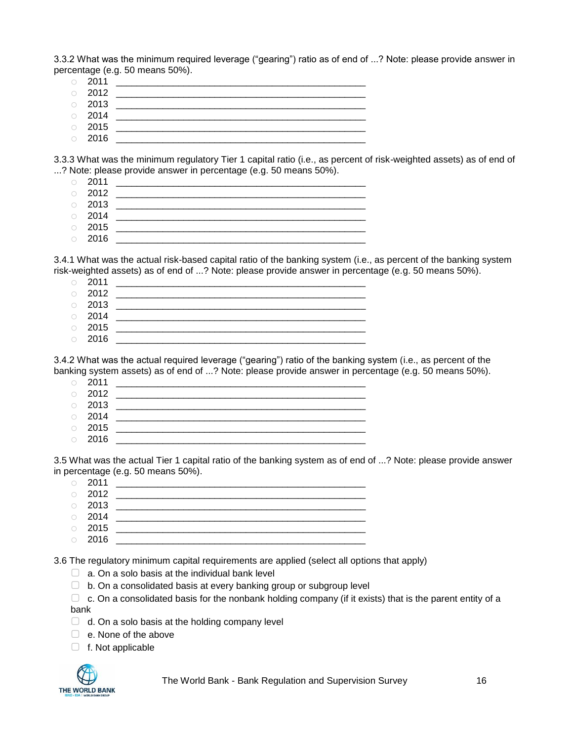3.3.2 What was the minimum required leverage ("gearing") ratio as of end of ...? Note: please provide answer in percentage (e.g. 50 means 50%).

- 
- o 2011 \_\_\_\_\_\_\_\_\_\_\_\_\_\_\_\_\_\_\_\_\_\_\_\_\_\_\_\_\_\_\_\_\_\_\_\_\_\_\_\_\_\_\_\_\_\_\_\_ o 2012 \_\_\_\_\_\_\_\_\_\_\_\_\_\_\_\_\_\_\_\_\_\_\_\_\_\_\_\_\_\_\_\_\_\_\_\_\_\_\_\_\_\_\_\_\_\_\_\_
- o 2013 \_\_\_\_\_\_\_\_\_\_\_\_\_\_\_\_\_\_\_\_\_\_\_\_\_\_\_\_\_\_\_\_\_\_\_\_\_\_\_\_\_\_\_\_\_\_\_\_
- $\circ$  2014
- $\circ$  2015 o 2016 \_\_\_\_\_\_\_\_\_\_\_\_\_\_\_\_\_\_\_\_\_\_\_\_\_\_\_\_\_\_\_\_\_\_\_\_\_\_\_\_\_\_\_\_\_\_\_\_

3.3.3 What was the minimum regulatory Tier 1 capital ratio (i.e., as percent of risk-weighted assets) as of end of ...? Note: please provide answer in percentage (e.g. 50 means 50%).

- o 2011 \_\_\_\_\_\_\_\_\_\_\_\_\_\_\_\_\_\_\_\_\_\_\_\_\_\_\_\_\_\_\_\_\_\_\_\_\_\_\_\_\_\_\_\_\_\_\_\_
- o 2012 \_\_\_\_\_\_\_\_\_\_\_\_\_\_\_\_\_\_\_\_\_\_\_\_\_\_\_\_\_\_\_\_\_\_\_\_\_\_\_\_\_\_\_\_\_\_\_\_
- $\circ$  2013
- $\circ$  2014
- o 2015 \_\_\_\_\_\_\_\_\_\_\_\_\_\_\_\_\_\_\_\_\_\_\_\_\_\_\_\_\_\_\_\_\_\_\_\_\_\_\_\_\_\_\_\_\_\_\_\_ o 2016 \_\_\_\_\_\_\_\_\_\_\_\_\_\_\_\_\_\_\_\_\_\_\_\_\_\_\_\_\_\_\_\_\_\_\_\_\_\_\_\_\_\_\_\_\_\_\_\_

3.4.1 What was the actual risk-based capital ratio of the banking system (i.e., as percent of the banking system risk-weighted assets) as of end of ...? Note: please provide answer in percentage (e.g. 50 means 50%).

|         | $\circ$ 2011 |  |
|---------|--------------|--|
|         | $\circ$ 2012 |  |
|         | $\circ$ 2013 |  |
|         | $\circ$ 2014 |  |
|         | $\circ$ 2015 |  |
| $\circ$ | 2016         |  |

3.4.2 What was the actual required leverage ("gearing") ratio of the banking system (i.e., as percent of the banking system assets) as of end of ...? Note: please provide answer in percentage (e.g. 50 means 50%).

|            | $\circ$ 2011 |  |
|------------|--------------|--|
|            | $\circ$ 2012 |  |
|            | $\circ$ 2013 |  |
|            | $\circ$ 2014 |  |
|            | $\circ$ 2015 |  |
| $\bigcirc$ | 2016         |  |

3.5 What was the actual Tier 1 capital ratio of the banking system as of end of ...? Note: please provide answer in percentage (e.g. 50 means 50%).

| $\circ$ 2011 |  |
|--------------|--|
| $\circ$ 2012 |  |
| $\circ$ 2013 |  |
| $\circ$ 2014 |  |
| $\circ$ 2015 |  |

o 2016 \_\_\_\_\_\_\_\_\_\_\_\_\_\_\_\_\_\_\_\_\_\_\_\_\_\_\_\_\_\_\_\_\_\_\_\_\_\_\_\_\_\_\_\_\_\_\_\_

3.6 The regulatory minimum capital requirements are applied (select all options that apply)

- $\Box$  a. On a solo basis at the individual bank level
- ▢ b. On a consolidated basis at every banking group or subgroup level
- $\Box$  c. On a consolidated basis for the nonbank holding company (if it exists) that is the parent entity of a bank
- $\Box$  d. On a solo basis at the holding company level
- $\Box$  e. None of the above
- $\Box$  f. Not applicable



The World Bank - Bank Regulation and Supervision Survey 16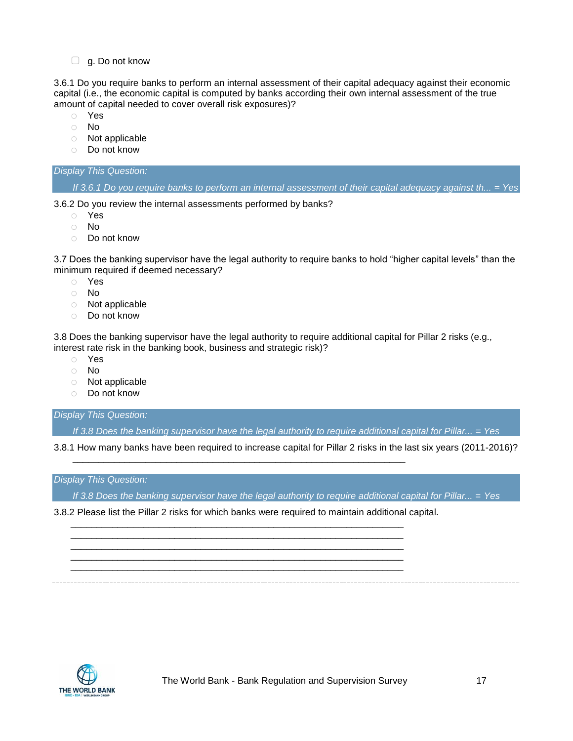□ g. Do not know

3.6.1 Do you require banks to perform an internal assessment of their capital adequacy against their economic capital (i.e., the economic capital is computed by banks according their own internal assessment of the true amount of capital needed to cover overall risk exposures)?

- o Yes
- o No
- o Not applicable
- o Do not know

### *Display This Question:*

*If 3.6.1 Do you require banks to perform an internal assessment of their capital adequacy against th... = Yes*

3.6.2 Do you review the internal assessments performed by banks?

- o Yes
- o No
- o Do not know

3.7 Does the banking supervisor have the legal authority to require banks to hold "higher capital levels" than the minimum required if deemed necessary?

- o Yes
- o No
- o Not applicable
- o Do not know

3.8 Does the banking supervisor have the legal authority to require additional capital for Pillar 2 risks (e.g., interest rate risk in the banking book, business and strategic risk)?

- o Yes
- o No
- o Not applicable
- o Do not know

*Display This Question:*

*If 3.8 Does the banking supervisor have the legal authority to require additional capital for Pillar... = Yes*

3.8.1 How many banks have been required to increase capital for Pillar 2 risks in the last six years (2011-2016)?

#### *Display This Question:*

*If 3.8 Does the banking supervisor have the legal authority to require additional capital for Pillar... = Yes*

3.8.2 Please list the Pillar 2 risks for which banks were required to maintain additional capital.

\_\_\_\_\_\_\_\_\_\_\_\_\_\_\_\_\_\_\_\_\_\_\_\_\_\_\_\_\_\_\_\_\_\_\_\_\_\_\_\_\_\_\_\_\_\_\_\_\_\_\_\_\_\_\_\_\_\_\_\_\_\_\_\_ \_\_\_\_\_\_\_\_\_\_\_\_\_\_\_\_\_\_\_\_\_\_\_\_\_\_\_\_\_\_\_\_\_\_\_\_\_\_\_\_\_\_\_\_\_\_\_\_\_\_\_\_\_\_\_\_\_\_\_\_\_\_\_\_ \_\_\_\_\_\_\_\_\_\_\_\_\_\_\_\_\_\_\_\_\_\_\_\_\_\_\_\_\_\_\_\_\_\_\_\_\_\_\_\_\_\_\_\_\_\_\_\_\_\_\_\_\_\_\_\_\_\_\_\_\_\_\_\_ \_\_\_\_\_\_\_\_\_\_\_\_\_\_\_\_\_\_\_\_\_\_\_\_\_\_\_\_\_\_\_\_\_\_\_\_\_\_\_\_\_\_\_\_\_\_\_\_\_\_\_\_\_\_\_\_\_\_\_\_\_\_\_\_ \_\_\_\_\_\_\_\_\_\_\_\_\_\_\_\_\_\_\_\_\_\_\_\_\_\_\_\_\_\_\_\_\_\_\_\_\_\_\_\_\_\_\_\_\_\_\_\_\_\_\_\_\_\_\_\_\_\_\_\_\_\_\_\_

\_\_\_\_\_\_\_\_\_\_\_\_\_\_\_\_\_\_\_\_\_\_\_\_\_\_\_\_\_\_\_\_\_\_\_\_\_\_\_\_\_\_\_\_\_\_\_\_\_\_\_\_\_\_\_\_\_\_\_\_\_\_\_\_

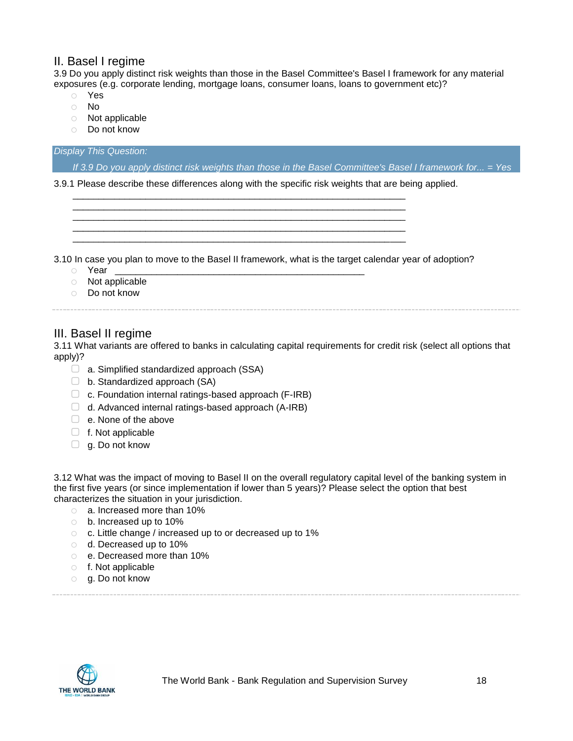## <span id="page-17-0"></span>II. Basel I regime

3.9 Do you apply distinct risk weights than those in the Basel Committee's Basel I framework for any material exposures (e.g. corporate lending, mortgage loans, consumer loans, loans to government etc)?

- o Yes
- o No
- o Not applicable
- o Do not know

#### *Display This Question:*

*If 3.9 Do you apply distinct risk weights than those in the Basel Committee's Basel I framework for... = Yes*

3.9.1 Please describe these differences along with the specific risk weights that are being applied.

\_\_\_\_\_\_\_\_\_\_\_\_\_\_\_\_\_\_\_\_\_\_\_\_\_\_\_\_\_\_\_\_\_\_\_\_\_\_\_\_\_\_\_\_\_\_\_\_\_\_\_\_\_\_\_\_\_\_\_\_\_\_\_\_ \_\_\_\_\_\_\_\_\_\_\_\_\_\_\_\_\_\_\_\_\_\_\_\_\_\_\_\_\_\_\_\_\_\_\_\_\_\_\_\_\_\_\_\_\_\_\_\_\_\_\_\_\_\_\_\_\_\_\_\_\_\_\_\_ \_\_\_\_\_\_\_\_\_\_\_\_\_\_\_\_\_\_\_\_\_\_\_\_\_\_\_\_\_\_\_\_\_\_\_\_\_\_\_\_\_\_\_\_\_\_\_\_\_\_\_\_\_\_\_\_\_\_\_\_\_\_\_\_ \_\_\_\_\_\_\_\_\_\_\_\_\_\_\_\_\_\_\_\_\_\_\_\_\_\_\_\_\_\_\_\_\_\_\_\_\_\_\_\_\_\_\_\_\_\_\_\_\_\_\_\_\_\_\_\_\_\_\_\_\_\_\_\_ \_\_\_\_\_\_\_\_\_\_\_\_\_\_\_\_\_\_\_\_\_\_\_\_\_\_\_\_\_\_\_\_\_\_\_\_\_\_\_\_\_\_\_\_\_\_\_\_\_\_\_\_\_\_\_\_\_\_\_\_\_\_\_\_

3.10 In case you plan to move to the Basel II framework, what is the target calendar year of adoption?

- $\circ$  Year
- o Not applicable
- o Do not know

# <span id="page-17-1"></span>III. Basel II regime

3.11 What variants are offered to banks in calculating capital requirements for credit risk (select all options that apply)?

- $\Box$  a. Simplified standardized approach (SSA)
- $\Box$  b. Standardized approach (SA)
- $\Box$  c. Foundation internal ratings-based approach (F-IRB)
- $\Box$  d. Advanced internal ratings-based approach (A-IRB)
- □ e. None of the above
- ▢ f. Not applicable
- $\Box$  g. Do not know

3.12 What was the impact of moving to Basel II on the overall regulatory capital level of the banking system in the first five years (or since implementation if lower than 5 years)? Please select the option that best characterizes the situation in your jurisdiction.

- o a. Increased more than 10%
- o b. Increased up to 10%
- o c. Little change / increased up to or decreased up to 1%
- o d. Decreased up to 10%
- o e. Decreased more than 10%
- o f. Not applicable
- o g. Do not know

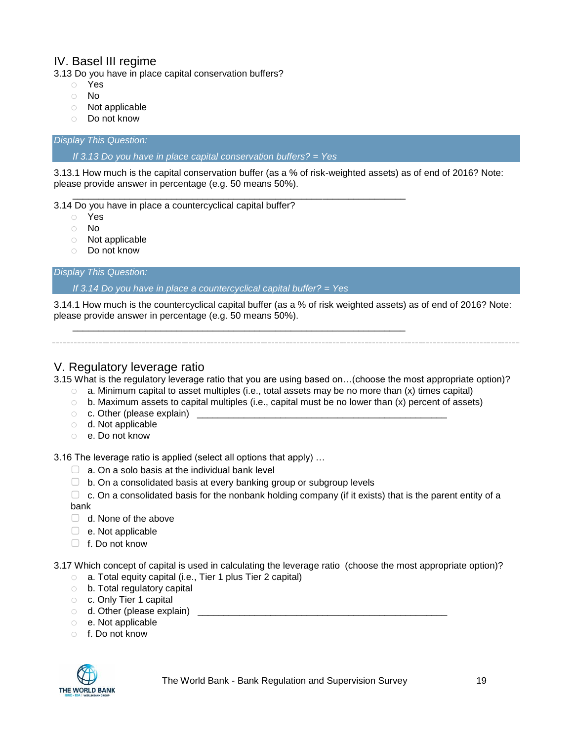## <span id="page-18-0"></span>IV. Basel III regime

3.13 Do you have in place capital conservation buffers?

- o Yes
- o No
- o Not applicable
- o Do not know

#### *Display This Question:*

*If 3.13 Do you have in place capital conservation buffers? = Yes*

3.13.1 How much is the capital conservation buffer (as a % of risk-weighted assets) as of end of 2016? Note: please provide answer in percentage (e.g. 50 means 50%).

\_\_\_\_\_\_\_\_\_\_\_\_\_\_\_\_\_\_\_\_\_\_\_\_\_\_\_\_\_\_\_\_\_\_\_\_\_\_\_\_\_\_\_\_\_\_\_\_\_\_\_\_\_\_\_\_\_\_\_\_\_\_\_\_ 3.14 Do you have in place a countercyclical capital buffer?

- o Yes
- o No
- o Not applicable
- o Do not know

*Display This Question:*

*If 3.14 Do you have in place a countercyclical capital buffer? = Yes*

\_\_\_\_\_\_\_\_\_\_\_\_\_\_\_\_\_\_\_\_\_\_\_\_\_\_\_\_\_\_\_\_\_\_\_\_\_\_\_\_\_\_\_\_\_\_\_\_\_\_\_\_\_\_\_\_\_\_\_\_\_\_\_\_

3.14.1 How much is the countercyclical capital buffer (as a % of risk weighted assets) as of end of 2016? Note: please provide answer in percentage (e.g. 50 means 50%).

### <span id="page-18-1"></span>V. Regulatory leverage ratio

3.15 What is the regulatory leverage ratio that you are using based on…(choose the most appropriate option)?

- $\circ$  a. Minimum capital to asset multiples (i.e., total assets may be no more than (x) times capital)
- o b. Maximum assets to capital multiples (i.e., capital must be no lower than (x) percent of assets)
- $\circ$  c. Other (please explain)  $\Box$
- o d. Not applicable
- o e. Do not know

3.16 The leverage ratio is applied (select all options that apply) …

- $\Box$  a. On a solo basis at the individual bank level
- $\Box$  b. On a consolidated basis at every banking group or subgroup levels

 $\Box$  c. On a consolidated basis for the nonbank holding company (if it exists) that is the parent entity of a bank

- $\Box$  d. None of the above
- $\Box$  e. Not applicable
- $\Box$  f. Do not know

3.17 Which concept of capital is used in calculating the leverage ratio (choose the most appropriate option)?

- o a. Total equity capital (i.e., Tier 1 plus Tier 2 capital)
- o b. Total regulatory capital
- o c. Only Tier 1 capital
- o d. Other (please explain) \_\_\_\_\_\_\_\_\_\_\_\_\_\_\_\_\_\_\_\_\_\_\_\_\_\_\_\_\_\_\_\_\_\_\_\_\_\_\_\_\_\_\_\_\_\_\_\_
- o e. Not applicable
- o f. Do not know

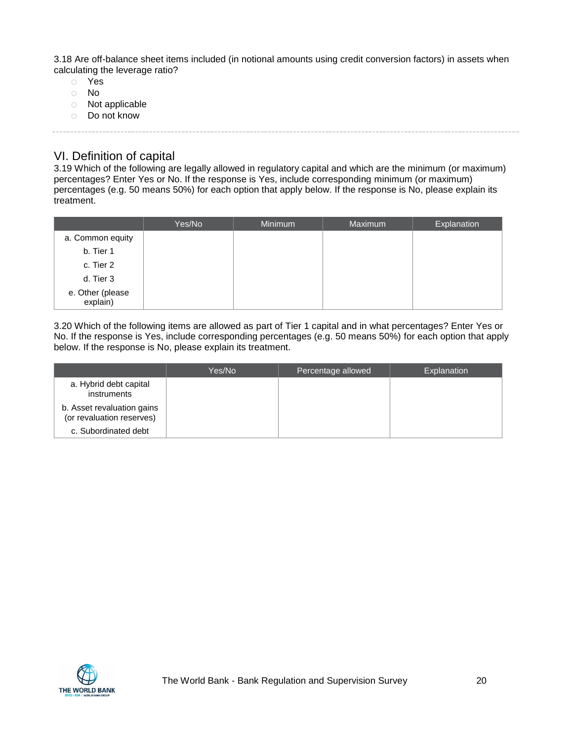3.18 Are off-balance sheet items included (in notional amounts using credit conversion factors) in assets when calculating the leverage ratio?

- o Yes
- o No
- o Not applicable
- o Do not know

### <span id="page-19-0"></span>VI. Definition of capital

3.19 Which of the following are legally allowed in regulatory capital and which are the minimum (or maximum) percentages? Enter Yes or No. If the response is Yes, include corresponding minimum (or maximum) percentages (e.g. 50 means 50%) for each option that apply below. If the response is No, please explain its treatment.

|                              | Yes/No | Minimum | Maximum | Explanation |
|------------------------------|--------|---------|---------|-------------|
| a. Common equity             |        |         |         |             |
| b. Tier 1                    |        |         |         |             |
| c. Tier 2                    |        |         |         |             |
| d. Tier 3                    |        |         |         |             |
| e. Other (please<br>explain) |        |         |         |             |

3.20 Which of the following items are allowed as part of Tier 1 capital and in what percentages? Enter Yes or No. If the response is Yes, include corresponding percentages (e.g. 50 means 50%) for each option that apply below. If the response is No, please explain its treatment.

|                                                         | Yes/No | Percentage allowed | Explanation |
|---------------------------------------------------------|--------|--------------------|-------------|
| a. Hybrid debt capital<br>instruments                   |        |                    |             |
| b. Asset revaluation gains<br>(or revaluation reserves) |        |                    |             |
| c. Subordinated debt                                    |        |                    |             |

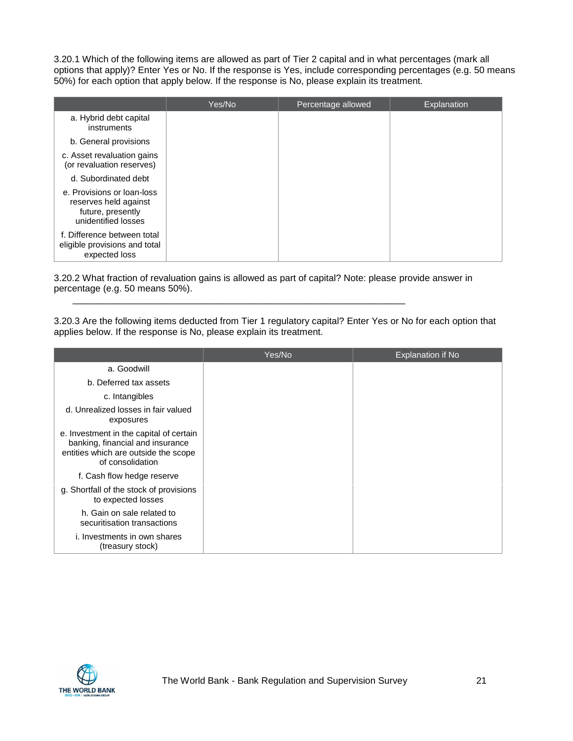3.20.1 Which of the following items are allowed as part of Tier 2 capital and in what percentages (mark all options that apply)? Enter Yes or No. If the response is Yes, include corresponding percentages (e.g. 50 means 50%) for each option that apply below. If the response is No, please explain its treatment.

|                                                                                                 | Yes/No | Percentage allowed | Explanation |
|-------------------------------------------------------------------------------------------------|--------|--------------------|-------------|
| a. Hybrid debt capital<br>instruments                                                           |        |                    |             |
| b. General provisions                                                                           |        |                    |             |
| c. Asset revaluation gains<br>(or revaluation reserves)                                         |        |                    |             |
| d. Subordinated debt                                                                            |        |                    |             |
| e. Provisions or loan-loss<br>reserves held against<br>future, presently<br>unidentified losses |        |                    |             |
| f. Difference between total<br>eligible provisions and total<br>expected loss                   |        |                    |             |

3.20.2 What fraction of revaluation gains is allowed as part of capital? Note: please provide answer in percentage (e.g. 50 means 50%).

\_\_\_\_\_\_\_\_\_\_\_\_\_\_\_\_\_\_\_\_\_\_\_\_\_\_\_\_\_\_\_\_\_\_\_\_\_\_\_\_\_\_\_\_\_\_\_\_\_\_\_\_\_\_\_\_\_\_\_\_\_\_\_\_

3.20.3 Are the following items deducted from Tier 1 regulatory capital? Enter Yes or No for each option that applies below. If the response is No, please explain its treatment.

|                                                                                                                                         | Yes/No | Explanation if No |
|-----------------------------------------------------------------------------------------------------------------------------------------|--------|-------------------|
| a. Goodwill                                                                                                                             |        |                   |
| b. Deferred tax assets                                                                                                                  |        |                   |
| c. Intangibles                                                                                                                          |        |                   |
| d. Unrealized losses in fair valued<br>exposures                                                                                        |        |                   |
| e. Investment in the capital of certain<br>banking, financial and insurance<br>entities which are outside the scope<br>of consolidation |        |                   |
| f. Cash flow hedge reserve                                                                                                              |        |                   |
| g. Shortfall of the stock of provisions<br>to expected losses                                                                           |        |                   |
| h. Gain on sale related to<br>securitisation transactions                                                                               |        |                   |
| i. Investments in own shares<br>(treasury stock)                                                                                        |        |                   |

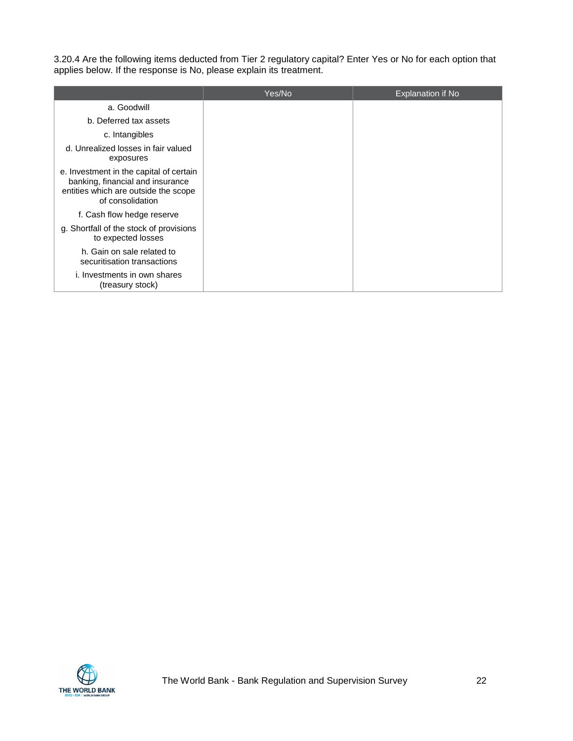3.20.4 Are the following items deducted from Tier 2 regulatory capital? Enter Yes or No for each option that applies below. If the response is No, please explain its treatment.

|                                                                                                                                         | Yes/No | <b>Explanation if No</b> |
|-----------------------------------------------------------------------------------------------------------------------------------------|--------|--------------------------|
| a. Goodwill                                                                                                                             |        |                          |
| b. Deferred tax assets                                                                                                                  |        |                          |
| c. Intangibles                                                                                                                          |        |                          |
| d. Unrealized losses in fair valued<br>exposures                                                                                        |        |                          |
| e. Investment in the capital of certain<br>banking, financial and insurance<br>entities which are outside the scope<br>of consolidation |        |                          |
| f. Cash flow hedge reserve                                                                                                              |        |                          |
| g. Shortfall of the stock of provisions<br>to expected losses                                                                           |        |                          |
| h. Gain on sale related to<br>securitisation transactions                                                                               |        |                          |
| i. Investments in own shares<br>(treasury stock)                                                                                        |        |                          |

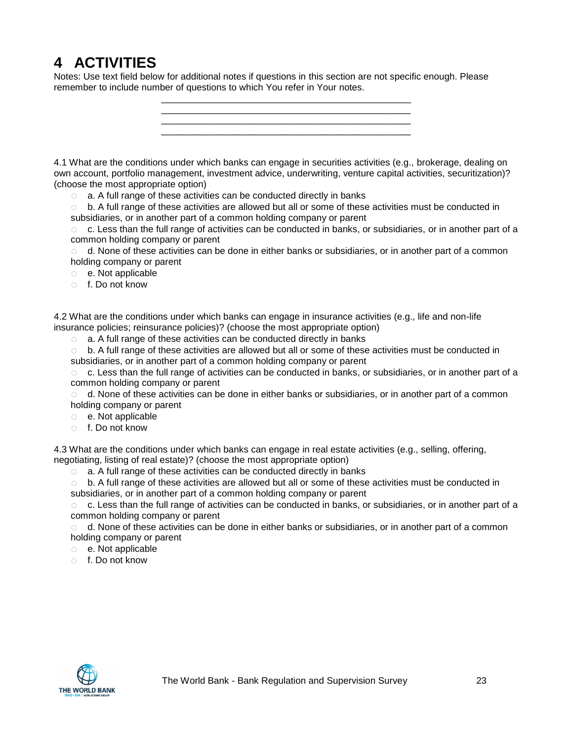# <span id="page-22-0"></span>**4 ACTIVITIES**

Notes: Use text field below for additional notes if questions in this section are not specific enough. Please remember to include number of questions to which You refer in Your notes.

> \_\_\_\_\_\_\_\_\_\_\_\_\_\_\_\_\_\_\_\_\_\_\_\_\_\_\_\_\_\_\_\_\_\_\_\_\_\_\_\_\_\_\_\_\_\_\_\_ \_\_\_\_\_\_\_\_\_\_\_\_\_\_\_\_\_\_\_\_\_\_\_\_\_\_\_\_\_\_\_\_\_\_\_\_\_\_\_\_\_\_\_\_\_\_\_\_ \_\_\_\_\_\_\_\_\_\_\_\_\_\_\_\_\_\_\_\_\_\_\_\_\_\_\_\_\_\_\_\_\_\_\_\_\_\_\_\_\_\_\_\_\_\_\_\_ \_\_\_\_\_\_\_\_\_\_\_\_\_\_\_\_\_\_\_\_\_\_\_\_\_\_\_\_\_\_\_\_\_\_\_\_\_\_\_\_\_\_\_\_\_\_\_\_

4.1 What are the conditions under which banks can engage in securities activities (e.g., brokerage, dealing on own account, portfolio management, investment advice, underwriting, venture capital activities, securitization)? (choose the most appropriate option)

o a. A full range of these activities can be conducted directly in banks

 $\circ$  b. A full range of these activities are allowed but all or some of these activities must be conducted in subsidiaries, or in another part of a common holding company or parent

 $\circ$  c. Less than the full range of activities can be conducted in banks, or subsidiaries, or in another part of a common holding company or parent

 $\circ$  d. None of these activities can be done in either banks or subsidiaries, or in another part of a common holding company or parent

- o e. Not applicable
- o f. Do not know

4.2 What are the conditions under which banks can engage in insurance activities (e.g., life and non-life insurance policies; reinsurance policies)? (choose the most appropriate option)

o a. A full range of these activities can be conducted directly in banks

o b. A full range of these activities are allowed but all or some of these activities must be conducted in subsidiaries, or in another part of a common holding company or parent

 $\circ$  c. Less than the full range of activities can be conducted in banks, or subsidiaries, or in another part of a common holding company or parent

 $\circ$  d. None of these activities can be done in either banks or subsidiaries, or in another part of a common holding company or parent

- o e. Not applicable
- o f. Do not know

4.3 What are the conditions under which banks can engage in real estate activities (e.g., selling, offering, negotiating, listing of real estate)? (choose the most appropriate option)

o a. A full range of these activities can be conducted directly in banks

o b. A full range of these activities are allowed but all or some of these activities must be conducted in subsidiaries, or in another part of a common holding company or parent

 $\circ$  c. Less than the full range of activities can be conducted in banks, or subsidiaries, or in another part of a common holding company or parent

 $\circ$  d. None of these activities can be done in either banks or subsidiaries, or in another part of a common holding company or parent

- o e. Not applicable
- o f. Do not know

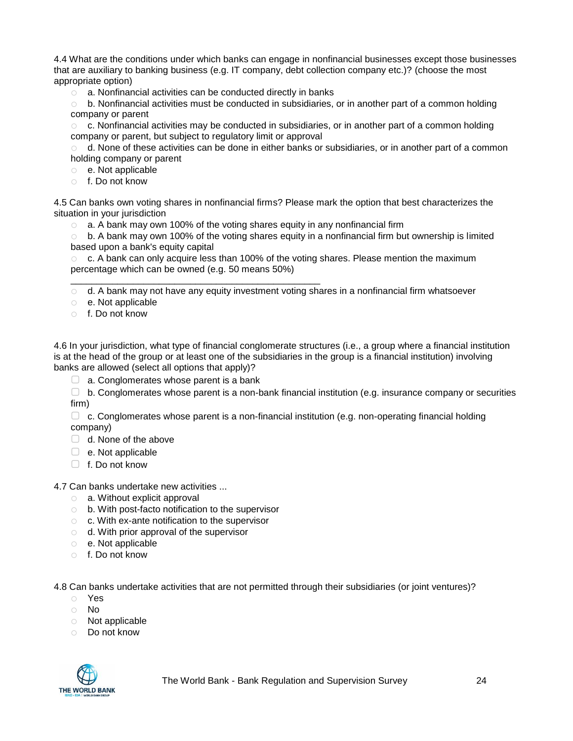4.4 What are the conditions under which banks can engage in nonfinancial businesses except those businesses that are auxiliary to banking business (e.g. IT company, debt collection company etc.)? (choose the most appropriate option)

o a. Nonfinancial activities can be conducted directly in banks

\_\_\_\_\_\_\_\_\_\_\_\_\_\_\_\_\_\_\_\_\_\_\_\_\_\_\_\_\_\_\_\_\_\_\_\_\_\_\_\_\_\_\_\_\_\_\_\_

b. Nonfinancial activities must be conducted in subsidiaries, or in another part of a common holding company or parent

 $\circ$  c. Nonfinancial activities may be conducted in subsidiaries, or in another part of a common holding company or parent, but subject to regulatory limit or approval

 $\circ$  d. None of these activities can be done in either banks or subsidiaries, or in another part of a common holding company or parent

- o e. Not applicable
- o f. Do not know

4.5 Can banks own voting shares in nonfinancial firms? Please mark the option that best characterizes the situation in your jurisdiction

 $\circ$  a. A bank may own 100% of the voting shares equity in any nonfinancial firm

 $\circ$  b. A bank may own 100% of the voting shares equity in a nonfinancial firm but ownership is limited based upon a bank's equity capital

 $\circ$  c. A bank can only acquire less than 100% of the voting shares. Please mention the maximum percentage which can be owned (e.g. 50 means 50%)

 $\circ$  d. A bank may not have any equity investment voting shares in a nonfinancial firm whatsoever

- o e. Not applicable
- o f. Do not know

4.6 In your jurisdiction, what type of financial conglomerate structures (i.e., a group where a financial institution is at the head of the group or at least one of the subsidiaries in the group is a financial institution) involving banks are allowed (select all options that apply)?

 $\Box$  a. Conglomerates whose parent is a bank

 $\Box$  b. Conglomerates whose parent is a non-bank financial institution (e.g. insurance company or securities firm)

▢ c. Conglomerates whose parent is a non-financial institution (e.g. non-operating financial holding company)

- $\Box$  d. None of the above
- ▢ e. Not applicable
- ▢ f. Do not know

4.7 Can banks undertake new activities ...

- o a. Without explicit approval
- o b. With post-facto notification to the supervisor
- o c. With ex-ante notification to the supervisor
- o d. With prior approval of the supervisor
- o e. Not applicable
- o f. Do not know

4.8 Can banks undertake activities that are not permitted through their subsidiaries (or joint ventures)?

- o Yes
- o No
- o Not applicable
- o Do not know

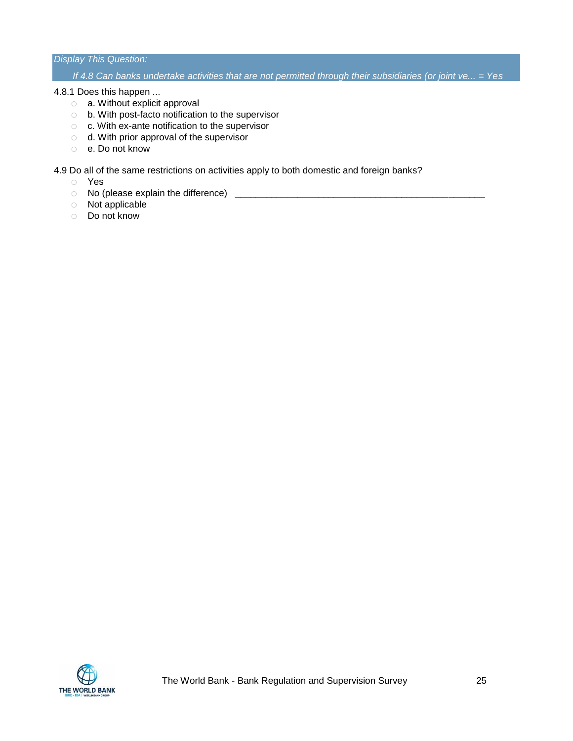#### *Display This Question:*

*If 4.8 Can banks undertake activities that are not permitted through their subsidiaries (or joint ve... = Yes*

#### 4.8.1 Does this happen ...

- o a. Without explicit approval
- o b. With post-facto notification to the supervisor
- o c. With ex-ante notification to the supervisor
- o d. With prior approval of the supervisor
- o e. Do not know

#### 4.9 Do all of the same restrictions on activities apply to both domestic and foreign banks?

- o Yes
- o No (please explain the difference) \_\_\_\_\_\_\_\_\_\_\_\_\_\_\_\_\_\_\_\_\_\_\_\_\_\_\_\_\_\_\_\_\_\_\_\_\_\_\_\_\_\_\_\_\_\_\_\_
- o Not applicable
- o Do not know

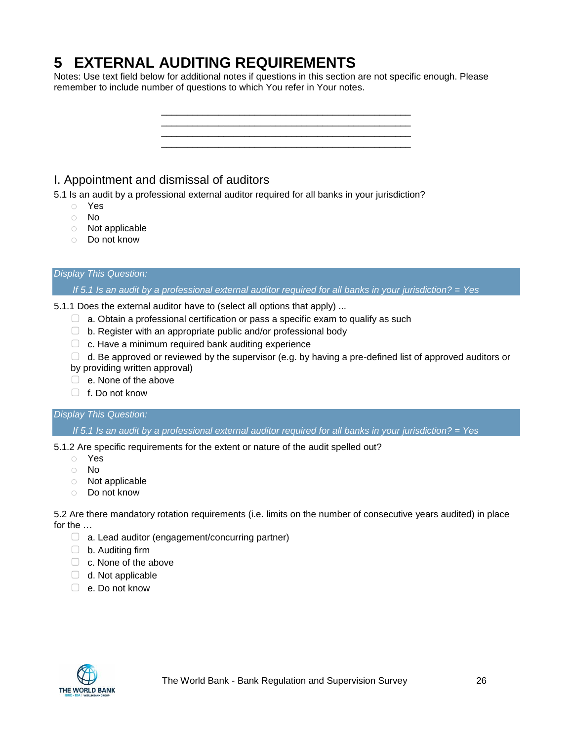# <span id="page-25-0"></span>**5 EXTERNAL AUDITING REQUIREMENTS**

Notes: Use text field below for additional notes if questions in this section are not specific enough. Please remember to include number of questions to which You refer in Your notes.

> \_\_\_\_\_\_\_\_\_\_\_\_\_\_\_\_\_\_\_\_\_\_\_\_\_\_\_\_\_\_\_\_\_\_\_\_\_\_\_\_\_\_\_\_\_\_\_\_ \_\_\_\_\_\_\_\_\_\_\_\_\_\_\_\_\_\_\_\_\_\_\_\_\_\_\_\_\_\_\_\_\_\_\_\_\_\_\_\_\_\_\_\_\_\_\_\_

> \_\_\_\_\_\_\_\_\_\_\_\_\_\_\_\_\_\_\_\_\_\_\_\_\_\_\_\_\_\_\_\_\_\_\_\_\_\_\_\_\_\_\_\_\_\_\_\_

# <span id="page-25-1"></span>I. Appointment and dismissal of auditors

5.1 Is an audit by a professional external auditor required for all banks in your jurisdiction?

- o Yes
- o No
- o Not applicable
- o Do not know

#### *Display This Question:*

*If 5.1 Is an audit by a professional external auditor required for all banks in your jurisdiction? = Yes*

- 5.1.1 Does the external auditor have to (select all options that apply) ...
	- $\Box$  a. Obtain a professional certification or pass a specific exam to qualify as such
	- $\Box$  b. Register with an appropriate public and/or professional body
	- $\Box$  c. Have a minimum required bank auditing experience
	- $\Box$  d. Be approved or reviewed by the supervisor (e.g. by having a pre-defined list of approved auditors or
	- by providing written approval)
	- □ e. None of the above
	- ▢ f. Do not know

#### *Display This Question:*

*If 5.1 Is an audit by a professional external auditor required for all banks in your jurisdiction? = Yes*

5.1.2 Are specific requirements for the extent or nature of the audit spelled out?

- o Yes
- o No
- o Not applicable
- o Do not know

5.2 Are there mandatory rotation requirements (i.e. limits on the number of consecutive years audited) in place for the …

- $\Box$  a. Lead auditor (engagement/concurring partner)
- ▢ b. Auditing firm
- $\Box$  c. None of the above
- $\Box$  d. Not applicable
- ▢ e. Do not know

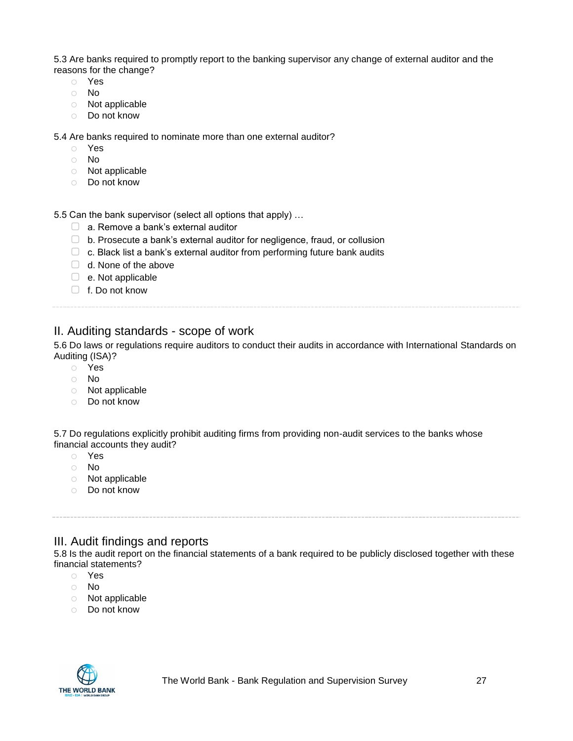5.3 Are banks required to promptly report to the banking supervisor any change of external auditor and the reasons for the change?

- o Yes
- o No
- o Not applicable
- o Do not know

5.4 Are banks required to nominate more than one external auditor?

- o Yes
- o No
- o Not applicable
- o Do not know

5.5 Can the bank supervisor (select all options that apply) …

- □ a. Remove a bank's external auditor
- ▢ b. Prosecute a bank's external auditor for negligence, fraud, or collusion
- $\Box$  c. Black list a bank's external auditor from performing future bank audits
- $\Box$  d. None of the above
- ▢ e. Not applicable
- □ f. Do not know

### <span id="page-26-0"></span>II. Auditing standards - scope of work

5.6 Do laws or regulations require auditors to conduct their audits in accordance with International Standards on Auditing (ISA)?

- o Yes
- o No
- o Not applicable
- o Do not know

5.7 Do regulations explicitly prohibit auditing firms from providing non-audit services to the banks whose financial accounts they audit?

- o Yes
- o No
- o Not applicable
- o Do not know

### <span id="page-26-1"></span>III. Audit findings and reports

5.8 Is the audit report on the financial statements of a bank required to be publicly disclosed together with these financial statements?

- o Yes
- o No
- o Not applicable
- o Do not know

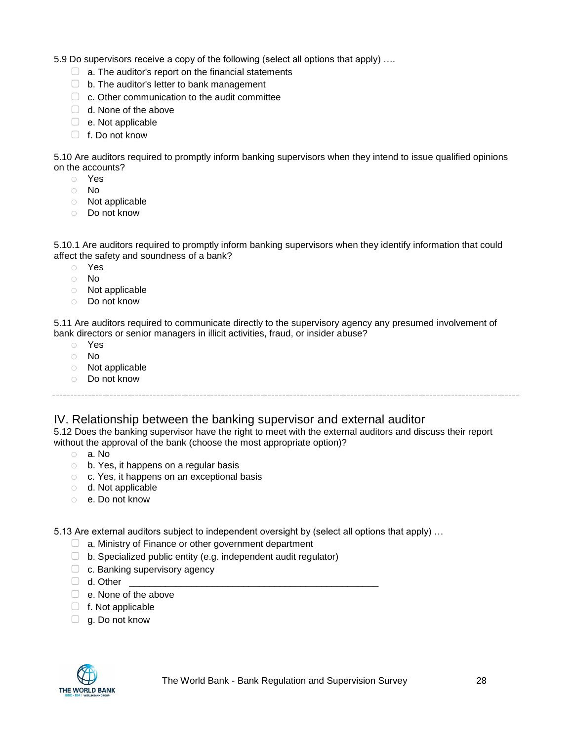5.9 Do supervisors receive a copy of the following (select all options that apply) ….

- $\Box$  a. The auditor's report on the financial statements
- ▢ b. The auditor's letter to bank management
- $\Box$  c. Other communication to the audit committee
- □ d. None of the above
- $\Box$  e. Not applicable
- ▢ f. Do not know

5.10 Are auditors required to promptly inform banking supervisors when they intend to issue qualified opinions on the accounts?

- o Yes
- o No
- o Not applicable
- o Do not know

5.10.1 Are auditors required to promptly inform banking supervisors when they identify information that could affect the safety and soundness of a bank?

- o Yes
- o No
- o Not applicable
- o Do not know

5.11 Are auditors required to communicate directly to the supervisory agency any presumed involvement of bank directors or senior managers in illicit activities, fraud, or insider abuse?

- o Yes
- o No
- o Not applicable
- o Do not know

### <span id="page-27-0"></span>IV. Relationship between the banking supervisor and external auditor

5.12 Does the banking supervisor have the right to meet with the external auditors and discuss their report without the approval of the bank (choose the most appropriate option)?

- o a. No
- o b. Yes, it happens on a regular basis
- o c. Yes, it happens on an exceptional basis
- o d. Not applicable
- o e. Do not know

5.13 Are external auditors subject to independent oversight by (select all options that apply) …

- ▢ a. Ministry of Finance or other government department
- $\Box$  b. Specialized public entity (e.g. independent audit regulator)
- $\Box$  c. Banking supervisory agency
- $\Box$  d. Other
- □ e. None of the above
- ▢ f. Not applicable
- $\Box$  g. Do not know

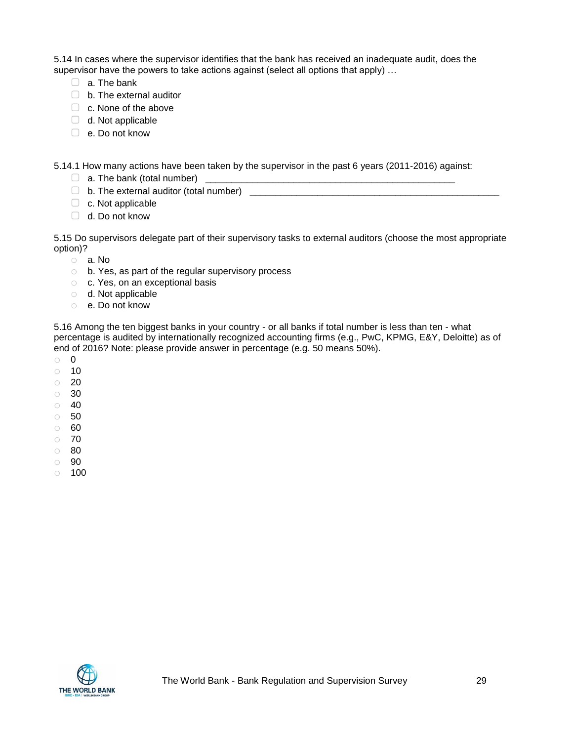5.14 In cases where the supervisor identifies that the bank has received an inadequate audit, does the supervisor have the powers to take actions against (select all options that apply) …

- □ a. The bank
- $\Box$  b. The external auditor
- □ c. None of the above
- $\Box$  d. Not applicable
- ▢ e. Do not know

5.14.1 How many actions have been taken by the supervisor in the past 6 years (2011-2016) against:

- $\Box$  a. The bank (total number)  $\Box$
- $\Box$  b. The external auditor (total number)
- $\Box$  c. Not applicable
- □ d. Do not know

5.15 Do supervisors delegate part of their supervisory tasks to external auditors (choose the most appropriate option)?

- o a. No
- o b. Yes, as part of the regular supervisory process
- o c. Yes, on an exceptional basis
- o d. Not applicable
- o e. Do not know

5.16 Among the ten biggest banks in your country - or all banks if total number is less than ten - what percentage is audited by internationally recognized accounting firms (e.g., PwC, KPMG, E&Y, Deloitte) as of end of 2016? Note: please provide answer in percentage (e.g. 50 means 50%).

- o 0
- o 10
- o 20
- o 30
- $\circ$  40
- o 50
- o 60
- o 70
- o 80
- o 90
- $\circ$  100

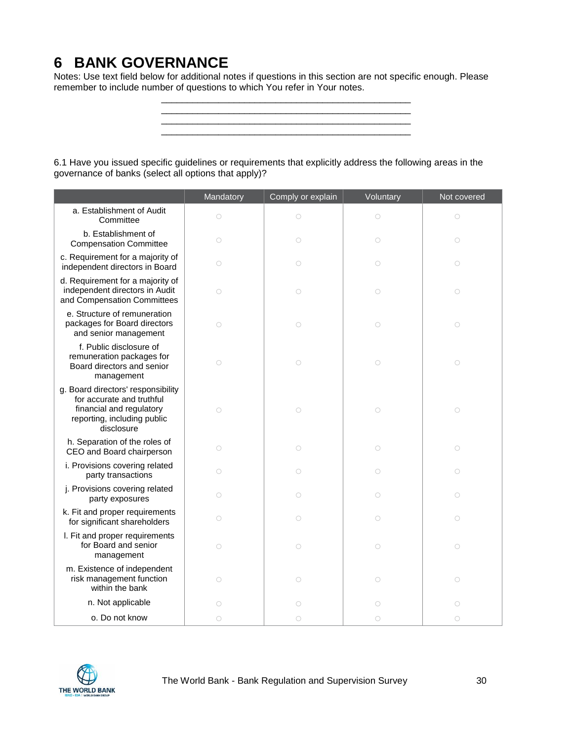# <span id="page-29-0"></span>**6 BANK GOVERNANCE**

Notes: Use text field below for additional notes if questions in this section are not specific enough. Please remember to include number of questions to which You refer in Your notes.

> \_\_\_\_\_\_\_\_\_\_\_\_\_\_\_\_\_\_\_\_\_\_\_\_\_\_\_\_\_\_\_\_\_\_\_\_\_\_\_\_\_\_\_\_\_\_\_\_ \_\_\_\_\_\_\_\_\_\_\_\_\_\_\_\_\_\_\_\_\_\_\_\_\_\_\_\_\_\_\_\_\_\_\_\_\_\_\_\_\_\_\_\_\_\_\_\_ \_\_\_\_\_\_\_\_\_\_\_\_\_\_\_\_\_\_\_\_\_\_\_\_\_\_\_\_\_\_\_\_\_\_\_\_\_\_\_\_\_\_\_\_\_\_\_\_ \_\_\_\_\_\_\_\_\_\_\_\_\_\_\_\_\_\_\_\_\_\_\_\_\_\_\_\_\_\_\_\_\_\_\_\_\_\_\_\_\_\_\_\_\_\_\_\_

6.1 Have you issued specific guidelines or requirements that explicitly address the following areas in the governance of banks (select all options that apply)?

|                                                                                                                                          | Mandatory           | Comply or explain | Voluntary           | Not covered |
|------------------------------------------------------------------------------------------------------------------------------------------|---------------------|-------------------|---------------------|-------------|
| a. Establishment of Audit<br>Committee                                                                                                   | $\circ$             | $\circ$           | $\circ$             | $\bigcirc$  |
| b. Establishment of<br><b>Compensation Committee</b>                                                                                     | $\circlearrowright$ | $\bigcirc$        | $\bigcirc$          | $\bigcirc$  |
| c. Requirement for a majority of<br>independent directors in Board                                                                       | $\circlearrowright$ | $\bigcirc$        | $\bigcirc$          | $\bigcirc$  |
| d. Requirement for a majority of<br>independent directors in Audit<br>and Compensation Committees                                        | $\bigcirc$          | $\bigcirc$        | $\bigcirc$          | $\bigcirc$  |
| e. Structure of remuneration<br>packages for Board directors<br>and senior management                                                    | $\circlearrowright$ | $\bigcirc$        | $\bigcirc$          | $\bigcirc$  |
| f. Public disclosure of<br>remuneration packages for<br>Board directors and senior<br>management                                         | $\circlearrowright$ | $\bigcirc$        | $\bigcirc$          | $\bigcirc$  |
| g. Board directors' responsibility<br>for accurate and truthful<br>financial and regulatory<br>reporting, including public<br>disclosure | $\circ$             | $\bigcirc$        | $\circlearrowright$ | $\bigcirc$  |
| h. Separation of the roles of<br>CEO and Board chairperson                                                                               | $\circ$             | $\bigcirc$        | $\circ$             | $\bigcirc$  |
| i. Provisions covering related<br>party transactions                                                                                     | $\circ$             | $\bigcirc$        | $\bigcirc$          | $\bigcirc$  |
| j. Provisions covering related<br>party exposures                                                                                        | $\circ$             | $\circ$           | $\circ$             | $\bigcirc$  |
| k. Fit and proper requirements<br>for significant shareholders                                                                           | $\circ$             | $\bigcirc$        | $\bigcirc$          | $\bigcirc$  |
| I. Fit and proper requirements<br>for Board and senior<br>management                                                                     | $\circlearrowright$ | $\bigcirc$        | $\bigcirc$          | $\bigcirc$  |
| m. Existence of independent<br>risk management function<br>within the bank                                                               | $\bigcirc$          | $\bigcirc$        | $\bigcirc$          | $\bigcirc$  |
| n. Not applicable                                                                                                                        | $\circ$             | $\circ$           | $\circ$             | $\circ$     |
| o. Do not know                                                                                                                           | $\circlearrowright$ | $\bigcirc$        | $\bigcirc$          | $\bigcirc$  |

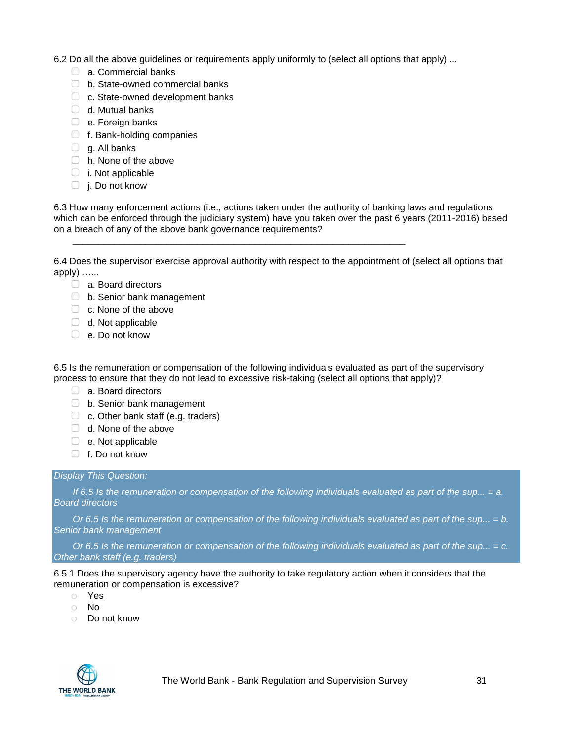6.2 Do all the above guidelines or requirements apply uniformly to (select all options that apply) ...

- □ a. Commercial banks
- ▢ b. State-owned commercial banks
- □ c. State-owned development banks
- $\Box$  d. Mutual banks
- □ e. Foreign banks
- ▢ f. Bank-holding companies
- $\Box$  g. All banks
- ▢ h. None of the above
- $\Box$  i. Not applicable
- $\Box$  j. Do not know

6.3 How many enforcement actions (i.e., actions taken under the authority of banking laws and regulations which can be enforced through the judiciary system) have you taken over the past 6 years (2011-2016) based on a breach of any of the above bank governance requirements?

6.4 Does the supervisor exercise approval authority with respect to the appointment of (select all options that apply) …...

\_\_\_\_\_\_\_\_\_\_\_\_\_\_\_\_\_\_\_\_\_\_\_\_\_\_\_\_\_\_\_\_\_\_\_\_\_\_\_\_\_\_\_\_\_\_\_\_\_\_\_\_\_\_\_\_\_\_\_\_\_\_\_\_

- ▢ a. Board directors
- □ b. Senior bank management
- □ c. None of the above
- $\Box$  d. Not applicable
- ▢ e. Do not know

6.5 Is the remuneration or compensation of the following individuals evaluated as part of the supervisory process to ensure that they do not lead to excessive risk-taking (select all options that apply)?

- ▢ a. Board directors
- □ b. Senior bank management
- $\Box$  c. Other bank staff (e.g. traders)
- $\Box$  d. None of the above
- $\Box$  e. Not applicable
- ▢ f. Do not know

#### *Display This Question:*

*If 6.5 Is the remuneration or compensation of the following individuals evaluated as part of the sup... = a. Board directors*

*Or 6.5 Is the remuneration or compensation of the following individuals evaluated as part of the sup... = b. Senior bank management*

*Or 6.5 Is the remuneration or compensation of the following individuals evaluated as part of the sup... = c. Other bank staff (e.g. traders)*

6.5.1 Does the supervisory agency have the authority to take regulatory action when it considers that the remuneration or compensation is excessive?

- o Yes
- o No
- o Do not know

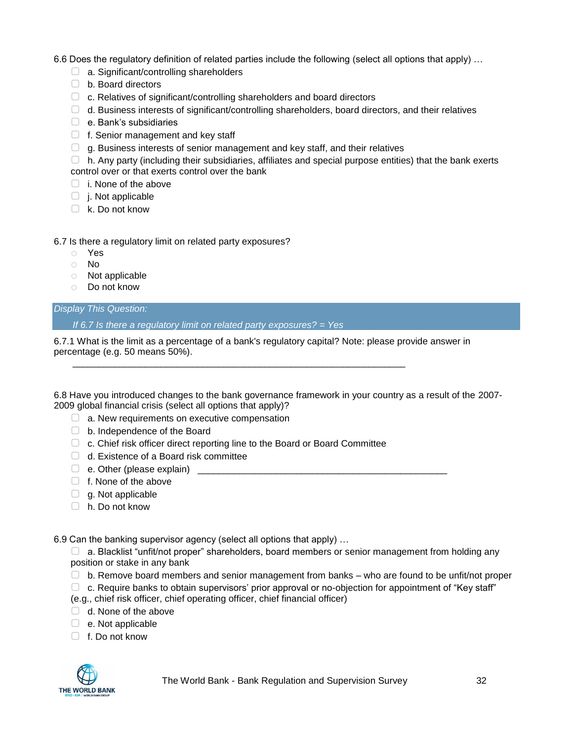6.6 Does the regulatory definition of related parties include the following (select all options that apply) …

- □ a. Significant/controlling shareholders
- ▢ b. Board directors
- ▢ c. Relatives of significant/controlling shareholders and board directors
- $\Box$  d. Business interests of significant/controlling shareholders, board directors, and their relatives
- ▢ e. Bank's subsidiaries
- $\Box$  f. Senior management and key staff
- $\Box$  g. Business interests of senior management and key staff, and their relatives

 $\Box$  h. Any party (including their subsidiaries, affiliates and special purpose entities) that the bank exerts control over or that exerts control over the bank

- ▢ i. None of the above
- ▢ j. Not applicable
- $\Box$  k. Do not know

#### 6.7 Is there a regulatory limit on related party exposures?

- o Yes
- o No
- o Not applicable
- o Do not know

#### *Display This Question:*

*If 6.7 Is there a regulatory limit on related party exposures? = Yes*

6.7.1 What is the limit as a percentage of a bank's regulatory capital? Note: please provide answer in percentage (e.g. 50 means 50%).

6.8 Have you introduced changes to the bank governance framework in your country as a result of the 2007- 2009 global financial crisis (select all options that apply)?

- $\Box$  a. New requirements on executive compensation
- ▢ b. Independence of the Board
- □ c. Chief risk officer direct reporting line to the Board or Board Committee

\_\_\_\_\_\_\_\_\_\_\_\_\_\_\_\_\_\_\_\_\_\_\_\_\_\_\_\_\_\_\_\_\_\_\_\_\_\_\_\_\_\_\_\_\_\_\_\_\_\_\_\_\_\_\_\_\_\_\_\_\_\_\_\_

- □ d. Existence of a Board risk committee
- $\Box$  e. Other (please explain)
- □ f. None of the above
- $\Box$  g. Not applicable
- ▢ h. Do not know

6.9 Can the banking supervisor agency (select all options that apply) …

 $\Box$  a. Blacklist "unfit/not proper" shareholders, board members or senior management from holding any position or stake in any bank

- $\Box$  b. Remove board members and senior management from banks who are found to be unfit/not proper
- $\Box$  c. Require banks to obtain supervisors' prior approval or no-objection for appointment of "Key staff"
- (e.g., chief risk officer, chief operating officer, chief financial officer)
- $\Box$  d. None of the above
- $\Box$  e. Not applicable
- $\Box$  f. Do not know

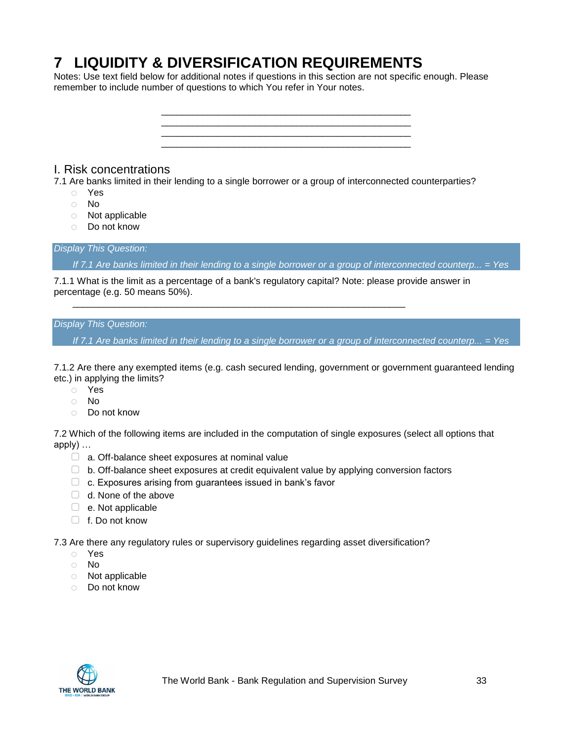# <span id="page-32-0"></span>**7 LIQUIDITY & DIVERSIFICATION REQUIREMENTS**

Notes: Use text field below for additional notes if questions in this section are not specific enough. Please remember to include number of questions to which You refer in Your notes.



### <span id="page-32-1"></span>I. Risk concentrations

- 7.1 Are banks limited in their lending to a single borrower or a group of interconnected counterparties?
	- o Yes
	- o No
	- o Not applicable
	- o Do not know

#### *Display This Question:*

*If 7.1 Are banks limited in their lending to a single borrower or a group of interconnected counterp... = Yes*

7.1.1 What is the limit as a percentage of a bank's regulatory capital? Note: please provide answer in percentage (e.g. 50 means 50%).

\_\_\_\_\_\_\_\_\_\_\_\_\_\_\_\_\_\_\_\_\_\_\_\_\_\_\_\_\_\_\_\_\_\_\_\_\_\_\_\_\_\_\_\_\_\_\_\_\_\_\_\_\_\_\_\_\_\_\_\_\_\_\_\_

#### *Display This Question:*

*If 7.1 Are banks limited in their lending to a single borrower or a group of interconnected counterp... = Yes*

7.1.2 Are there any exempted items (e.g. cash secured lending, government or government guaranteed lending etc.) in applying the limits?

- o Yes
- o No
- o Do not know

7.2 Which of the following items are included in the computation of single exposures (select all options that apply) …

- □ a. Off-balance sheet exposures at nominal value
- $\Box$  b. Off-balance sheet exposures at credit equivalent value by applying conversion factors
- ▢ c. Exposures arising from guarantees issued in bank's favor
- □ d. None of the above
- $\Box$  e. Not applicable
- ▢ f. Do not know

7.3 Are there any regulatory rules or supervisory guidelines regarding asset diversification?

- o Yes
- o No
- o Not applicable
- o Do not know

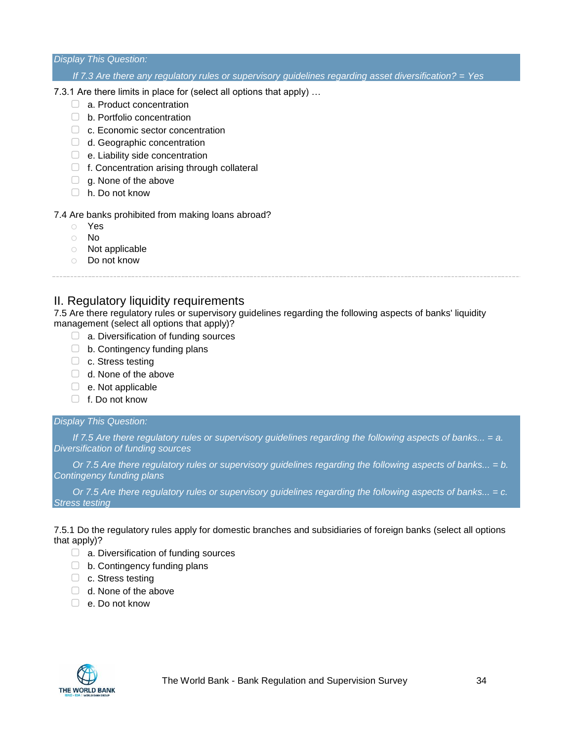#### *Display This Question:*

#### *If 7.3 Are there any regulatory rules or supervisory guidelines regarding asset diversification? = Yes*

#### 7.3.1 Are there limits in place for (select all options that apply) …

- □ a. Product concentration
- □ b. Portfolio concentration
- □ c. Economic sector concentration
- □ d. Geographic concentration
- □ e. Liability side concentration
- $\Box$  f. Concentration arising through collateral
- $\Box$  g. None of the above
- ▢ h. Do not know

#### 7.4 Are banks prohibited from making loans abroad?

- o Yes
- o No
- o Not applicable
- o Do not know

### <span id="page-33-0"></span>II. Regulatory liquidity requirements

7.5 Are there regulatory rules or supervisory guidelines regarding the following aspects of banks' liquidity management (select all options that apply)?

- $\Box$  a. Diversification of funding sources
- $\Box$  b. Contingency funding plans
- □ c. Stress testing
- $\Box$  d. None of the above
- ▢ e. Not applicable
- ▢ f. Do not know

#### *Display This Question:*

*If 7.5 Are there regulatory rules or supervisory guidelines regarding the following aspects of banks... = a. Diversification of funding sources*

*Or 7.5 Are there regulatory rules or supervisory guidelines regarding the following aspects of banks... = b. Contingency funding plans*

*Or 7.5 Are there regulatory rules or supervisory guidelines regarding the following aspects of banks... = c. Stress testing*

7.5.1 Do the regulatory rules apply for domestic branches and subsidiaries of foreign banks (select all options that apply)?

- $\Box$  a. Diversification of funding sources
- □ b. Contingency funding plans
- ▢ c. Stress testing
- ▢ d. None of the above
- ▢ e. Do not know

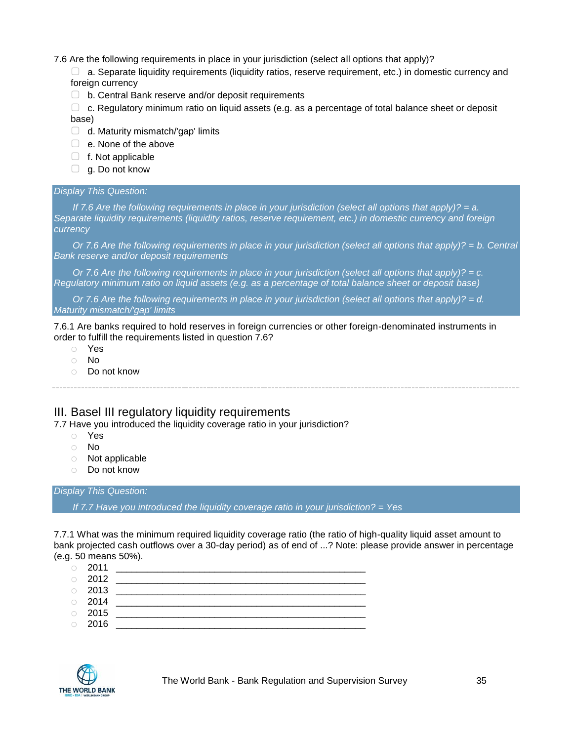#### 7.6 Are the following requirements in place in your jurisdiction (select all options that apply)?

- ▢ a. Separate liquidity requirements (liquidity ratios, reserve requirement, etc.) in domestic currency and foreign currency
- ▢ b. Central Bank reserve and/or deposit requirements
- $\Box$  c. Regulatory minimum ratio on liquid assets (e.g. as a percentage of total balance sheet or deposit base)
- $\Box$  d. Maturity mismatch/'gap' limits
- □ e. None of the above
- ▢ f. Not applicable
- $\Box$  g. Do not know

#### *Display This Question:*

*If 7.6 Are the following requirements in place in your jurisdiction (select all options that apply)? = a. Separate liquidity requirements (liquidity ratios, reserve requirement, etc.) in domestic currency and foreign currency*

*Or 7.6 Are the following requirements in place in your jurisdiction (select all options that apply)?* = *b. Central Bank reserve and/or deposit requirements*

*Or 7.6 Are the following requirements in place in your jurisdiction (select all options that apply)? = c. Regulatory minimum ratio on liquid assets (e.g. as a percentage of total balance sheet or deposit base)*

*Or 7.6 Are the following requirements in place in your jurisdiction (select all options that apply)? = d. Maturity mismatch/'gap' limits*

7.6.1 Are banks required to hold reserves in foreign currencies or other foreign-denominated instruments in order to fulfill the requirements listed in question 7.6?

- o Yes
- o No
- o Do not know

### <span id="page-34-0"></span>III. Basel III regulatory liquidity requirements

7.7 Have you introduced the liquidity coverage ratio in your jurisdiction?

- o Yes
- o No
- o Not applicable
- o Do not know

*Display This Question:*

*If 7.7 Have you introduced the liquidity coverage ratio in your jurisdiction? = Yes*

7.7.1 What was the minimum required liquidity coverage ratio (the ratio of high-quality liquid asset amount to bank projected cash outflows over a 30-day period) as of end of ...? Note: please provide answer in percentage (e.g. 50 means 50%).

- o 2011 \_\_\_\_\_\_\_\_\_\_\_\_\_\_\_\_\_\_\_\_\_\_\_\_\_\_\_\_\_\_\_\_\_\_\_\_\_\_\_\_\_\_\_\_\_\_\_\_ o 2012 \_\_\_\_\_\_\_\_\_\_\_\_\_\_\_\_\_\_\_\_\_\_\_\_\_\_\_\_\_\_\_\_\_\_\_\_\_\_\_\_\_\_\_\_\_\_\_\_ o 2013 \_\_\_\_\_\_\_\_\_\_\_\_\_\_\_\_\_\_\_\_\_\_\_\_\_\_\_\_\_\_\_\_\_\_\_\_\_\_\_\_\_\_\_\_\_\_\_\_
- o 2014 \_\_\_\_\_\_\_\_\_\_\_\_\_\_\_\_\_\_\_\_\_\_\_\_\_\_\_\_\_\_\_\_\_\_\_\_\_\_\_\_\_\_\_\_\_\_\_\_
- o 2015 \_\_\_\_\_\_\_\_\_\_\_\_\_\_\_\_\_\_\_\_\_\_\_\_\_\_\_\_\_\_\_\_\_\_\_\_\_\_\_\_\_\_\_\_\_\_\_\_ o 2016 \_\_\_\_\_\_\_\_\_\_\_\_\_\_\_\_\_\_\_\_\_\_\_\_\_\_\_\_\_\_\_\_\_\_\_\_\_\_\_\_\_\_\_\_\_\_\_\_

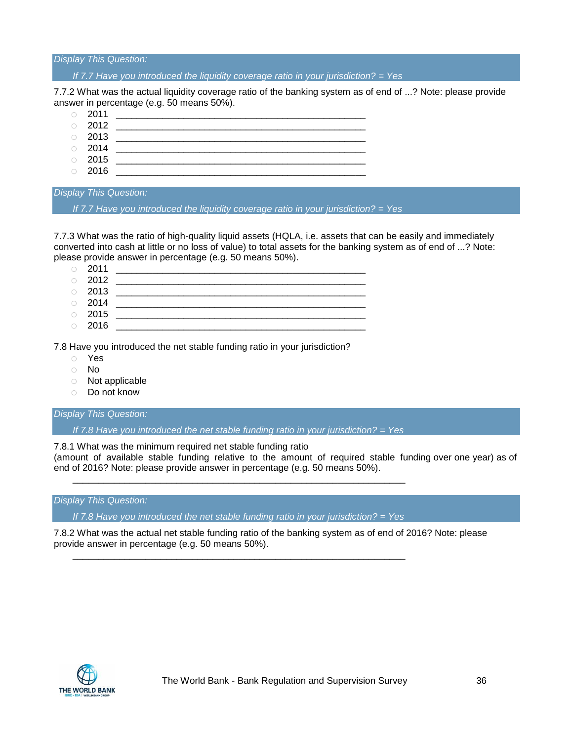#### *Display This Question:*

*If 7.7 Have you introduced the liquidity coverage ratio in your jurisdiction? = Yes*

7.7.2 What was the actual liquidity coverage ratio of the banking system as of end of ...? Note: please provide answer in percentage (e.g. 50 means 50%).

- o 2011 \_\_\_\_\_\_\_\_\_\_\_\_\_\_\_\_\_\_\_\_\_\_\_\_\_\_\_\_\_\_\_\_\_\_\_\_\_\_\_\_\_\_\_\_\_\_\_\_
- o 2012 \_\_\_\_\_\_\_\_\_\_\_\_\_\_\_\_\_\_\_\_\_\_\_\_\_\_\_\_\_\_\_\_\_\_\_\_\_\_\_\_\_\_\_\_\_\_\_\_
- o 2013 \_\_\_\_\_\_\_\_\_\_\_\_\_\_\_\_\_\_\_\_\_\_\_\_\_\_\_\_\_\_\_\_\_\_\_\_\_\_\_\_\_\_\_\_\_\_\_\_
- o 2014 \_\_\_\_\_\_\_\_\_\_\_\_\_\_\_\_\_\_\_\_\_\_\_\_\_\_\_\_\_\_\_\_\_\_\_\_\_\_\_\_\_\_\_\_\_\_\_\_
- o 2015 \_\_\_\_\_\_\_\_\_\_\_\_\_\_\_\_\_\_\_\_\_\_\_\_\_\_\_\_\_\_\_\_\_\_\_\_\_\_\_\_\_\_\_\_\_\_\_\_ o 2016 \_\_\_\_\_\_\_\_\_\_\_\_\_\_\_\_\_\_\_\_\_\_\_\_\_\_\_\_\_\_\_\_\_\_\_\_\_\_\_\_\_\_\_\_\_\_\_\_

#### *Display This Question:*

*If 7.7 Have you introduced the liquidity coverage ratio in your jurisdiction? = Yes*

7.7.3 What was the ratio of high-quality liquid assets (HQLA, i.e. assets that can be easily and immediately converted into cash at little or no loss of value) to total assets for the banking system as of end of ...? Note: please provide answer in percentage (e.g. 50 means 50%).

|            | $\circ$ 2011 |  |
|------------|--------------|--|
| $\bigcirc$ | 2012         |  |
|            | $\circ$ 2013 |  |
|            | $\circ$ 2014 |  |
|            | $\circ$ 2015 |  |
| $\circ$    | 2016         |  |

7.8 Have you introduced the net stable funding ratio in your jurisdiction?

- o Yes
- o No
- o Not applicable
- o Do not know

#### *Display This Question:*

*If 7.8 Have you introduced the net stable funding ratio in your jurisdiction? = Yes*

7.8.1 What was the minimum required net stable funding ratio (amount of available stable funding relative to the amount of required stable funding over one year) as of end of 2016? Note: please provide answer in percentage (e.g. 50 means 50%).

#### *Display This Question:*

*If 7.8 Have you introduced the net stable funding ratio in your jurisdiction? = Yes*

\_\_\_\_\_\_\_\_\_\_\_\_\_\_\_\_\_\_\_\_\_\_\_\_\_\_\_\_\_\_\_\_\_\_\_\_\_\_\_\_\_\_\_\_\_\_\_\_\_\_\_\_\_\_\_\_\_\_\_\_\_\_\_\_

\_\_\_\_\_\_\_\_\_\_\_\_\_\_\_\_\_\_\_\_\_\_\_\_\_\_\_\_\_\_\_\_\_\_\_\_\_\_\_\_\_\_\_\_\_\_\_\_\_\_\_\_\_\_\_\_\_\_\_\_\_\_\_\_

7.8.2 What was the actual net stable funding ratio of the banking system as of end of 2016? Note: please provide answer in percentage (e.g. 50 means 50%).

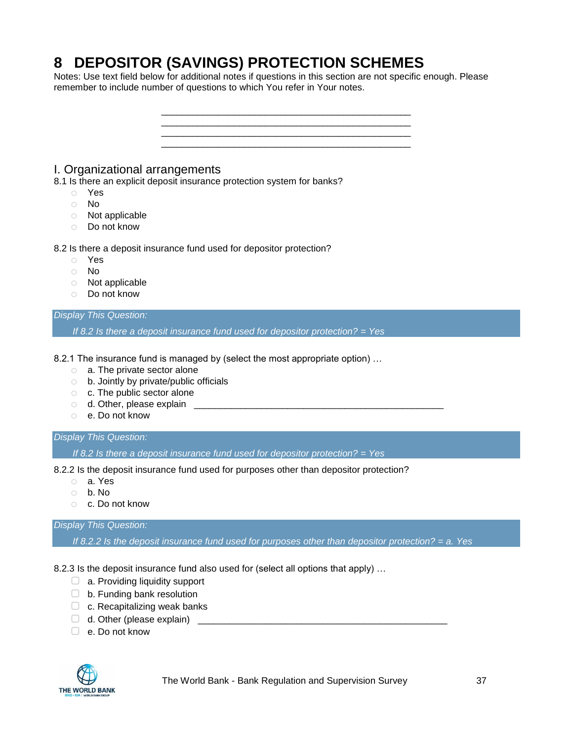# **8 DEPOSITOR (SAVINGS) PROTECTION SCHEMES**

Notes: Use text field below for additional notes if questions in this section are not specific enough. Please remember to include number of questions to which You refer in Your notes.



- o Not applicable
- o Do not know

#### *Display This Question:*

*If 8.2 Is there a deposit insurance fund used for depositor protection? = Yes*

8.2.1 The insurance fund is managed by (select the most appropriate option) ...

- o a. The private sector alone
- o b. Jointly by private/public officials
- o c. The public sector alone
- $\circ$  d. Other, please explain  $\circ$
- o e. Do not know

#### *Display This Question:*

*If 8.2 Is there a deposit insurance fund used for depositor protection? = Yes*

8.2.2 Is the deposit insurance fund used for purposes other than depositor protection?

- o a. Yes
- o b. No
- o c. Do not know

## *Display This Question:*

*If 8.2.2 Is the deposit insurance fund used for purposes other than depositor protection? = a. Yes*

8.2.3 Is the deposit insurance fund also used for (select all options that apply) …

- □ a. Providing liquidity support
- ▢ b. Funding bank resolution
- $\Box$  c. Recapitalizing weak banks
- $\Box$  d. Other (please explain)
- ▢ e. Do not know



The World Bank - Bank Regulation and Supervision Survey 37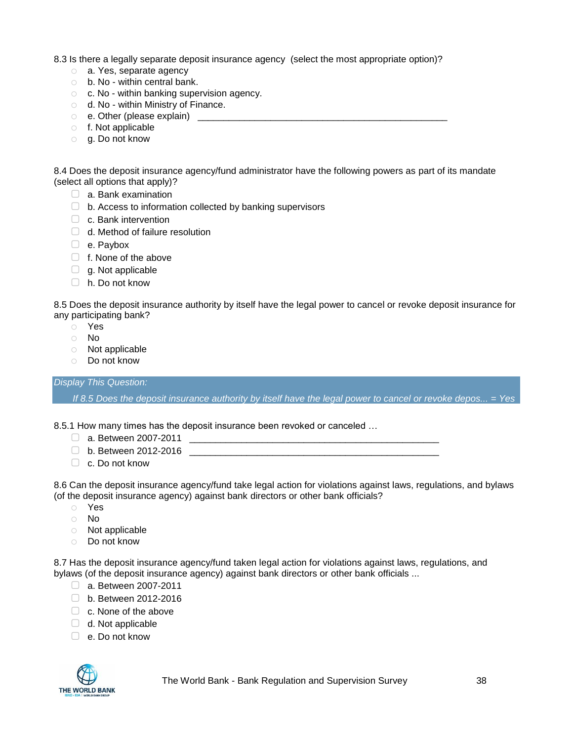8.3 Is there a legally separate deposit insurance agency (select the most appropriate option)?

- o a. Yes, separate agency
- o b. No within central bank.
- o c. No within banking supervision agency.
- o d. No within Ministry of Finance.
- $\circ$  e. Other (please explain)  $\circ$
- o f. Not applicable
- o g. Do not know

8.4 Does the deposit insurance agency/fund administrator have the following powers as part of its mandate (select all options that apply)?

- $\Box$  a. Bank examination
- □ b. Access to information collected by banking supervisors
- $\Box$  c. Bank intervention
- $\Box$  d. Method of failure resolution
- ▢ e. Paybox
- □ f. None of the above
- $\Box$  g. Not applicable
- ▢ h. Do not know

8.5 Does the deposit insurance authority by itself have the legal power to cancel or revoke deposit insurance for any participating bank?

- o Yes
- o No
- o Not applicable
- o Do not know

*Display This Question:*

*If 8.5 Does the deposit insurance authority by itself have the legal power to cancel or revoke depos... = Yes*

8.5.1 How many times has the deposit insurance been revoked or canceled …

- ▢ a. Between 2007-2011 \_\_\_\_\_\_\_\_\_\_\_\_\_\_\_\_\_\_\_\_\_\_\_\_\_\_\_\_\_\_\_\_\_\_\_\_\_\_\_\_\_\_\_\_\_\_\_\_
- $\Box$  b. Between 2012-2016
- ▢ c. Do not know

8.6 Can the deposit insurance agency/fund take legal action for violations against laws, regulations, and bylaws (of the deposit insurance agency) against bank directors or other bank officials?

- o Yes
- o No
- o Not applicable
- o Do not know

8.7 Has the deposit insurance agency/fund taken legal action for violations against laws, regulations, and bylaws (of the deposit insurance agency) against bank directors or other bank officials ...

- □ a. Between 2007-2011
- ▢ b. Between 2012-2016
- $\Box$  c. None of the above
- $\Box$  d. Not applicable
- ▢ e. Do not know

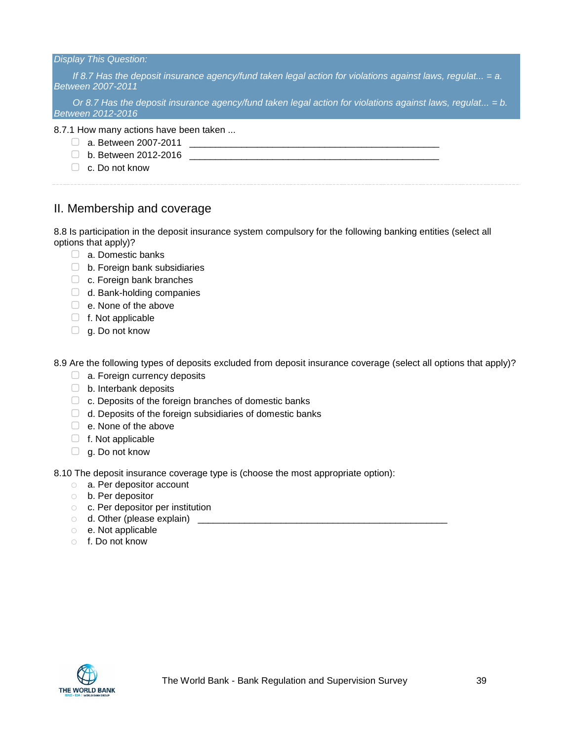#### *Display This Question:*

*If 8.7 Has the deposit insurance agency/fund taken legal action for violations against laws, regulat... = a. Between 2007-2011*

*Or 8.7 Has the deposit insurance agency/fund taken legal action for violations against laws, regulat... = b. Between 2012-2016*

#### 8.7.1 How many actions have been taken ...

- $\Box$  a. Between 2007-2011
- $\Box$  b. Between 2012-2016
- ▢ c. Do not know

## II. Membership and coverage

8.8 Is participation in the deposit insurance system compulsory for the following banking entities (select all options that apply)?

- ▢ a. Domestic banks
- ▢ b. Foreign bank subsidiaries
- □ c. Foreign bank branches
- □ d. Bank-holding companies
- □ e. None of the above
- $\Box$  f. Not applicable
- $\Box$  g. Do not know

8.9 Are the following types of deposits excluded from deposit insurance coverage (select all options that apply)?

- □ a. Foreign currency deposits
- $\Box$  b. Interbank deposits
- $\Box$  c. Deposits of the foreign branches of domestic banks
- $\Box$  d. Deposits of the foreign subsidiaries of domestic banks
- □ e. None of the above
- ▢ f. Not applicable
- $\Box$  g. Do not know

8.10 The deposit insurance coverage type is (choose the most appropriate option):

- o a. Per depositor account
- o b. Per depositor
- o c. Per depositor per institution
- $\circ$  d. Other (please explain)  $\qquad \qquad$
- o e. Not applicable
- o f. Do not know

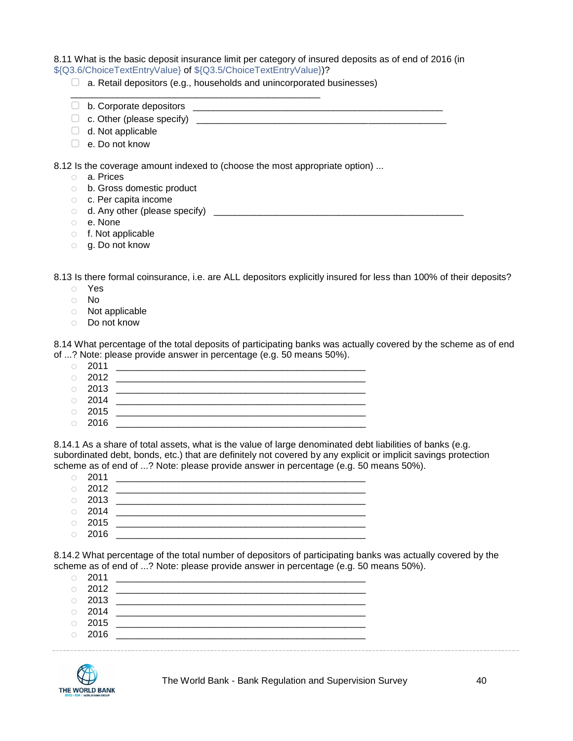#### 8.11 What is the basic deposit insurance limit per category of insured deposits as of end of 2016 (in \${Q3.6/ChoiceTextEntryValue} of \${Q3.5/ChoiceTextEntryValue})?

 $\Box$  a. Retail depositors (e.g., households and unincorporated businesses)

\_\_\_\_\_\_\_\_\_\_\_\_\_\_\_\_\_\_\_\_\_\_\_\_\_\_\_\_\_\_\_\_\_\_\_\_\_\_\_\_\_\_\_\_\_\_\_\_

- ▢ b. Corporate depositors \_\_\_\_\_\_\_\_\_\_\_\_\_\_\_\_\_\_\_\_\_\_\_\_\_\_\_\_\_\_\_\_\_\_\_\_\_\_\_\_\_\_\_\_\_\_\_\_
- ▢ c. Other (please specify) \_\_\_\_\_\_\_\_\_\_\_\_\_\_\_\_\_\_\_\_\_\_\_\_\_\_\_\_\_\_\_\_\_\_\_\_\_\_\_\_\_\_\_\_\_\_\_\_
- $\Box$  d. Not applicable
- ▢ e. Do not know

8.12 Is the coverage amount indexed to (choose the most appropriate option) ...

- o a. Prices
- o b. Gross domestic product
- o c. Per capita income
- $\circ$  d. Any other (please specify)  $\qquad \qquad \qquad$
- o e. None
- o f. Not applicable
- o g. Do not know

8.13 Is there formal coinsurance, i.e. are ALL depositors explicitly insured for less than 100% of their deposits?

- o Yes
- o No
- o Not applicable
- o Do not know

8.14 What percentage of the total deposits of participating banks was actually covered by the scheme as of end of ...? Note: please provide answer in percentage (e.g. 50 means 50%).

|            | $\circ$ 2011 |  |
|------------|--------------|--|
|            | $\circ$ 2012 |  |
|            | $\circ$ 2013 |  |
| $\bigcirc$ | 2014         |  |

- o 2015 \_\_\_\_\_\_\_\_\_\_\_\_\_\_\_\_\_\_\_\_\_\_\_\_\_\_\_\_\_\_\_\_\_\_\_\_\_\_\_\_\_\_\_\_\_\_\_\_
- $\circ$  2016

8.14.1 As a share of total assets, what is the value of large denominated debt liabilities of banks (e.g. subordinated debt, bonds, etc.) that are definitely not covered by any explicit or implicit savings protection scheme as of end of ...? Note: please provide answer in percentage (e.g. 50 means 50%).

| $\circ$ 2011 |  |
|--------------|--|
| $\circ$ 2012 |  |
| $\circ$ 2013 |  |
| $\circ$ 2014 |  |
|              |  |

o 2015 \_\_\_\_\_\_\_\_\_\_\_\_\_\_\_\_\_\_\_\_\_\_\_\_\_\_\_\_\_\_\_\_\_\_\_\_\_\_\_\_\_\_\_\_\_\_\_\_ o 2016 \_\_\_\_\_\_\_\_\_\_\_\_\_\_\_\_\_\_\_\_\_\_\_\_\_\_\_\_\_\_\_\_\_\_\_\_\_\_\_\_\_\_\_\_\_\_\_\_

8.14.2 What percentage of the total number of depositors of participating banks was actually covered by the scheme as of end of ...? Note: please provide answer in percentage (e.g. 50 means 50%).

| $\circ$ 2011 |  |
|--------------|--|
| $\circ$ 2012 |  |
| $\circ$ 2013 |  |
| $\circ$ 2014 |  |
| $\circ$ 2015 |  |
| $\circ$ 2016 |  |
|              |  |

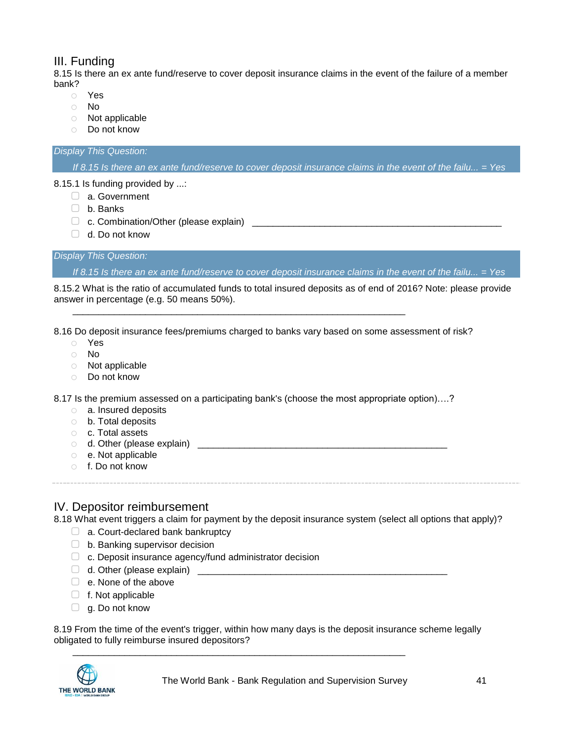## III. Funding

8.15 Is there an ex ante fund/reserve to cover deposit insurance claims in the event of the failure of a member bank?

- o Yes
- o No
- o Not applicable
- o Do not know

#### *Display This Question:*

*If 8.15 Is there an ex ante fund/reserve to cover deposit insurance claims in the event of the failu... = Yes*

8.15.1 Is funding provided by ...:

- □ a. Government
- ▢ b. Banks
- ▢ c. Combination/Other (please explain) \_\_\_\_\_\_\_\_\_\_\_\_\_\_\_\_\_\_\_\_\_\_\_\_\_\_\_\_\_\_\_\_\_\_\_\_\_\_\_\_\_\_\_\_\_\_\_\_
- $\Box$  d. Do not know

*Display This Question:*

*If 8.15 Is there an ex ante fund/reserve to cover deposit insurance claims in the event of the failu... = Yes*

8.15.2 What is the ratio of accumulated funds to total insured deposits as of end of 2016? Note: please provide answer in percentage (e.g. 50 means 50%).

8.16 Do deposit insurance fees/premiums charged to banks vary based on some assessment of risk?

\_\_\_\_\_\_\_\_\_\_\_\_\_\_\_\_\_\_\_\_\_\_\_\_\_\_\_\_\_\_\_\_\_\_\_\_\_\_\_\_\_\_\_\_\_\_\_\_\_\_\_\_\_\_\_\_\_\_\_\_\_\_\_\_

- o Yes
- o No
- o Not applicable
- o Do not know

8.17 Is the premium assessed on a participating bank's (choose the most appropriate option)....?

- o a. Insured deposits
- o b. Total deposits
- o c. Total assets
- $\circ$  d. Other (please explain)  $\circ$
- o e. Not applicable
- o f. Do not know

## IV. Depositor reimbursement

8.18 What event triggers a claim for payment by the deposit insurance system (select all options that apply)?

- $\Box$  a. Court-declared bank bankruptcy
- $\Box$  b. Banking supervisor decision
- ▢ c. Deposit insurance agency/fund administrator decision
- $\Box$  d. Other (please explain)
- □ e. None of the above
- $\Box$  f. Not applicable
- $\Box$  g. Do not know

8.19 From the time of the event's trigger, within how many days is the deposit insurance scheme legally obligated to fully reimburse insured depositors?

\_\_\_\_\_\_\_\_\_\_\_\_\_\_\_\_\_\_\_\_\_\_\_\_\_\_\_\_\_\_\_\_\_\_\_\_\_\_\_\_\_\_\_\_\_\_\_\_\_\_\_\_\_\_\_\_\_\_\_\_\_\_\_\_

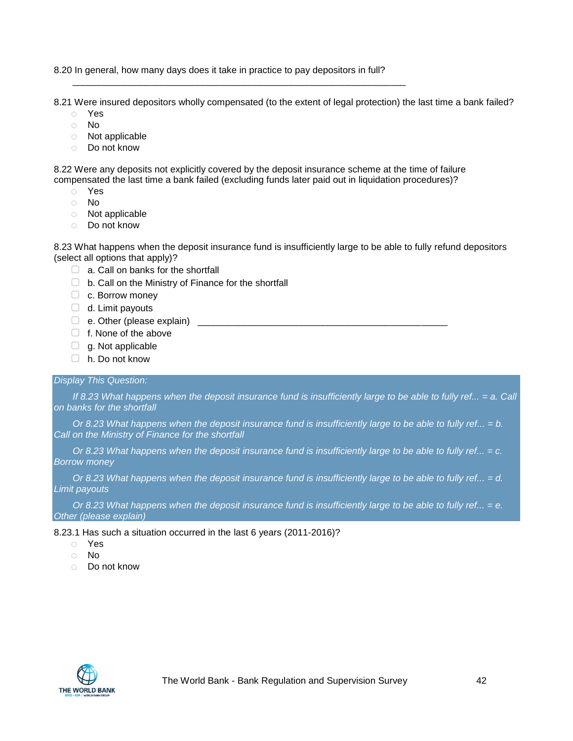8.20 In general, how many days does it take in practice to pay depositors in full?

\_\_\_\_\_\_\_\_\_\_\_\_\_\_\_\_\_\_\_\_\_\_\_\_\_\_\_\_\_\_\_\_\_\_\_\_\_\_\_\_\_\_\_\_\_\_\_\_\_\_\_\_\_\_\_\_\_\_\_\_\_\_\_\_

8.21 Were insured depositors wholly compensated (to the extent of legal protection) the last time a bank failed?

- o Yes
- o No
- o Not applicable
- o Do not know

8.22 Were any deposits not explicitly covered by the deposit insurance scheme at the time of failure compensated the last time a bank failed (excluding funds later paid out in liquidation procedures)?

- o Yes
- o No
- o Not applicable
- o Do not know

8.23 What happens when the deposit insurance fund is insufficiently large to be able to fully refund depositors (select all options that apply)?

- $\Box$  a. Call on banks for the shortfall
- $\Box$  b. Call on the Ministry of Finance for the shortfall
- □ c. Borrow money
- $\Box$  d. Limit payouts
- $\Box$  e. Other (please explain)
- □ f. None of the above
- $\Box$  g. Not applicable
- ▢ h. Do not know

#### *Display This Question:*

*If 8.23 What happens when the deposit insurance fund is insufficiently large to be able to fully ref... = a. Call on banks for the shortfall*

*Or 8.23 What happens when the deposit insurance fund is insufficiently large to be able to fully ref... = b. Call on the Ministry of Finance for the shortfall*

*Or 8.23 What happens when the deposit insurance fund is insufficiently large to be able to fully ref... = c. Borrow money*

*Or 8.23 What happens when the deposit insurance fund is insufficiently large to be able to fully ref... = d. Limit payouts*

*Or 8.23 What happens when the deposit insurance fund is insufficiently large to be able to fully ref... = e. Other (please explain)*

8.23.1 Has such a situation occurred in the last 6 years (2011-2016)?

- o Yes
- o No
- o Do not know

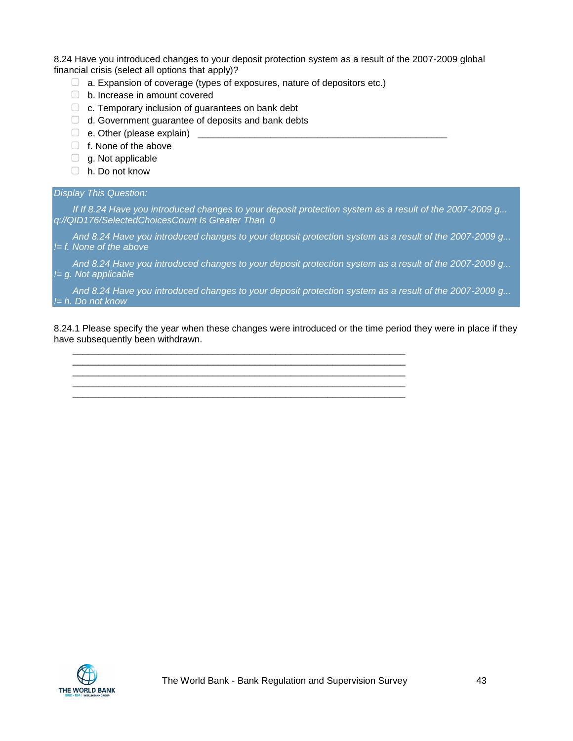8.24 Have you introduced changes to your deposit protection system as a result of the 2007-2009 global financial crisis (select all options that apply)?

- $\Box$  a. Expansion of coverage (types of exposures, nature of depositors etc.)
- ▢ b. Increase in amount covered
- $\Box$  c. Temporary inclusion of guarantees on bank debt
- □ d. Government guarantee of deposits and bank debts
- $\Box$  e. Other (please explain)  $\Box$
- $\Box$  f. None of the above
- $\Box$  g. Not applicable
- ▢ h. Do not know

#### *Display This Question:*

*If If 8.24 Have you introduced changes to your deposit protection system as a result of the 2007-2009 g... q://QID176/SelectedChoicesCount Is Greater Than 0*

*And 8.24 Have you introduced changes to your deposit protection system as a result of the 2007-2009 g... != f. None of the above*

*And 8.24 Have you introduced changes to your deposit protection system as a result of the 2007-2009 g... != g. Not applicable*

*And 8.24 Have you introduced changes to your deposit protection system as a result of the 2007-2009 g... != h. Do not know*

8.24.1 Please specify the year when these changes were introduced or the time period they were in place if they have subsequently been withdrawn.

\_\_\_\_\_\_\_\_\_\_\_\_\_\_\_\_\_\_\_\_\_\_\_\_\_\_\_\_\_\_\_\_\_\_\_\_\_\_\_\_\_\_\_\_\_\_\_\_\_\_\_\_\_\_\_\_\_\_\_\_\_\_\_\_ \_\_\_\_\_\_\_\_\_\_\_\_\_\_\_\_\_\_\_\_\_\_\_\_\_\_\_\_\_\_\_\_\_\_\_\_\_\_\_\_\_\_\_\_\_\_\_\_\_\_\_\_\_\_\_\_\_\_\_\_\_\_\_\_ \_\_\_\_\_\_\_\_\_\_\_\_\_\_\_\_\_\_\_\_\_\_\_\_\_\_\_\_\_\_\_\_\_\_\_\_\_\_\_\_\_\_\_\_\_\_\_\_\_\_\_\_\_\_\_\_\_\_\_\_\_\_\_\_ \_\_\_\_\_\_\_\_\_\_\_\_\_\_\_\_\_\_\_\_\_\_\_\_\_\_\_\_\_\_\_\_\_\_\_\_\_\_\_\_\_\_\_\_\_\_\_\_\_\_\_\_\_\_\_\_\_\_\_\_\_\_\_\_

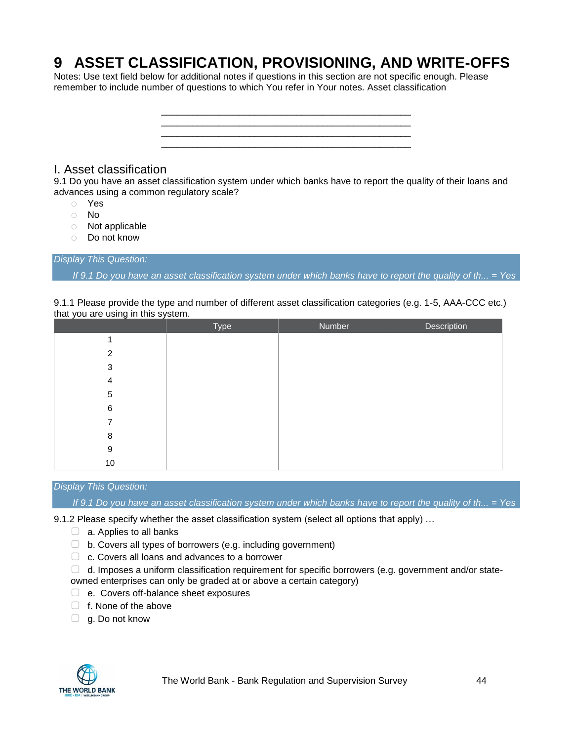# **9 ASSET CLASSIFICATION, PROVISIONING, AND WRITE-OFFS**

Notes: Use text field below for additional notes if questions in this section are not specific enough. Please remember to include number of questions to which You refer in Your notes. Asset classification



## I. Asset classification

9.1 Do you have an asset classification system under which banks have to report the quality of their loans and advances using a common regulatory scale?

- o Yes
- o No
- o Not applicable
- o Do not know

*Display This Question:*

*If 9.1 Do you have an asset classification system under which banks have to report the quality of th... = Yes*

| that you are using in this system. |      |               | 9.1.1 Please provide the type and number of different asset classification categories (e.g. 1-5), AAA-CCC etc.) |
|------------------------------------|------|---------------|-----------------------------------------------------------------------------------------------------------------|
|                                    | Tvpe | <b>Number</b> | <b>Description</b>                                                                                              |
|                                    |      |               |                                                                                                                 |

9.1.1 Please provide the type and number of different asset classification categories (e.g. 1-5, AAA-CCC etc.)

|    | $\mathbf{y}$ | $         -$ |
|----|--------------|--------------|
|    |              |              |
| 2  |              |              |
| 3  |              |              |
| 4  |              |              |
| 5  |              |              |
| 6  |              |              |
|    |              |              |
| 8  |              |              |
| 9  |              |              |
| 10 |              |              |

#### *Display This Question:*

*If 9.1 Do you have an asset classification system under which banks have to report the quality of th... = Yes*

9.1.2 Please specify whether the asset classification system (select all options that apply) ...

- $\Box$  a. Applies to all banks
- $\Box$  b. Covers all types of borrowers (e.g. including government)
- ▢ c. Covers all loans and advances to a borrower

 $\Box$  d. Imposes a uniform classification requirement for specific borrowers (e.g. government and/or stateowned enterprises can only be graded at or above a certain category)

- ▢ e. Covers off-balance sheet exposures
- ▢ f. None of the above
- $\Box$  g. Do not know

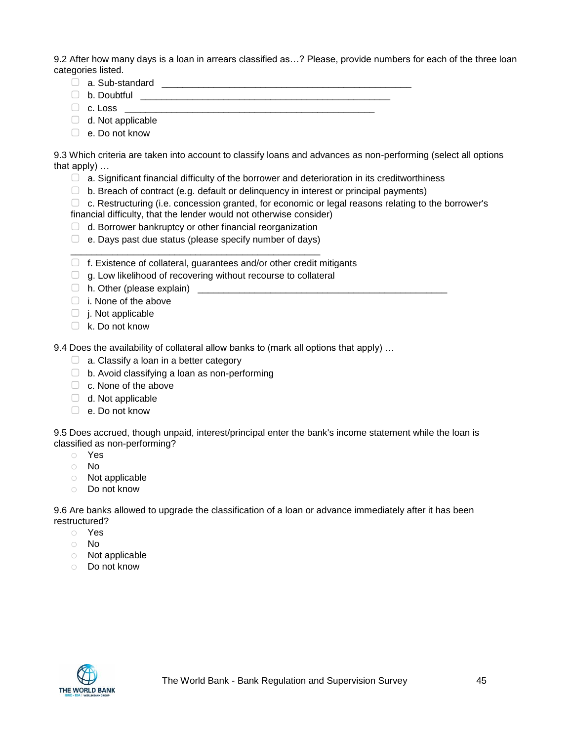9.2 After how many days is a loan in arrears classified as…? Please, provide numbers for each of the three loan categories listed.

- ▢ a. Sub-standard \_\_\_\_\_\_\_\_\_\_\_\_\_\_\_\_\_\_\_\_\_\_\_\_\_\_\_\_\_\_\_\_\_\_\_\_\_\_\_\_\_\_\_\_\_\_\_\_
- $\Box$  b. Doubtful  $\_\_$
- ▢ c. Loss \_\_\_\_\_\_\_\_\_\_\_\_\_\_\_\_\_\_\_\_\_\_\_\_\_\_\_\_\_\_\_\_\_\_\_\_\_\_\_\_\_\_\_\_\_\_\_\_
- $\Box$  d. Not applicable
- ▢ e. Do not know

9.3 Which criteria are taken into account to classify loans and advances as non-performing (select all options that apply) …

- $\Box$  a. Significant financial difficulty of the borrower and deterioration in its creditworthiness
- $\Box$  b. Breach of contract (e.g. default or delinguency in interest or principal payments)

 $\Box$  c. Restructuring (i.e. concession granted, for economic or legal reasons relating to the borrower's financial difficulty, that the lender would not otherwise consider)

- $\Box$  d. Borrower bankruptcy or other financial reorganization
- $\Box$  e. Days past due status (please specify number of days) \_\_\_\_\_\_\_\_\_\_\_\_\_\_\_\_\_\_\_\_\_\_\_\_\_\_\_\_\_\_\_\_\_\_\_\_\_\_\_\_\_\_\_\_\_\_\_\_
- ▢ f. Existence of collateral, guarantees and/or other credit mitigants
- $\Box$  g. Low likelihood of recovering without recourse to collateral
- $\Box$  h. Other (please explain)  $\Box$
- $\Box$  i. None of the above
- ▢ j. Not applicable
- $\Box$  k. Do not know

9.4 Does the availability of collateral allow banks to (mark all options that apply) …

- $\Box$  a. Classify a loan in a better category
- $\Box$  b. Avoid classifying a loan as non-performing
- □ c. None of the above
- $\Box$  d. Not applicable
- ▢ e. Do not know

9.5 Does accrued, though unpaid, interest/principal enter the bank's income statement while the loan is classified as non-performing?

- o Yes
- o No
- o Not applicable
- o Do not know

9.6 Are banks allowed to upgrade the classification of a loan or advance immediately after it has been restructured?

- o Yes
- o No
- o Not applicable
- o Do not know

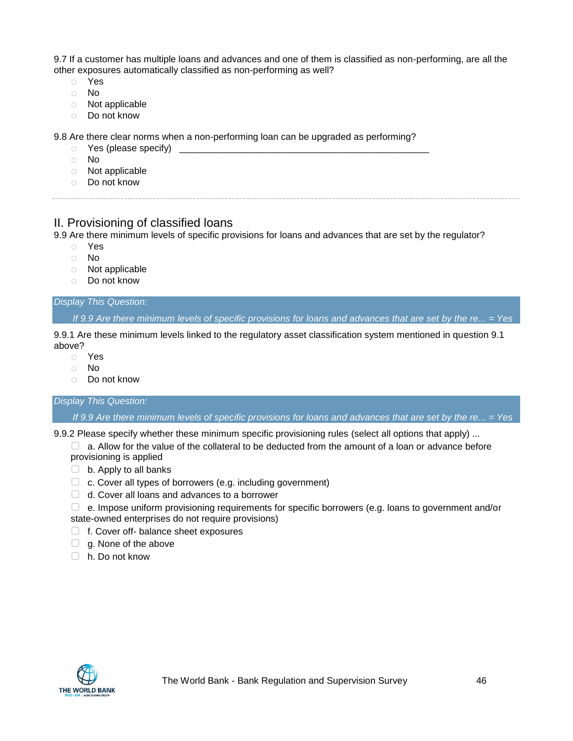9.7 If a customer has multiple loans and advances and one of them is classified as non-performing, are all the other exposures automatically classified as non-performing as well?

- o Yes
- o No
- o Not applicable
- o Do not know

9.8 Are there clear norms when a non-performing loan can be upgraded as performing?

- $\circ$  Yes (please specify)
- o No
- o Not applicable
- o Do not know

## II. Provisioning of classified loans

9.9 Are there minimum levels of specific provisions for loans and advances that are set by the regulator?

- o Yes
- o No
- o Not applicable
- o Do not know

#### *Display This Question:*

*If 9.9 Are there minimum levels of specific provisions for loans and advances that are set by the re... = Yes*

9.9.1 Are these minimum levels linked to the regulatory asset classification system mentioned in question 9.1 above?

- o Yes
- o No
- o Do not know

## *Display This Question:*

*If 9.9 Are there minimum levels of specific provisions for loans and advances that are set by the re... = Yes*

9.9.2 Please specify whether these minimum specific provisioning rules (select all options that apply) ...

 $\Box$  a. Allow for the value of the collateral to be deducted from the amount of a loan or advance before provisioning is applied

- $\Box$  b. Apply to all banks
- ▢ c. Cover all types of borrowers (e.g. including government)
- $\Box$  d. Cover all loans and advances to a borrower

▢ e. Impose uniform provisioning requirements for specific borrowers (e.g. loans to government and/or state-owned enterprises do not require provisions)

- ▢ f. Cover off- balance sheet exposures
- $\Box$  g. None of the above
- ▢ h. Do not know

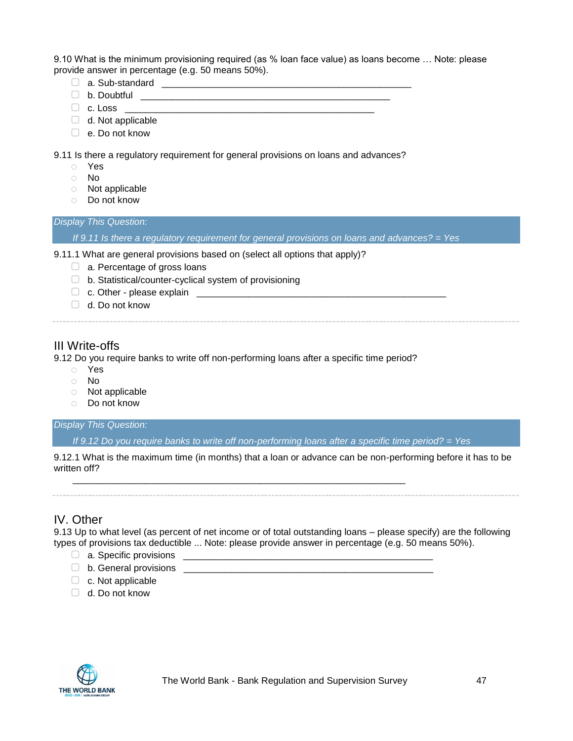9.10 What is the minimum provisioning required (as % loan face value) as loans become … Note: please provide answer in percentage (e.g. 50 means 50%).

- ▢ a. Sub-standard \_\_\_\_\_\_\_\_\_\_\_\_\_\_\_\_\_\_\_\_\_\_\_\_\_\_\_\_\_\_\_\_\_\_\_\_\_\_\_\_\_\_\_\_\_\_\_\_
- ▢ b. Doubtful \_\_\_\_\_\_\_\_\_\_\_\_\_\_\_\_\_\_\_\_\_\_\_\_\_\_\_\_\_\_\_\_\_\_\_\_\_\_\_\_\_\_\_\_\_\_\_\_
- $\Box$  c. Loss  $\Box$
- $\Box$  d. Not applicable
- ▢ e. Do not know

9.11 Is there a regulatory requirement for general provisions on loans and advances?

- o Yes
- o No
- o Not applicable
- o Do not know

#### *Display This Question:*

*If 9.11 Is there a regulatory requirement for general provisions on loans and advances? = Yes*

9.11.1 What are general provisions based on (select all options that apply)?

- □ a. Percentage of gross loans
- ▢ b. Statistical/counter-cyclical system of provisioning
- ▢ c. Other please explain \_\_\_\_\_\_\_\_\_\_\_\_\_\_\_\_\_\_\_\_\_\_\_\_\_\_\_\_\_\_\_\_\_\_\_\_\_\_\_\_\_\_\_\_\_\_\_\_
- ▢ d. Do not know

## III Write-offs

9.12 Do you require banks to write off non-performing loans after a specific time period?

\_\_\_\_\_\_\_\_\_\_\_\_\_\_\_\_\_\_\_\_\_\_\_\_\_\_\_\_\_\_\_\_\_\_\_\_\_\_\_\_\_\_\_\_\_\_\_\_\_\_\_\_\_\_\_\_\_\_\_\_\_\_\_\_

- o Yes
- o No
- o Not applicable
- o Do not know

#### *Display This Question:*

*If 9.12 Do you require banks to write off non-performing loans after a specific time period? = Yes*

9.12.1 What is the maximum time (in months) that a loan or advance can be non-performing before it has to be written off?

## IV. Other

9.13 Up to what level (as percent of net income or of total outstanding loans – please specify) are the following types of provisions tax deductible ... Note: please provide answer in percentage (e.g. 50 means 50%).

- $\Box$  a. Specific provisions
- ▢ b. General provisions \_\_\_\_\_\_\_\_\_\_\_\_\_\_\_\_\_\_\_\_\_\_\_\_\_\_\_\_\_\_\_\_\_\_\_\_\_\_\_\_\_\_\_\_\_\_\_\_
- ▢ c. Not applicable
- $\Box$  d. Do not know

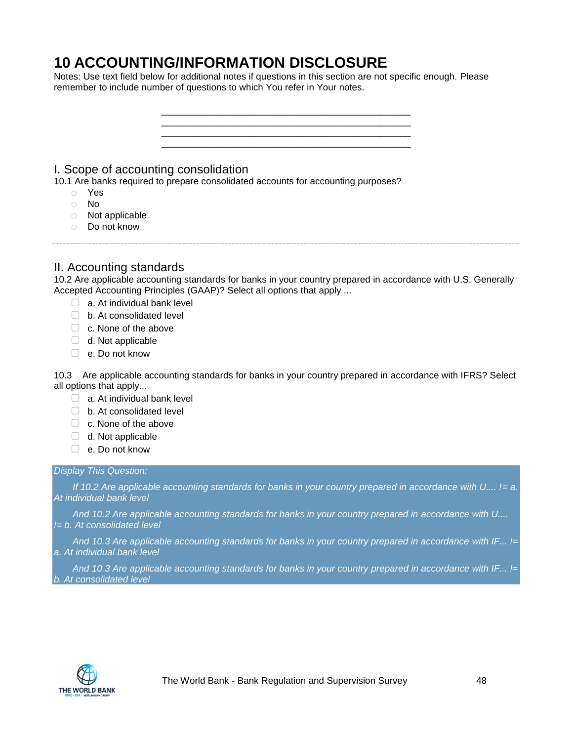## **10 ACCOUNTING/INFORMATION DISCLOSURE**

Notes: Use text field below for additional notes if questions in this section are not specific enough. Please remember to include number of questions to which You refer in Your notes.



10.2 Are applicable accounting standards for banks in your country prepared in accordance with U.S. Generally Accepted Accounting Principles (GAAP)? Select all options that apply ...

- $\Box$  a. At individual bank level
- ▢ b. At consolidated level
- $\Box$  c. None of the above
- $\Box$  d. Not applicable
- $\Box$  e. Do not know

10.3 Are applicable accounting standards for banks in your country prepared in accordance with IFRS? Select all options that apply...

- $\Box$  a. At individual bank level
- ▢ b. At consolidated level
- □ c. None of the above
- $\Box$  d. Not applicable
- ▢ e. Do not know

#### *Display This Question:*

*If 10.2 Are applicable accounting standards for banks in your country prepared in accordance with U.... != a. At individual bank level*

*And 10.2 Are applicable accounting standards for banks in your country prepared in accordance with U.... != b. At consolidated level*

*And 10.3 Are applicable accounting standards for banks in your country prepared in accordance with IF... != a. At individual bank level*

*And 10.3 Are applicable accounting standards for banks in your country prepared in accordance with IF... != b. At consolidated level*

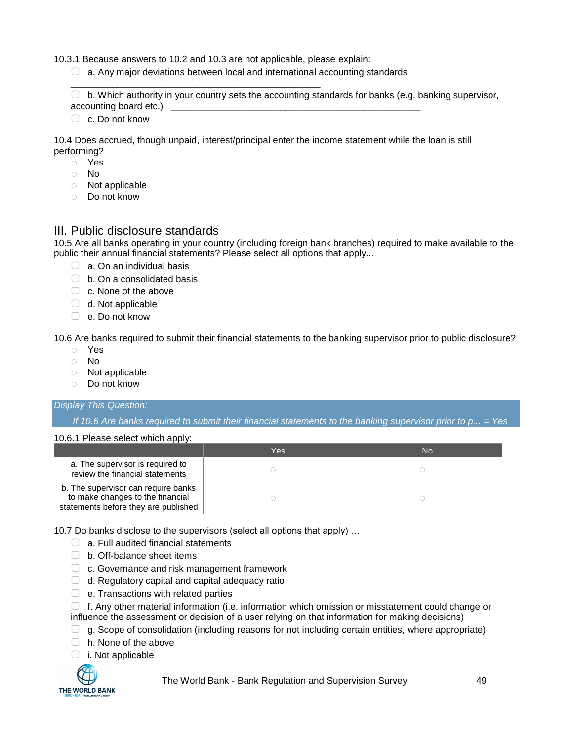10.3.1 Because answers to 10.2 and 10.3 are not applicable, please explain:

\_\_\_\_\_\_\_\_\_\_\_\_\_\_\_\_\_\_\_\_\_\_\_\_\_\_\_\_\_\_\_\_\_\_\_\_\_\_\_\_\_\_\_\_\_\_\_\_

 $\Box$  a. Any major deviations between local and international accounting standards

 $\Box$  b. Which authority in your country sets the accounting standards for banks (e.g. banking supervisor, accounting board etc.) \_\_\_\_\_\_\_\_\_\_\_\_\_\_\_\_\_\_\_\_\_\_\_\_\_\_\_\_\_\_\_\_\_\_\_\_\_\_\_\_\_\_\_\_\_\_\_\_

▢ c. Do not know

10.4 Does accrued, though unpaid, interest/principal enter the income statement while the loan is still performing?

- o Yes
- o No
- o Not applicable
- o Do not know

## III. Public disclosure standards

10.5 Are all banks operating in your country (including foreign bank branches) required to make available to the public their annual financial statements? Please select all options that apply...

- $\Box$  a. On an individual basis
- $\Box$  b. On a consolidated basis
- $\Box$  c. None of the above
- $\Box$  d. Not applicable
- ▢ e. Do not know

10.6 Are banks required to submit their financial statements to the banking supervisor prior to public disclosure?

- o Yes
- o No
- o Not applicable
- o Do not know

#### *Display This Question:*

*If 10.6 Are banks required to submit their financial statements to the banking supervisor prior to p... = Yes*

#### 10.6.1 Please select which apply:

|                                                                                                                 | Yes | <b>No</b> |
|-----------------------------------------------------------------------------------------------------------------|-----|-----------|
| a. The supervisor is required to<br>review the financial statements                                             |     |           |
| b. The supervisor can require banks<br>to make changes to the financial<br>statements before they are published |     |           |

10.7 Do banks disclose to the supervisors (select all options that apply) …

- $\Box$  a. Full audited financial statements
- ▢ b. Off-balance sheet items
- □ c. Governance and risk management framework
- $\Box$  d. Regulatory capital and capital adequacy ratio
- $\Box$  e. Transactions with related parties

 $\Box$  f. Any other material information (i.e. information which omission or misstatement could change or influence the assessment or decision of a user relying on that information for making decisions)

- $\Box$  g. Scope of consolidation (including reasons for not including certain entities, where appropriate)
- □ h. None of the above
- ▢ i. Not applicable



The World Bank - Bank Regulation and Supervision Survey 49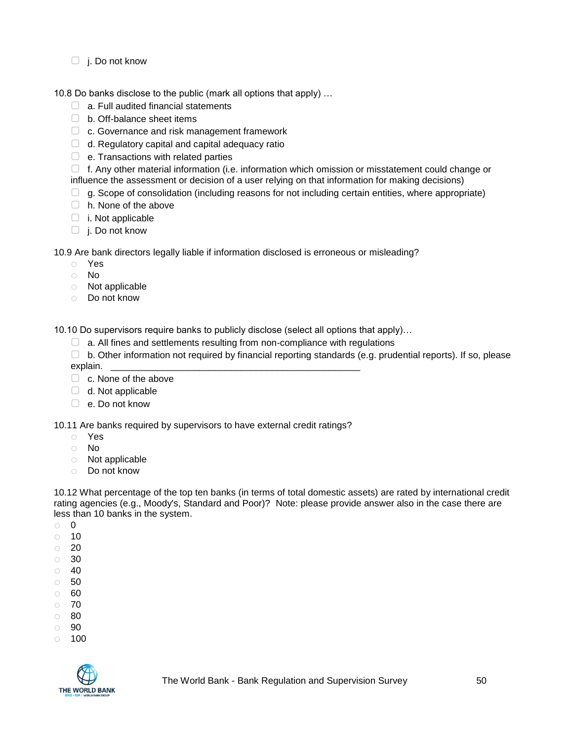$\Box$  j. Do not know

10.8 Do banks disclose to the public (mark all options that apply) …

- $\Box$  a. Full audited financial statements
- ▢ b. Off-balance sheet items
- □ c. Governance and risk management framework
- $\Box$  d. Regulatory capital and capital adequacy ratio
- $\Box$  e. Transactions with related parties

▢ f. Any other material information (i.e. information which omission or misstatement could change or influence the assessment or decision of a user relying on that information for making decisions)

- $\Box$  g. Scope of consolidation (including reasons for not including certain entities, where appropriate)
- □ h. None of the above
- $\Box$  i. Not applicable
- ▢ j. Do not know

10.9 Are bank directors legally liable if information disclosed is erroneous or misleading?

- o Yes
- o No
- o Not applicable
- o Do not know

10.10 Do supervisors require banks to publicly disclose (select all options that apply)…

- $\Box$  a. All fines and settlements resulting from non-compliance with regulations
- ▢ b. Other information not required by financial reporting standards (e.g. prudential reports). If so, please explain.
- □ c. None of the above
- $\Box$  d. Not applicable
- ▢ e. Do not know

10.11 Are banks required by supervisors to have external credit ratings?

- o Yes
- o No
- o Not applicable
- o Do not know

10.12 What percentage of the top ten banks (in terms of total domestic assets) are rated by international credit rating agencies (e.g., Moody's, Standard and Poor)? Note: please provide answer also in the case there are less than 10 banks in the system.

- o 0
- $\circ$  10
- $\circ$  20
- o 30
- $\circ$  40
- o 50
- o 60 o 70
- o 80
- o 90
- $\circ$  100

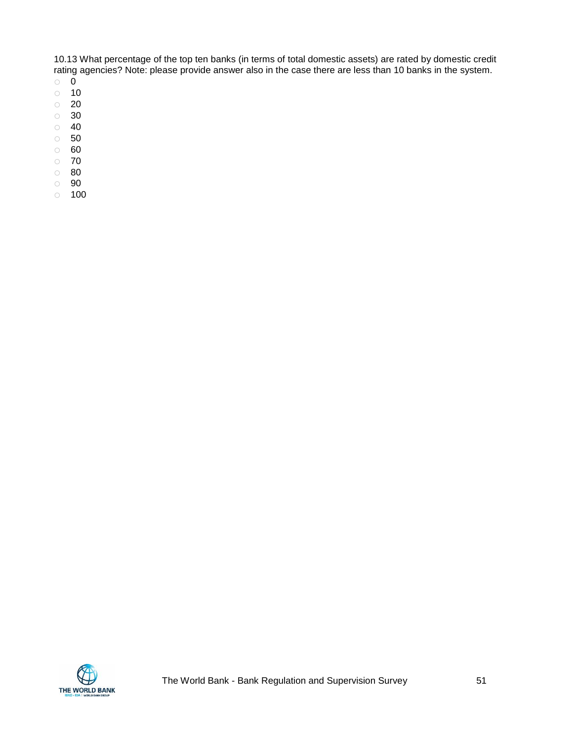10.13 What percentage of the top ten banks (in terms of total domestic assets) are rated by domestic credit rating agencies? Note: please provide answer also in the case there are less than 10 banks in the system.

- o 0
- $\circ$  10
- o 20
- o 30
- $\circ$  40
- o 50
- o 60
- o 70
- o 80 o 90
- $\circ$  100

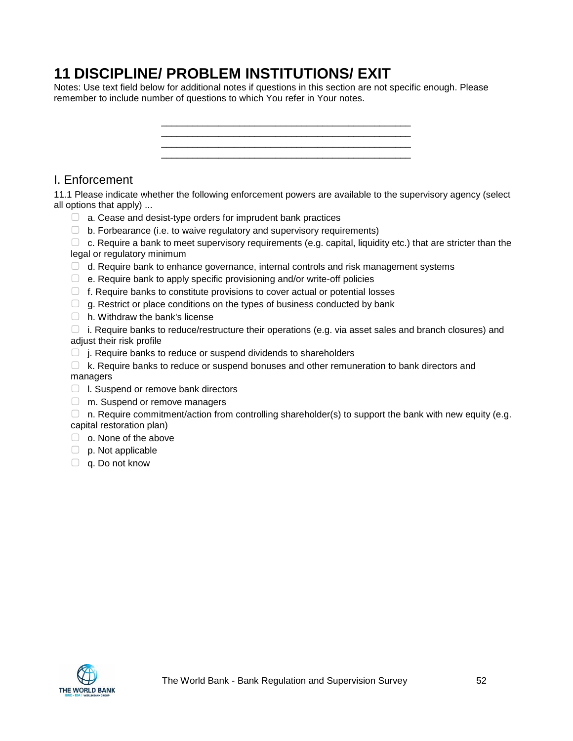# **11 DISCIPLINE/ PROBLEM INSTITUTIONS/ EXIT**

Notes: Use text field below for additional notes if questions in this section are not specific enough. Please remember to include number of questions to which You refer in Your notes.



## I. Enforcement

11.1 Please indicate whether the following enforcement powers are available to the supervisory agency (select all options that apply) ...

- $\Box$  a. Cease and desist-type orders for imprudent bank practices
- $\Box$  b. Forbearance (i.e. to waive regulatory and supervisory requirements)

 $\Box$  c. Require a bank to meet supervisory requirements (e.g. capital, liquidity etc.) that are stricter than the legal or regulatory minimum

- $\Box$  d. Require bank to enhance governance, internal controls and risk management systems
- $\Box$  e. Require bank to apply specific provisioning and/or write-off policies
- $\Box$  f. Require banks to constitute provisions to cover actual or potential losses
- $\Box$  g. Restrict or place conditions on the types of business conducted by bank
- $\Box$  h. Withdraw the bank's license

 $\Box$  i. Require banks to reduce/restructure their operations (e.g. via asset sales and branch closures) and adjust their risk profile

- $\Box$  j. Require banks to reduce or suspend dividends to shareholders
- $\Box$  k. Require banks to reduce or suspend bonuses and other remuneration to bank directors and managers
- ▢ l. Suspend or remove bank directors
- □ m. Suspend or remove managers
- $\Box$  n. Require commitment/action from controlling shareholder(s) to support the bank with new equity (e.g. capital restoration plan)
- □ o. None of the above
- $\Box$  p. Not applicable
- □ q. Do not know

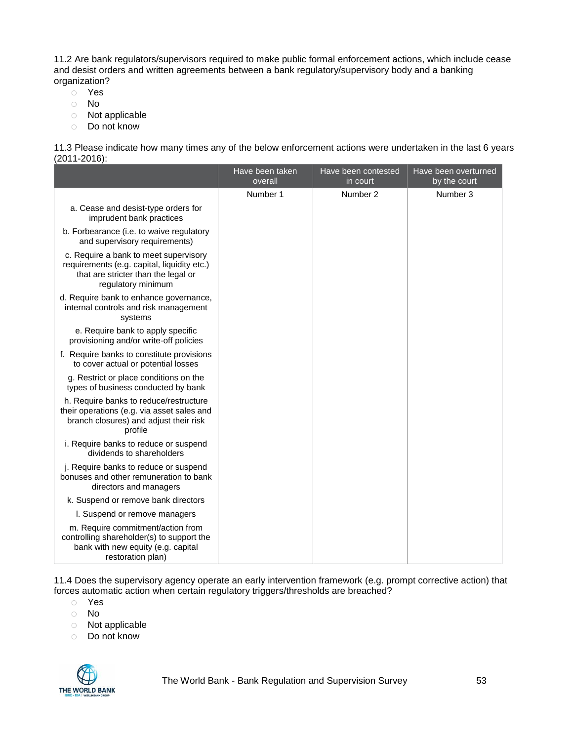11.2 Are bank regulators/supervisors required to make public formal enforcement actions, which include cease and desist orders and written agreements between a bank regulatory/supervisory body and a banking organization?

- o Yes
- o No
- o Not applicable
- o Do not know

11.3 Please indicate how many times any of the below enforcement actions were undertaken in the last 6 years (2011-2016):

|                                                                                                                                                   | Have been taken<br>overall | Have been contested<br>in court | Have been overturned<br>by the court |
|---------------------------------------------------------------------------------------------------------------------------------------------------|----------------------------|---------------------------------|--------------------------------------|
|                                                                                                                                                   | Number 1                   | Number 2                        | Number 3                             |
| a. Cease and desist-type orders for<br>imprudent bank practices                                                                                   |                            |                                 |                                      |
| b. Forbearance (i.e. to waive regulatory<br>and supervisory requirements)                                                                         |                            |                                 |                                      |
| c. Require a bank to meet supervisory<br>requirements (e.g. capital, liquidity etc.)<br>that are stricter than the legal or<br>regulatory minimum |                            |                                 |                                      |
| d. Require bank to enhance governance,<br>internal controls and risk management<br>systems                                                        |                            |                                 |                                      |
| e. Require bank to apply specific<br>provisioning and/or write-off policies                                                                       |                            |                                 |                                      |
| f. Require banks to constitute provisions<br>to cover actual or potential losses                                                                  |                            |                                 |                                      |
| g. Restrict or place conditions on the<br>types of business conducted by bank                                                                     |                            |                                 |                                      |
| h. Require banks to reduce/restructure<br>their operations (e.g. via asset sales and<br>branch closures) and adjust their risk<br>profile         |                            |                                 |                                      |
| i. Require banks to reduce or suspend<br>dividends to shareholders                                                                                |                            |                                 |                                      |
| j. Require banks to reduce or suspend<br>bonuses and other remuneration to bank<br>directors and managers                                         |                            |                                 |                                      |
| k. Suspend or remove bank directors                                                                                                               |                            |                                 |                                      |
| I. Suspend or remove managers                                                                                                                     |                            |                                 |                                      |
| m. Require commitment/action from<br>controlling shareholder(s) to support the<br>bank with new equity (e.g. capital<br>restoration plan)         |                            |                                 |                                      |

11.4 Does the supervisory agency operate an early intervention framework (e.g. prompt corrective action) that forces automatic action when certain regulatory triggers/thresholds are breached?

- o Yes
- o No
- o Not applicable
- o Do not know

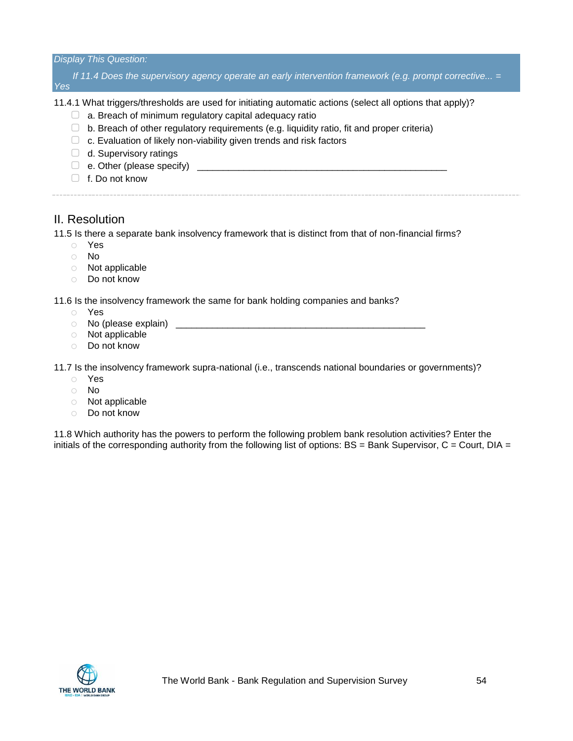*Display This Question:*

*If 11.4 Does the supervisory agency operate an early intervention framework (e.g. prompt corrective... = Yes*

11.4.1 What triggers/thresholds are used for initiating automatic actions (select all options that apply)?

- $\Box$  a. Breach of minimum regulatory capital adequacy ratio
- $\Box$  b. Breach of other regulatory reguirements (e.g. liquidity ratio, fit and proper criteria)
- $\Box$  c. Evaluation of likely non-viability given trends and risk factors
- □ d. Supervisory ratings
- $\Box$  e. Other (please specify)
- ▢ f. Do not know

## II. Resolution

11.5 Is there a separate bank insolvency framework that is distinct from that of non-financial firms?

- o Yes
- o No
- o Not applicable
- o Do not know

11.6 Is the insolvency framework the same for bank holding companies and banks?

- o Yes
- $\circ$  No (please explain)  $\circ$
- o Not applicable
- o Do not know

11.7 Is the insolvency framework supra-national (i.e., transcends national boundaries or governments)?

- o Yes
- o No
- o Not applicable
- o Do not know

11.8 Which authority has the powers to perform the following problem bank resolution activities? Enter the initials of the corresponding authority from the following list of options:  $BS = Bank\;Supervisor, C = Court, DIA =$ 

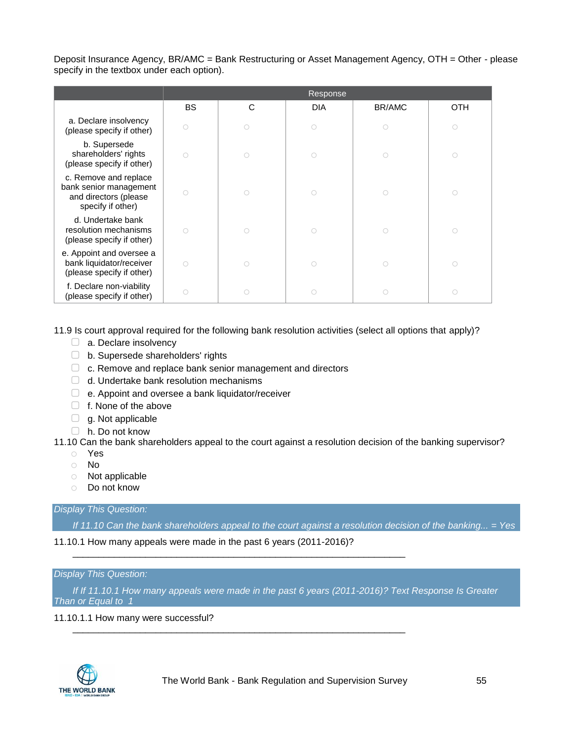Deposit Insurance Agency, BR/AMC = Bank Restructuring or Asset Management Agency, OTH = Other - please specify in the textbox under each option).

|                                                                                               |            |   | Response   |        |            |
|-----------------------------------------------------------------------------------------------|------------|---|------------|--------|------------|
|                                                                                               | <b>BS</b>  | C | <b>DIA</b> | BR/AMC | OTH        |
| a. Declare insolvency<br>(please specify if other)                                            | $\bigcirc$ |   | $\circ$    |        | $\bigcirc$ |
| b. Supersede<br>shareholders' rights<br>(please specify if other)                             | $\bigcirc$ |   | ∩          | C      | O          |
| c. Remove and replace<br>bank senior management<br>and directors (please<br>specify if other) | $\bigcirc$ |   | ∩          |        | ∩          |
| d. Undertake bank<br>resolution mechanisms<br>(please specify if other)                       | $\bigcirc$ | ∩ | O          | ∩      | O          |
| e. Appoint and oversee a<br>bank liquidator/receiver<br>(please specify if other)             | $\bigcirc$ | ∩ | ∩          | ∩      | O          |
| f. Declare non-viability<br>(please specify if other)                                         | $\bigcirc$ |   | ∩          |        | C          |

11.9 Is court approval required for the following bank resolution activities (select all options that apply)?

- □ a. Declare insolvency
- ▢ b. Supersede shareholders' rights
- □ c. Remove and replace bank senior management and directors
- □ d. Undertake bank resolution mechanisms
- ▢ e. Appoint and oversee a bank liquidator/receiver
- □ f. None of the above
- $\Box$  g. Not applicable
- ▢ h. Do not know

#### 11.10 Can the bank shareholders appeal to the court against a resolution decision of the banking supervisor?

- o Yes
- o No
- o Not applicable
- o Do not know

### *Display This Question:*

*If 11.10 Can the bank shareholders appeal to the court against a resolution decision of the banking... = Yes*

11.10.1 How many appeals were made in the past 6 years (2011-2016)?

\_\_\_\_\_\_\_\_\_\_\_\_\_\_\_\_\_\_\_\_\_\_\_\_\_\_\_\_\_\_\_\_\_\_\_\_\_\_\_\_\_\_\_\_\_\_\_\_\_\_\_\_\_\_\_\_\_\_\_\_\_\_\_\_

\_\_\_\_\_\_\_\_\_\_\_\_\_\_\_\_\_\_\_\_\_\_\_\_\_\_\_\_\_\_\_\_\_\_\_\_\_\_\_\_\_\_\_\_\_\_\_\_\_\_\_\_\_\_\_\_\_\_\_\_\_\_\_\_

#### *Display This Question:*

*If If 11.10.1 How many appeals were made in the past 6 years (2011-2016)? Text Response Is Greater Than or Equal to 1*

#### 11.10.1.1 How many were successful?

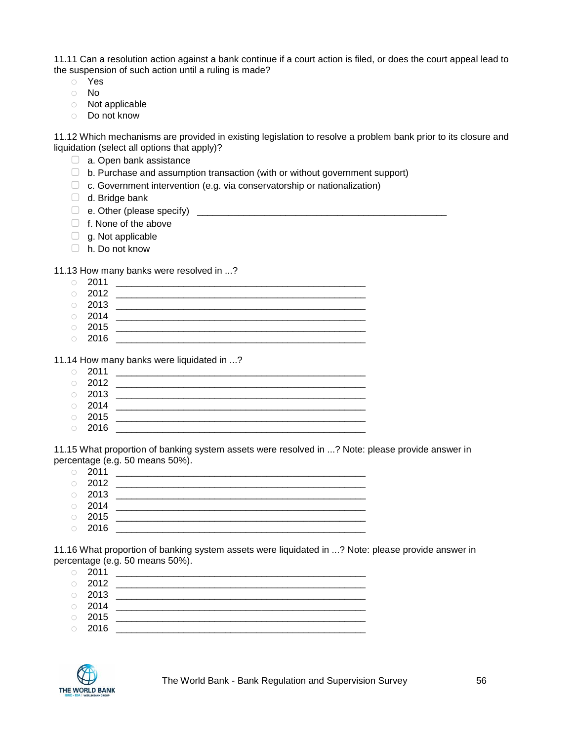11.11 Can a resolution action against a bank continue if a court action is filed, or does the court appeal lead to the suspension of such action until a ruling is made?

- o Yes
- o No
- o Not applicable
- o Do not know

11.12 Which mechanisms are provided in existing legislation to resolve a problem bank prior to its closure and liquidation (select all options that apply)?

- □ a. Open bank assistance
- ▢ b. Purchase and assumption transaction (with or without government support)
- $\Box$  c. Government intervention (e.g. via conservatorship or nationalization)
- $\Box$  d. Bridge bank
- ▢ e. Other (please specify) \_\_\_\_\_\_\_\_\_\_\_\_\_\_\_\_\_\_\_\_\_\_\_\_\_\_\_\_\_\_\_\_\_\_\_\_\_\_\_\_\_\_\_\_\_\_\_\_
- ▢ f. None of the above
- □ g. Not applicable
- ▢ h. Do not know

11.13 How many banks were resolved in ...?

|            | $\circ$ 2011 |  |
|------------|--------------|--|
|            | $\circ$ 2012 |  |
|            | $\circ$ 2013 |  |
| $\bigcirc$ | 2014         |  |

- o 2015 \_\_\_\_\_\_\_\_\_\_\_\_\_\_\_\_\_\_\_\_\_\_\_\_\_\_\_\_\_\_\_\_\_\_\_\_\_\_\_\_\_\_\_\_\_\_\_\_
- o 2016 \_\_\_\_\_\_\_\_\_\_\_\_\_\_\_\_\_\_\_\_\_\_\_\_\_\_\_\_\_\_\_\_\_\_\_\_\_\_\_\_\_\_\_\_\_\_\_\_

11.14 How many banks were liquidated in ...?

|            | $\circ$ 2011 |  |
|------------|--------------|--|
|            | $\circ$ 2012 |  |
|            | $\circ$ 2013 |  |
|            | $\circ$ 2014 |  |
| $\bigcirc$ | 2015         |  |

o 2016 \_\_\_\_\_\_\_\_\_\_\_\_\_\_\_\_\_\_\_\_\_\_\_\_\_\_\_\_\_\_\_\_\_\_\_\_\_\_\_\_\_\_\_\_\_\_\_\_

11.15 What proportion of banking system assets were resolved in ...? Note: please provide answer in percentage (e.g. 50 means 50%).

- o 2011 \_\_\_\_\_\_\_\_\_\_\_\_\_\_\_\_\_\_\_\_\_\_\_\_\_\_\_\_\_\_\_\_\_\_\_\_\_\_\_\_\_\_\_\_\_\_\_\_ o 2012 \_\_\_\_\_\_\_\_\_\_\_\_\_\_\_\_\_\_\_\_\_\_\_\_\_\_\_\_\_\_\_\_\_\_\_\_\_\_\_\_\_\_\_\_\_\_\_\_ o 2013 \_\_\_\_\_\_\_\_\_\_\_\_\_\_\_\_\_\_\_\_\_\_\_\_\_\_\_\_\_\_\_\_\_\_\_\_\_\_\_\_\_\_\_\_\_\_\_\_ o 2014 \_\_\_\_\_\_\_\_\_\_\_\_\_\_\_\_\_\_\_\_\_\_\_\_\_\_\_\_\_\_\_\_\_\_\_\_\_\_\_\_\_\_\_\_\_\_\_\_
- o 2015 \_\_\_\_\_\_\_\_\_\_\_\_\_\_\_\_\_\_\_\_\_\_\_\_\_\_\_\_\_\_\_\_\_\_\_\_\_\_\_\_\_\_\_\_\_\_\_\_ o 2016 \_\_\_\_\_\_\_\_\_\_\_\_\_\_\_\_\_\_\_\_\_\_\_\_\_\_\_\_\_\_\_\_\_\_\_\_\_\_\_\_\_\_\_\_\_\_\_\_
- 11.16 What proportion of banking system assets were liquidated in ...? Note: please provide answer in

percentage (e.g. 50 means 50%). o 2011 \_\_\_\_\_\_\_\_\_\_\_\_\_\_\_\_\_\_\_\_\_\_\_\_\_\_\_\_\_\_\_\_\_\_\_\_\_\_\_\_\_\_\_\_\_\_\_\_

o 2012 \_\_\_\_\_\_\_\_\_\_\_\_\_\_\_\_\_\_\_\_\_\_\_\_\_\_\_\_\_\_\_\_\_\_\_\_\_\_\_\_\_\_\_\_\_\_\_\_  $\circ$  2013 o 2014 \_\_\_\_\_\_\_\_\_\_\_\_\_\_\_\_\_\_\_\_\_\_\_\_\_\_\_\_\_\_\_\_\_\_\_\_\_\_\_\_\_\_\_\_\_\_\_\_ o 2015 \_\_\_\_\_\_\_\_\_\_\_\_\_\_\_\_\_\_\_\_\_\_\_\_\_\_\_\_\_\_\_\_\_\_\_\_\_\_\_\_\_\_\_\_\_\_\_\_  $\circ$  2016

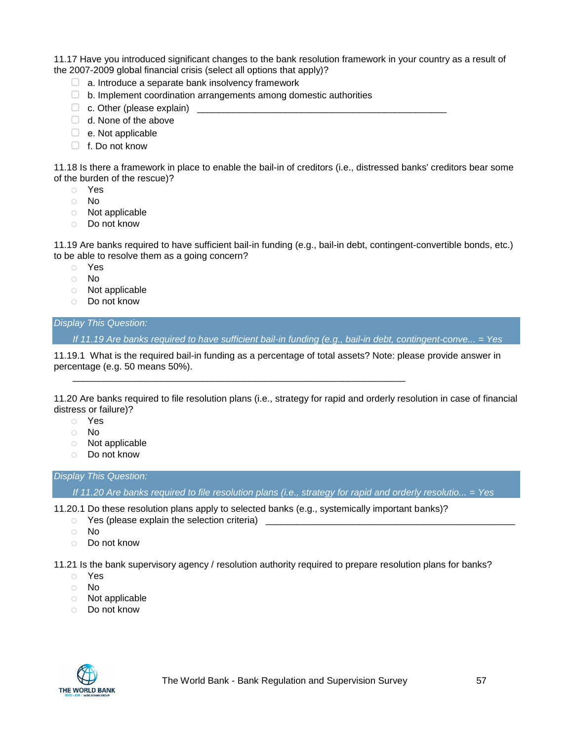11.17 Have you introduced significant changes to the bank resolution framework in your country as a result of the 2007-2009 global financial crisis (select all options that apply)?

- $\Box$  a. Introduce a separate bank insolvency framework
- $\Box$  b. Implement coordination arrangements among domestic authorities
- $\Box$  c. Other (please explain)
- □ d. None of the above
- $\Box$  e. Not applicable
- $\Box$  f. Do not know

11.18 Is there a framework in place to enable the bail-in of creditors (i.e., distressed banks' creditors bear some of the burden of the rescue)?

- o Yes
- o No
- o Not applicable
- o Do not know

11.19 Are banks required to have sufficient bail-in funding (e.g., bail-in debt, contingent-convertible bonds, etc.) to be able to resolve them as a going concern?

- o Yes
- o No
- o Not applicable
- o Do not know

#### *Display This Question:*

*If 11.19 Are banks required to have sufficient bail-in funding (e.g., bail-in debt, contingent-conve... = Yes*

11.19.1 What is the required bail-in funding as a percentage of total assets? Note: please provide answer in percentage (e.g. 50 means 50%).

11.20 Are banks required to file resolution plans (i.e., strategy for rapid and orderly resolution in case of financial distress or failure)?

- o Yes
- o No
- o Not applicable
- o Do not know

*Display This Question:*

*If 11.20 Are banks required to file resolution plans (i.e., strategy for rapid and orderly resolutio... = Yes*

11.20.1 Do these resolution plans apply to selected banks (e.g., systemically important banks)?

\_\_\_\_\_\_\_\_\_\_\_\_\_\_\_\_\_\_\_\_\_\_\_\_\_\_\_\_\_\_\_\_\_\_\_\_\_\_\_\_\_\_\_\_\_\_\_\_\_\_\_\_\_\_\_\_\_\_\_\_\_\_\_\_

- $\circ$  Yes (please explain the selection criteria)  $\overline{\phantom{a}}$
- o No
- o Do not know

11.21 Is the bank supervisory agency / resolution authority required to prepare resolution plans for banks?

- o Yes
- o No
- o Not applicable
- o Do not know

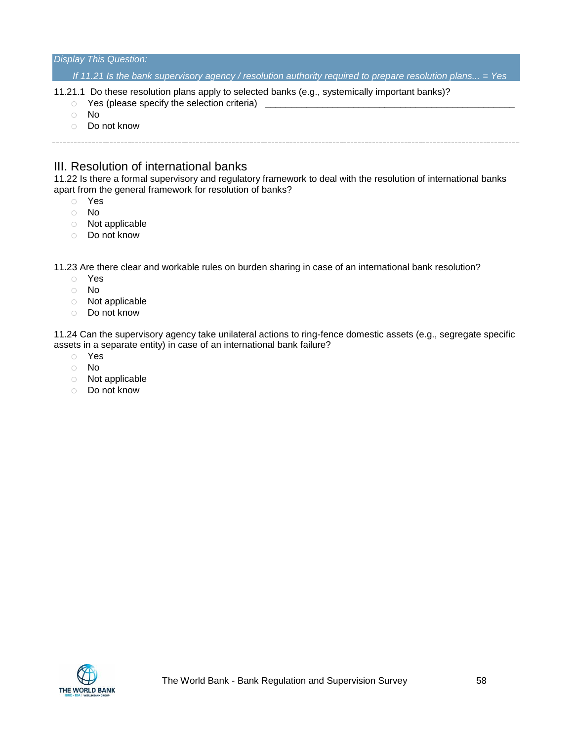#### *Display This Question:*

*If 11.21 Is the bank supervisory agency / resolution authority required to prepare resolution plans... = Yes*

- 11.21.1 Do these resolution plans apply to selected banks (e.g., systemically important banks)?
	- $\circ$  Yes (please specify the selection criteria)
	- o No
	- o Do not know

## III. Resolution of international banks

11.22 Is there a formal supervisory and regulatory framework to deal with the resolution of international banks apart from the general framework for resolution of banks?

- o Yes
- o No
- o Not applicable
- o Do not know

11.23 Are there clear and workable rules on burden sharing in case of an international bank resolution?

- o Yes
- o No
- o Not applicable
- o Do not know

11.24 Can the supervisory agency take unilateral actions to ring-fence domestic assets (e.g., segregate specific assets in a separate entity) in case of an international bank failure?

- o Yes
- o No
- o Not applicable
- o Do not know

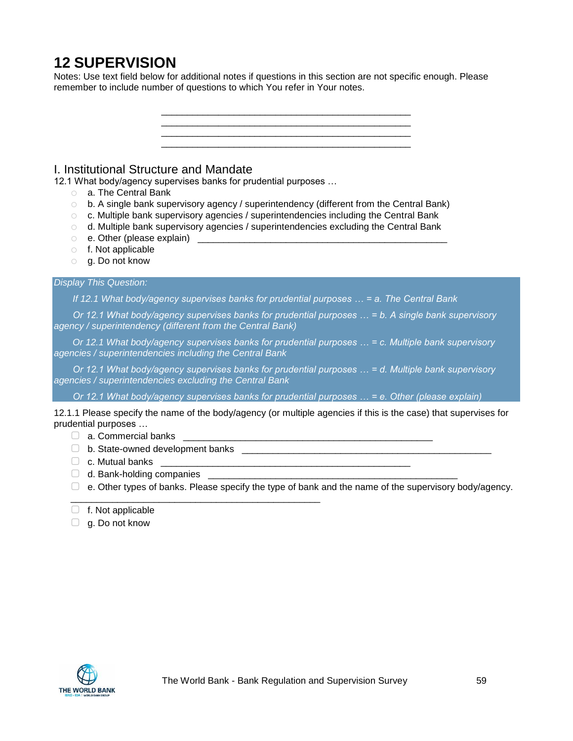# **12 SUPERVISION**

Notes: Use text field below for additional notes if questions in this section are not specific enough. Please remember to include number of questions to which You refer in Your notes.

\_\_\_\_\_\_\_\_\_\_\_\_\_\_\_\_\_\_\_\_\_\_\_\_\_\_\_\_\_\_\_\_\_\_\_\_\_\_\_\_\_\_\_\_\_\_\_\_



 $\Box$  b. State-owned development banks

\_\_\_\_\_\_\_\_\_\_\_\_\_\_\_\_\_\_\_\_\_\_\_\_\_\_\_\_\_\_\_\_\_\_\_\_\_\_\_\_\_\_\_\_\_\_\_\_

- $\Box$  c. Mutual banks
- $\Box$  d. Bank-holding companies
- $\Box$  e. Other types of banks. Please specify the type of bank and the name of the supervisory body/agency.
- $\Box$  f. Not applicable
- $\Box$  g. Do not know

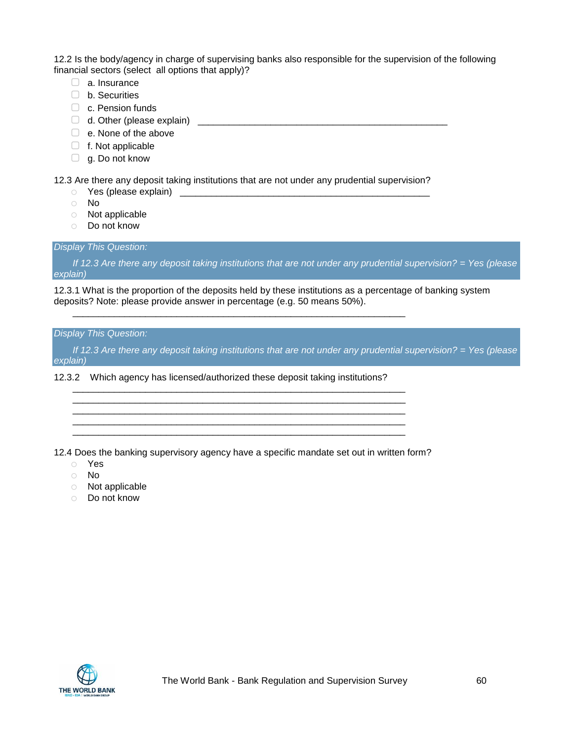12.2 Is the body/agency in charge of supervising banks also responsible for the supervision of the following financial sectors (select all options that apply)?

- □ a. Insurance
- ▢ b. Securities
- □ c. Pension funds
- ▢ d. Other (please explain) \_\_\_\_\_\_\_\_\_\_\_\_\_\_\_\_\_\_\_\_\_\_\_\_\_\_\_\_\_\_\_\_\_\_\_\_\_\_\_\_\_\_\_\_\_\_\_\_
- □ e. None of the above
- $\Box$  f. Not applicable
- □ g. Do not know

12.3 Are there any deposit taking institutions that are not under any prudential supervision?

\_\_\_\_\_\_\_\_\_\_\_\_\_\_\_\_\_\_\_\_\_\_\_\_\_\_\_\_\_\_\_\_\_\_\_\_\_\_\_\_\_\_\_\_\_\_\_\_\_\_\_\_\_\_\_\_\_\_\_\_\_\_\_\_

\_\_\_\_\_\_\_\_\_\_\_\_\_\_\_\_\_\_\_\_\_\_\_\_\_\_\_\_\_\_\_\_\_\_\_\_\_\_\_\_\_\_\_\_\_\_\_\_\_\_\_\_\_\_\_\_\_\_\_\_\_\_\_\_

\_\_\_\_\_\_\_\_\_\_\_\_\_\_\_\_\_\_\_\_\_\_\_\_\_\_\_\_\_\_\_\_\_\_\_\_\_\_\_\_\_\_\_\_\_\_\_\_\_\_\_\_\_\_\_\_\_\_\_\_\_\_\_\_ \_\_\_\_\_\_\_\_\_\_\_\_\_\_\_\_\_\_\_\_\_\_\_\_\_\_\_\_\_\_\_\_\_\_\_\_\_\_\_\_\_\_\_\_\_\_\_\_\_\_\_\_\_\_\_\_\_\_\_\_\_\_\_\_ \_\_\_\_\_\_\_\_\_\_\_\_\_\_\_\_\_\_\_\_\_\_\_\_\_\_\_\_\_\_\_\_\_\_\_\_\_\_\_\_\_\_\_\_\_\_\_\_\_\_\_\_\_\_\_\_\_\_\_\_\_\_\_\_

- $\circ$  Yes (please explain)  $\qquad \qquad$
- o No
- o Not applicable
- o Do not know

#### *Display This Question:*

*If 12.3 Are there any deposit taking institutions that are not under any prudential supervision? = Yes (please explain)*

12.3.1 What is the proportion of the deposits held by these institutions as a percentage of banking system deposits? Note: please provide answer in percentage (e.g. 50 means 50%).

#### *Display This Question:*

*If 12.3 Are there any deposit taking institutions that are not under any prudential supervision? = Yes (please explain)*

12.3.2 Which agency has licensed/authorized these deposit taking institutions?

12.4 Does the banking supervisory agency have a specific mandate set out in written form?

- o Yes
- o No
- o Not applicable
- o Do not know

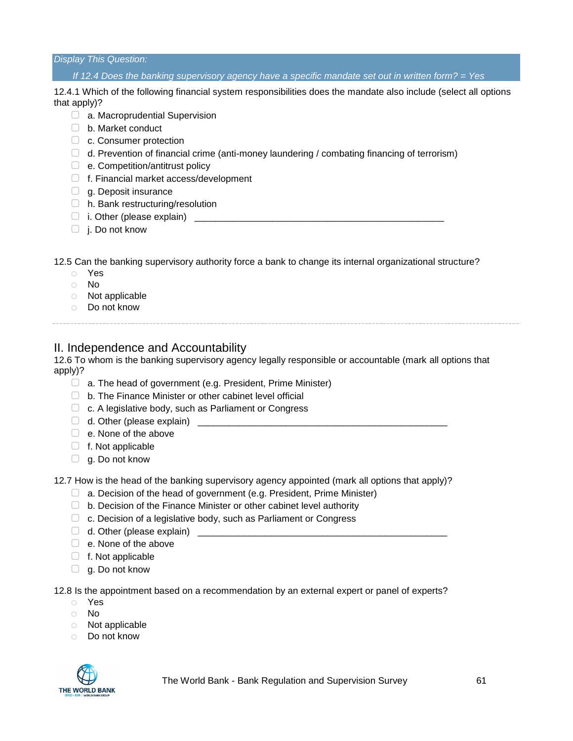*Display This Question:*

*If 12.4 Does the banking supervisory agency have a specific mandate set out in written form? = Yes*

12.4.1 Which of the following financial system responsibilities does the mandate also include (select all options that apply)?

- ▢ a. Macroprudential Supervision
- ▢ b. Market conduct
- □ c. Consumer protection
- $\Box$  d. Prevention of financial crime (anti-money laundering / combating financing of terrorism)
- ▢ e. Competition/antitrust policy
- ▢ f. Financial market access/development
- $\Box$  g. Deposit insurance
- $\Box$  h. Bank restructuring/resolution
- $\Box$  i. Other (please explain)
- $\Box$  j. Do not know

12.5 Can the banking supervisory authority force a bank to change its internal organizational structure?

- o Yes
- o No
- o Not applicable
- o Do not know

## II. Independence and Accountability

12.6 To whom is the banking supervisory agency legally responsible or accountable (mark all options that apply)?

- $\Box$  a. The head of government (e.g. President, Prime Minister)
- ▢ b. The Finance Minister or other cabinet level official
- ▢ c. A legislative body, such as Parliament or Congress
- $\Box$  d. Other (please explain)
- □ e. None of the above
- $\Box$  f. Not applicable
- $\Box$  g. Do not know

12.7 How is the head of the banking supervisory agency appointed (mark all options that apply)?

- $\Box$  a. Decision of the head of government (e.g. President, Prime Minister)
- $\Box$  b. Decision of the Finance Minister or other cabinet level authority
- □ c. Decision of a legislative body, such as Parliament or Congress
- $\Box$  d. Other (please explain)
- □ e. None of the above
- ▢ f. Not applicable
- $\Box$  g. Do not know

12.8 Is the appointment based on a recommendation by an external expert or panel of experts?

- o Yes
- o No
- o Not applicable
- o Do not know

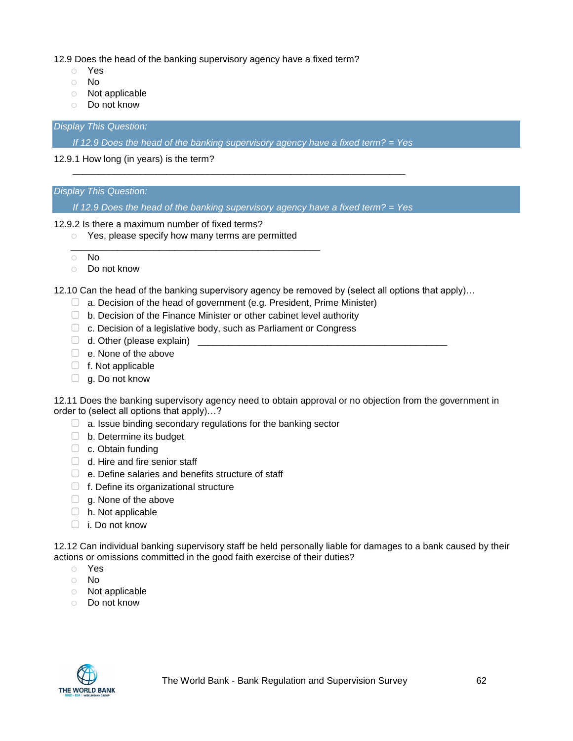12.9 Does the head of the banking supervisory agency have a fixed term?

- o Yes
- o No
- o Not applicable
- o Do not know

*Display This Question:*

*If 12.9 Does the head of the banking supervisory agency have a fixed term? = Yes*

\_\_\_\_\_\_\_\_\_\_\_\_\_\_\_\_\_\_\_\_\_\_\_\_\_\_\_\_\_\_\_\_\_\_\_\_\_\_\_\_\_\_\_\_\_\_\_\_\_\_\_\_\_\_\_\_\_\_\_\_\_\_\_\_

12.9.1 How long (in years) is the term?

#### *Display This Question:*

*If 12.9 Does the head of the banking supervisory agency have a fixed term? = Yes*

#### 12.9.2 Is there a maximum number of fixed terms?

o Yes, please specify how many terms are permitted

\_\_\_\_\_\_\_\_\_\_\_\_\_\_\_\_\_\_\_\_\_\_\_\_\_\_\_\_\_\_\_\_\_\_\_\_\_\_\_\_\_\_\_\_\_\_\_\_

- o No
- o Do not know

12.10 Can the head of the banking supervisory agency be removed by (select all options that apply)…

- □ a. Decision of the head of government (e.g. President, Prime Minister)
- ▢ b. Decision of the Finance Minister or other cabinet level authority
- $\Box$  c. Decision of a legislative body, such as Parliament or Congress
- $\Box$  d. Other (please explain)
- ▢ e. None of the above
- ▢ f. Not applicable
- □ g. Do not know

12.11 Does the banking supervisory agency need to obtain approval or no objection from the government in order to (select all options that apply)…?

- $\Box$  a. Issue binding secondary regulations for the banking sector
- □ b. Determine its budget
- □ c. Obtain funding
- $\Box$  d. Hire and fire senior staff
- □ e. Define salaries and benefits structure of staff
- $\Box$  f. Define its organizational structure
- $\Box$  g. None of the above
- $\Box$  h. Not applicable
- ▢ i. Do not know

12.12 Can individual banking supervisory staff be held personally liable for damages to a bank caused by their actions or omissions committed in the good faith exercise of their duties?

- o Yes
- o No
- o Not applicable
- o Do not know

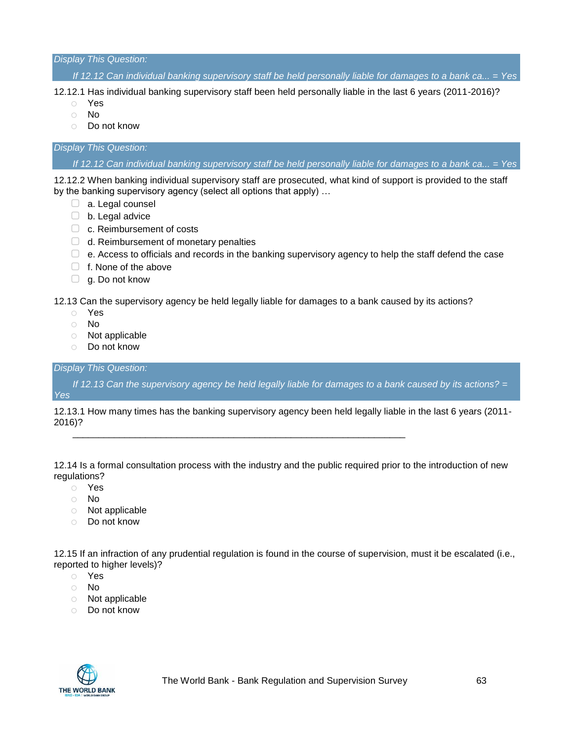*Display This Question:*

*If 12.12 Can individual banking supervisory staff be held personally liable for damages to a bank ca... = Yes*

12.12.1 Has individual banking supervisory staff been held personally liable in the last 6 years (2011-2016)?

- o Yes
- o No
- o Do not know

#### *Display This Question:*

*If 12.12 Can individual banking supervisory staff be held personally liable for damages to a bank ca... = Yes*

12.12.2 When banking individual supervisory staff are prosecuted, what kind of support is provided to the staff by the banking supervisory agency (select all options that apply) …

- □ a. Legal counsel
- ▢ b. Legal advice
- □ c. Reimbursement of costs
- □ d. Reimbursement of monetary penalties
- $\Box$  e. Access to officials and records in the banking supervisory agency to help the staff defend the case
- □ f. None of the above
- □ g. Do not know

12.13 Can the supervisory agency be held legally liable for damages to a bank caused by its actions?

- o Yes
- o No
- o Not applicable
- o Do not know

#### *Display This Question:*

*If 12.13 Can the supervisory agency be held legally liable for damages to a bank caused by its actions? = Yes*

12.13.1 How many times has the banking supervisory agency been held legally liable in the last 6 years (2011- 2016)?

\_\_\_\_\_\_\_\_\_\_\_\_\_\_\_\_\_\_\_\_\_\_\_\_\_\_\_\_\_\_\_\_\_\_\_\_\_\_\_\_\_\_\_\_\_\_\_\_\_\_\_\_\_\_\_\_\_\_\_\_\_\_\_\_

12.14 Is a formal consultation process with the industry and the public required prior to the introduction of new regulations?

- o Yes
- o No
- o Not applicable
- o Do not know

12.15 If an infraction of any prudential regulation is found in the course of supervision, must it be escalated (i.e., reported to higher levels)?

- o Yes
- o No
- o Not applicable
- o Do not know

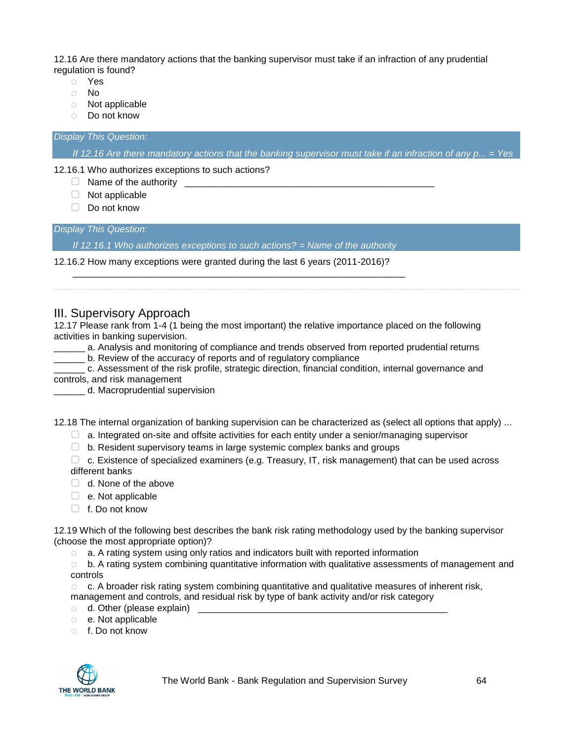12.16 Are there mandatory actions that the banking supervisor must take if an infraction of any prudential regulation is found?

- o Yes
- o No
- o Not applicable
- o Do not know

*Display This Question:*

*If 12.16 Are there mandatory actions that the banking supervisor must take if an infraction of any p... = Yes*

12.16.1 Who authorizes exceptions to such actions?

- ▢ Name of the authority \_\_\_\_\_\_\_\_\_\_\_\_\_\_\_\_\_\_\_\_\_\_\_\_\_\_\_\_\_\_\_\_\_\_\_\_\_\_\_\_\_\_\_\_\_\_\_\_
- ▢ Not applicable
- ▢ Do not know

*Display This Question:*

*If 12.16.1 Who authorizes exceptions to such actions? = Name of the authority*

\_\_\_\_\_\_\_\_\_\_\_\_\_\_\_\_\_\_\_\_\_\_\_\_\_\_\_\_\_\_\_\_\_\_\_\_\_\_\_\_\_\_\_\_\_\_\_\_\_\_\_\_\_\_\_\_\_\_\_\_\_\_\_\_

12.16.2 How many exceptions were granted during the last 6 years (2011-2016)?

III. Supervisory Approach

12.17 Please rank from 1-4 (1 being the most important) the relative importance placed on the following activities in banking supervision.

\_\_\_\_\_\_ a. Analysis and monitoring of compliance and trends observed from reported prudential returns

\_\_\_\_\_\_ b. Review of the accuracy of reports and of regulatory compliance

\_\_\_\_\_\_ c. Assessment of the risk profile, strategic direction, financial condition, internal governance and controls, and risk management

\_\_\_\_\_\_ d. Macroprudential supervision

12.18 The internal organization of banking supervision can be characterized as (select all options that apply) ...

 $\Box$  a. Integrated on-site and offsite activities for each entity under a senior/managing supervisor

▢ b. Resident supervisory teams in large systemic complex banks and groups

 $\Box$  c. Existence of specialized examiners (e.g. Treasury, IT, risk management) that can be used across different banks

- □ d. None of the above
- $\Box$  e. Not applicable
- □ f. Do not know

12.19 Which of the following best describes the bank risk rating methodology used by the banking supervisor (choose the most appropriate option)?

 $\circ$  a. A rating system using only ratios and indicators built with reported information

 $\circ$  b. A rating system combining quantitative information with qualitative assessments of management and controls

o c. A broader risk rating system combining quantitative and qualitative measures of inherent risk, management and controls, and residual risk by type of bank activity and/or risk category

- $\circ$  d. Other (please explain)
- o e. Not applicable
- o f. Do not know

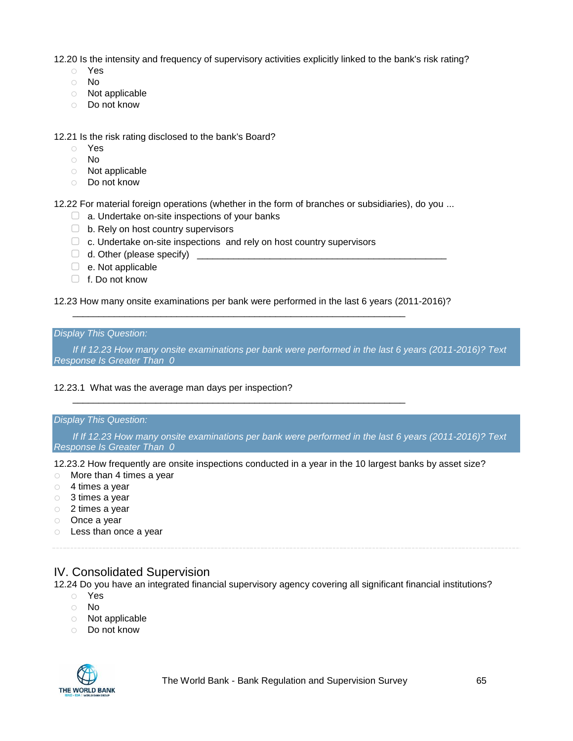12.20 Is the intensity and frequency of supervisory activities explicitly linked to the bank's risk rating?

- o Yes
- o No
- o Not applicable
- o Do not know

12.21 Is the risk rating disclosed to the bank's Board?

- o Yes
- o No
- o Not applicable
- o Do not know

12.22 For material foreign operations (whether in the form of branches or subsidiaries), do you ...

- □ a. Undertake on-site inspections of your banks
- ▢ b. Rely on host country supervisors
- □ c. Undertake on-site inspections and rely on host country supervisors
- $\Box$  d. Other (please specify)
- ▢ e. Not applicable
- ▢ f. Do not know

12.23 How many onsite examinations per bank were performed in the last 6 years (2011-2016)?

\_\_\_\_\_\_\_\_\_\_\_\_\_\_\_\_\_\_\_\_\_\_\_\_\_\_\_\_\_\_\_\_\_\_\_\_\_\_\_\_\_\_\_\_\_\_\_\_\_\_\_\_\_\_\_\_\_\_\_\_\_\_\_\_

\_\_\_\_\_\_\_\_\_\_\_\_\_\_\_\_\_\_\_\_\_\_\_\_\_\_\_\_\_\_\_\_\_\_\_\_\_\_\_\_\_\_\_\_\_\_\_\_\_\_\_\_\_\_\_\_\_\_\_\_\_\_\_\_

#### *Display This Question:*

*If If 12.23 How many onsite examinations per bank were performed in the last 6 years (2011-2016)? Text Response Is Greater Than 0*

#### 12.23.1 What was the average man days per inspection?

#### *Display This Question:*

*If If 12.23 How many onsite examinations per bank were performed in the last 6 years (2011-2016)? Text Response Is Greater Than 0*

12.23.2 How frequently are onsite inspections conducted in a year in the 10 largest banks by asset size?

- o More than 4 times a year
- o 4 times a year
- o 3 times a year
- o 2 times a year
- o Once a year
- o Less than once a year

## IV. Consolidated Supervision

12.24 Do you have an integrated financial supervisory agency covering all significant financial institutions?

- o Yes
- o No
- o Not applicable
- o Do not know

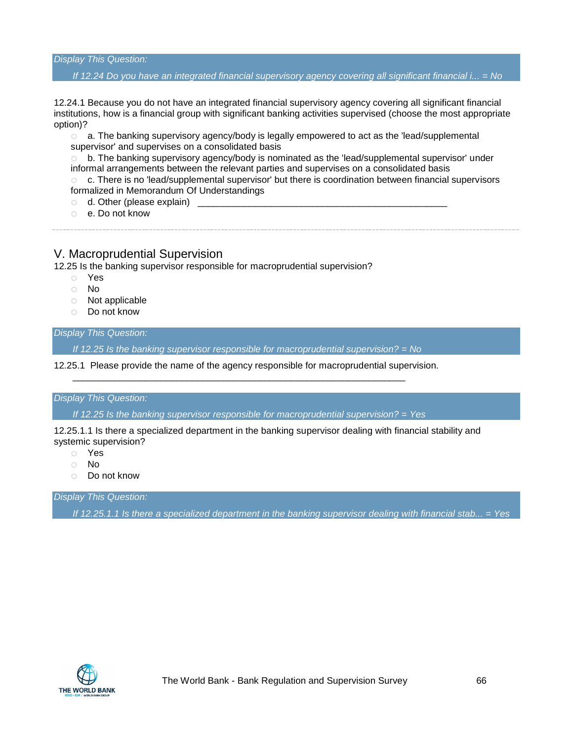*Display This Question:*

#### *If 12.24 Do you have an integrated financial supervisory agency covering all significant financial i... = No*

12.24.1 Because you do not have an integrated financial supervisory agency covering all significant financial institutions, how is a financial group with significant banking activities supervised (choose the most appropriate option)?

 $\circ$  a. The banking supervisory agency/body is legally empowered to act as the 'lead/supplemental supervisor' and supervises on a consolidated basis

 $\circ$  b. The banking supervisory agency/body is nominated as the 'lead/supplemental supervisor' under informal arrangements between the relevant parties and supervises on a consolidated basis

 $\circ$  c. There is no 'lead/supplemental supervisor' but there is coordination between financial supervisors formalized in Memorandum Of Understandings

- $\circ$  d. Other (please explain)
- o e. Do not know

## V. Macroprudential Supervision

12.25 Is the banking supervisor responsible for macroprudential supervision?

- o Yes
- o No
- o Not applicable
- o Do not know

#### *Display This Question:*

*If 12.25 Is the banking supervisor responsible for macroprudential supervision? = No*

12.25.1 Please provide the name of the agency responsible for macroprudential supervision.

\_\_\_\_\_\_\_\_\_\_\_\_\_\_\_\_\_\_\_\_\_\_\_\_\_\_\_\_\_\_\_\_\_\_\_\_\_\_\_\_\_\_\_\_\_\_\_\_\_\_\_\_\_\_\_\_\_\_\_\_\_\_\_\_

#### *Display This Question:*

*If 12.25 Is the banking supervisor responsible for macroprudential supervision? = Yes*

12.25.1.1 Is there a specialized department in the banking supervisor dealing with financial stability and systemic supervision?

- o Yes
- o No
- o Do not know

*Display This Question:*

*If 12.25.1.1 Is there a specialized department in the banking supervisor dealing with financial stab... = Yes*

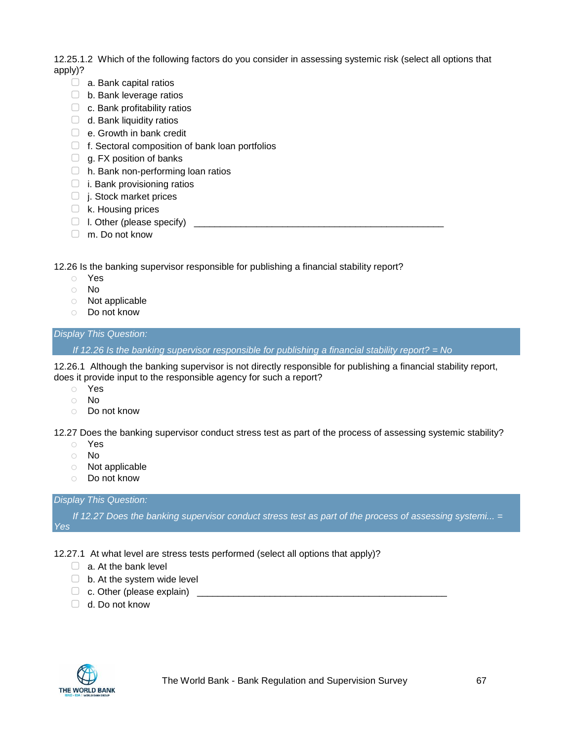12.25.1.2 Which of the following factors do you consider in assessing systemic risk (select all options that apply)?

- $\Box$  a. Bank capital ratios
- $\Box$  b. Bank leverage ratios
- $\Box$  c. Bank profitability ratios
- $\Box$  d. Bank liquidity ratios
- □ e. Growth in bank credit
- $\Box$  f. Sectoral composition of bank loan portfolios
- $\Box$  g. FX position of banks
- ▢ h. Bank non-performing loan ratios
- $\Box$  i. Bank provisioning ratios
- □ j. Stock market prices
- $\Box$  k. Housing prices
- $\Box$  I. Other (please specify)
- ▢ m. Do not know

12.26 Is the banking supervisor responsible for publishing a financial stability report?

- o Yes
- o No
- o Not applicable
- o Do not know

#### *Display This Question:*

*If 12.26 Is the banking supervisor responsible for publishing a financial stability report? = No*

12.26.1 Although the banking supervisor is not directly responsible for publishing a financial stability report, does it provide input to the responsible agency for such a report?

- o Yes
- o No
- o Do not know

12.27 Does the banking supervisor conduct stress test as part of the process of assessing systemic stability?

- o Yes
- o No
- o Not applicable
- o Do not know

#### *Display This Question:*

*If 12.27 Does the banking supervisor conduct stress test as part of the process of assessing systemi...* = *Yes*

- 12.27.1 At what level are stress tests performed (select all options that apply)?
	- $\Box$  a. At the bank level
	- $\Box$  b. At the system wide level
	- ▢ c. Other (please explain) \_\_\_\_\_\_\_\_\_\_\_\_\_\_\_\_\_\_\_\_\_\_\_\_\_\_\_\_\_\_\_\_\_\_\_\_\_\_\_\_\_\_\_\_\_\_\_\_
	- ▢ d. Do not know

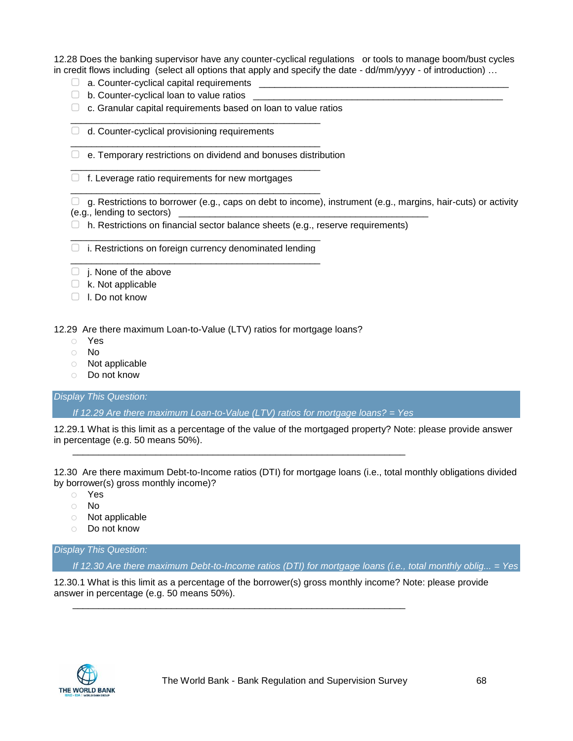12.28 Does the banking supervisor have any counter-cyclical regulations or tools to manage boom/bust cycles in credit flows including (select all options that apply and specify the date - dd/mm/yyyy - of introduction) …

- $\Box$  a. Counter-cyclical capital requirements  $\Box$
- $\Box$  b. Counter-cyclical loan to value ratios  $\Box$
- $\Box$  c. Granular capital requirements based on loan to value ratios

\_\_\_\_\_\_\_\_\_\_\_\_\_\_\_\_\_\_\_\_\_\_\_\_\_\_\_\_\_\_\_\_\_\_\_\_\_\_\_\_\_\_\_\_\_\_\_\_

\_\_\_\_\_\_\_\_\_\_\_\_\_\_\_\_\_\_\_\_\_\_\_\_\_\_\_\_\_\_\_\_\_\_\_\_\_\_\_\_\_\_\_\_\_\_\_\_

\_\_\_\_\_\_\_\_\_\_\_\_\_\_\_\_\_\_\_\_\_\_\_\_\_\_\_\_\_\_\_\_\_\_\_\_\_\_\_\_\_\_\_\_\_\_\_\_

\_\_\_\_\_\_\_\_\_\_\_\_\_\_\_\_\_\_\_\_\_\_\_\_\_\_\_\_\_\_\_\_\_\_\_\_\_\_\_\_\_\_\_\_\_\_\_\_

- $\Box$  d. Counter-cyclical provisioning requirements
- ▢ e. Temporary restrictions on dividend and bonuses distribution
- $\Box$  f. Leverage ratio requirements for new mortgages

 $\Box$  g. Restrictions to borrower (e.g., caps on debt to income), instrument (e.g., margins, hair-cuts) or activity (e.g., lending to sectors) \_\_\_\_\_\_\_\_\_\_\_\_\_\_\_\_\_\_\_\_\_\_\_\_\_\_\_\_\_\_\_\_\_\_\_\_\_\_\_\_\_\_\_\_\_\_\_\_

- $\Box$  h. Restrictions on financial sector balance sheets (e.g., reserve requirements)
- \_\_\_\_\_\_\_\_\_\_\_\_\_\_\_\_\_\_\_\_\_\_\_\_\_\_\_\_\_\_\_\_\_\_\_\_\_\_\_\_\_\_\_\_\_\_\_\_  $\Box$  i. Restrictions on foreign currency denominated lending \_\_\_\_\_\_\_\_\_\_\_\_\_\_\_\_\_\_\_\_\_\_\_\_\_\_\_\_\_\_\_\_\_\_\_\_\_\_\_\_\_\_\_\_\_\_\_\_
- $\Box$  j. None of the above
- ▢ k. Not applicable
- ▢ l. Do not know

12.29 Are there maximum Loan-to-Value (LTV) ratios for mortgage loans?

- o Yes
- o No
- o Not applicable
- o Do not know

#### *Display This Question:*

*If 12.29 Are there maximum Loan-to-Value (LTV) ratios for mortgage loans? = Yes*

\_\_\_\_\_\_\_\_\_\_\_\_\_\_\_\_\_\_\_\_\_\_\_\_\_\_\_\_\_\_\_\_\_\_\_\_\_\_\_\_\_\_\_\_\_\_\_\_\_\_\_\_\_\_\_\_\_\_\_\_\_\_\_\_

\_\_\_\_\_\_\_\_\_\_\_\_\_\_\_\_\_\_\_\_\_\_\_\_\_\_\_\_\_\_\_\_\_\_\_\_\_\_\_\_\_\_\_\_\_\_\_\_\_\_\_\_\_\_\_\_\_\_\_\_\_\_\_\_

12.29.1 What is this limit as a percentage of the value of the mortgaged property? Note: please provide answer in percentage (e.g. 50 means 50%).

12.30 Are there maximum Debt-to-Income ratios (DTI) for mortgage loans (i.e., total monthly obligations divided by borrower(s) gross monthly income)?

- o Yes
- o No
- o Not applicable
- o Do not know

*Display This Question:*

*If 12.30 Are there maximum Debt-to-Income ratios (DTI) for mortgage loans (i.e., total monthly oblig... = Yes*

12.30.1 What is this limit as a percentage of the borrower(s) gross monthly income? Note: please provide answer in percentage (e.g. 50 means 50%).

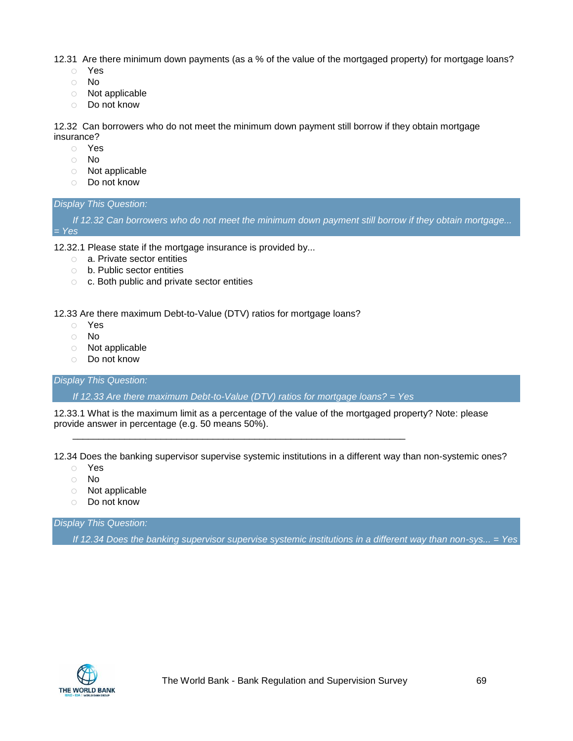12.31 Are there minimum down payments (as a % of the value of the mortgaged property) for mortgage loans?

- o Yes
- o No
- o Not applicable
- o Do not know

12.32 Can borrowers who do not meet the minimum down payment still borrow if they obtain mortgage insurance?

- o Yes
- o No
- o Not applicable
- o Do not know

#### *Display This Question:*

*If 12.32 Can borrowers who do not meet the minimum down payment still borrow if they obtain mortgage... = Yes*

12.32.1 Please state if the mortgage insurance is provided by...

- o a. Private sector entities
- o b. Public sector entities
- o c. Both public and private sector entities

12.33 Are there maximum Debt-to-Value (DTV) ratios for mortgage loans?

- o Yes
- o No
- o Not applicable
- o Do not know

*Display This Question:*

*If 12.33 Are there maximum Debt-to-Value (DTV) ratios for mortgage loans? = Yes*

\_\_\_\_\_\_\_\_\_\_\_\_\_\_\_\_\_\_\_\_\_\_\_\_\_\_\_\_\_\_\_\_\_\_\_\_\_\_\_\_\_\_\_\_\_\_\_\_\_\_\_\_\_\_\_\_\_\_\_\_\_\_\_\_

12.33.1 What is the maximum limit as a percentage of the value of the mortgaged property? Note: please provide answer in percentage (e.g. 50 means 50%).

12.34 Does the banking supervisor supervise systemic institutions in a different way than non-systemic ones?

- o Yes
- o No
- o Not applicable
- o Do not know

*Display This Question:*

*If 12.34 Does the banking supervisor supervise systemic institutions in a different way than non-sys... = Yes*

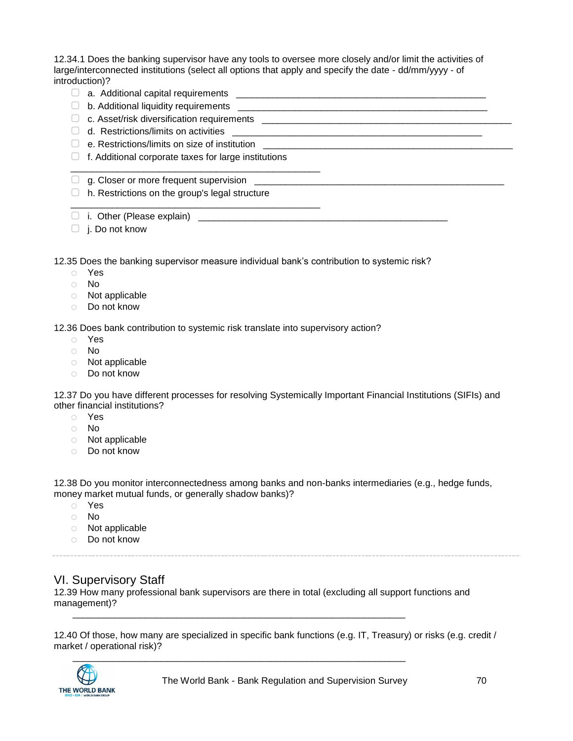12.34.1 Does the banking supervisor have any tools to oversee more closely and/or limit the activities of large/interconnected institutions (select all options that apply and specify the date - dd/mm/yyyy - of introduction)?

- ▢ a. Additional capital requirements \_\_\_\_\_\_\_\_\_\_\_\_\_\_\_\_\_\_\_\_\_\_\_\_\_\_\_\_\_\_\_\_\_\_\_\_\_\_\_\_\_\_\_\_\_\_\_\_
- ▢ b. Additional liquidity requirements \_\_\_\_\_\_\_\_\_\_\_\_\_\_\_\_\_\_\_\_\_\_\_\_\_\_\_\_\_\_\_\_\_\_\_\_\_\_\_\_\_\_\_\_\_\_\_\_
- ▢ c. Asset/risk diversification requirements \_\_\_\_\_\_\_\_\_\_\_\_\_\_\_\_\_\_\_\_\_\_\_\_\_\_\_\_\_\_\_\_\_\_\_\_\_\_\_\_\_\_\_\_\_\_\_\_
- $\Box$  d. Restrictions/limits on activities
- $\Box$  e. Restrictions/limits on size of institution
- $\Box$  f. Additional corporate taxes for large institutions

\_\_\_\_\_\_\_\_\_\_\_\_\_\_\_\_\_\_\_\_\_\_\_\_\_\_\_\_\_\_\_\_\_\_\_\_\_\_\_\_\_\_\_\_\_\_\_\_

\_\_\_\_\_\_\_\_\_\_\_\_\_\_\_\_\_\_\_\_\_\_\_\_\_\_\_\_\_\_\_\_\_\_\_\_\_\_\_\_\_\_\_\_\_\_\_\_

- $\Box$  g. Closer or more frequent supervision
- $\Box$  h. Restrictions on the group's legal structure
- ▢ i. Other (Please explain) \_\_\_\_\_\_\_\_\_\_\_\_\_\_\_\_\_\_\_\_\_\_\_\_\_\_\_\_\_\_\_\_\_\_\_\_\_\_\_\_\_\_\_\_\_\_\_\_
- $\Box$  j. Do not know

12.35 Does the banking supervisor measure individual bank's contribution to systemic risk?

- o Yes
- o No
- o Not applicable
- o Do not know

12.36 Does bank contribution to systemic risk translate into supervisory action?

- o Yes
- o No
- o Not applicable
- o Do not know

12.37 Do you have different processes for resolving Systemically Important Financial Institutions (SIFIs) and other financial institutions?

- o Yes
- o No
- o Not applicable
- o Do not know

12.38 Do you monitor interconnectedness among banks and non-banks intermediaries (e.g., hedge funds, money market mutual funds, or generally shadow banks)?

- o Yes
- o No
- o Not applicable
- o Do not know

## VI. Supervisory Staff

12.39 How many professional bank supervisors are there in total (excluding all support functions and management)? \_\_\_\_\_\_\_\_\_\_\_\_\_\_\_\_\_\_\_\_\_\_\_\_\_\_\_\_\_\_\_\_\_\_\_\_\_\_\_\_\_\_\_\_\_\_\_\_\_\_\_\_\_\_\_\_\_\_\_\_\_\_\_\_

12.40 Of those, how many are specialized in specific bank functions (e.g. IT, Treasury) or risks (e.g. credit / market / operational risk)?

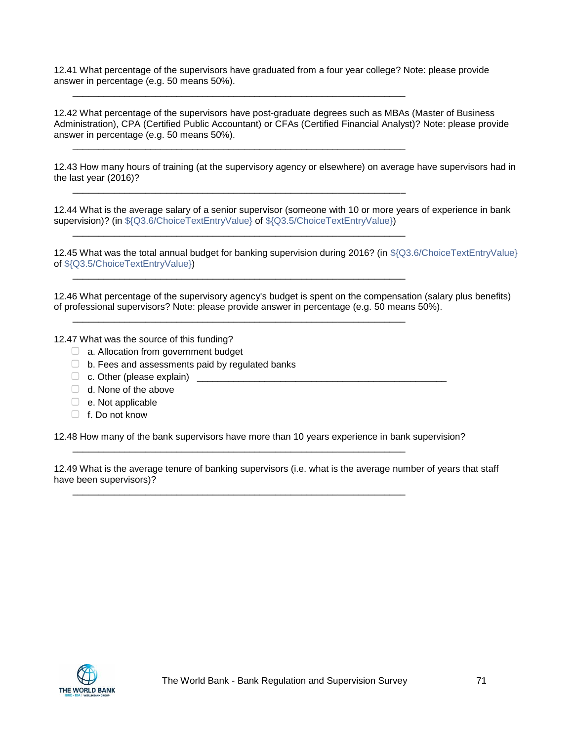12.41 What percentage of the supervisors have graduated from a four year college? Note: please provide answer in percentage (e.g. 50 means 50%).

\_\_\_\_\_\_\_\_\_\_\_\_\_\_\_\_\_\_\_\_\_\_\_\_\_\_\_\_\_\_\_\_\_\_\_\_\_\_\_\_\_\_\_\_\_\_\_\_\_\_\_\_\_\_\_\_\_\_\_\_\_\_\_\_

\_\_\_\_\_\_\_\_\_\_\_\_\_\_\_\_\_\_\_\_\_\_\_\_\_\_\_\_\_\_\_\_\_\_\_\_\_\_\_\_\_\_\_\_\_\_\_\_\_\_\_\_\_\_\_\_\_\_\_\_\_\_\_\_

\_\_\_\_\_\_\_\_\_\_\_\_\_\_\_\_\_\_\_\_\_\_\_\_\_\_\_\_\_\_\_\_\_\_\_\_\_\_\_\_\_\_\_\_\_\_\_\_\_\_\_\_\_\_\_\_\_\_\_\_\_\_\_\_

\_\_\_\_\_\_\_\_\_\_\_\_\_\_\_\_\_\_\_\_\_\_\_\_\_\_\_\_\_\_\_\_\_\_\_\_\_\_\_\_\_\_\_\_\_\_\_\_\_\_\_\_\_\_\_\_\_\_\_\_\_\_\_\_

\_\_\_\_\_\_\_\_\_\_\_\_\_\_\_\_\_\_\_\_\_\_\_\_\_\_\_\_\_\_\_\_\_\_\_\_\_\_\_\_\_\_\_\_\_\_\_\_\_\_\_\_\_\_\_\_\_\_\_\_\_\_\_\_

\_\_\_\_\_\_\_\_\_\_\_\_\_\_\_\_\_\_\_\_\_\_\_\_\_\_\_\_\_\_\_\_\_\_\_\_\_\_\_\_\_\_\_\_\_\_\_\_\_\_\_\_\_\_\_\_\_\_\_\_\_\_\_\_

12.42 What percentage of the supervisors have post-graduate degrees such as MBAs (Master of Business Administration), CPA (Certified Public Accountant) or CFAs (Certified Financial Analyst)? Note: please provide answer in percentage (e.g. 50 means 50%).

12.43 How many hours of training (at the supervisory agency or elsewhere) on average have supervisors had in the last year (2016)?

12.44 What is the average salary of a senior supervisor (someone with 10 or more years of experience in bank supervision)? (in \${Q3.6/ChoiceTextEntryValue} of \${Q3.5/ChoiceTextEntryValue})

12.45 What was the total annual budget for banking supervision during 2016? (in \${Q3.6/ChoiceTextEntryValue} of \${Q3.5/ChoiceTextEntryValue})

12.46 What percentage of the supervisory agency's budget is spent on the compensation (salary plus benefits) of professional supervisors? Note: please provide answer in percentage (e.g. 50 means 50%).

12.47 What was the source of this funding?

- ▢ a. Allocation from government budget
- $\Box$  b. Fees and assessments paid by regulated banks
- $\Box$  c. Other (please explain)
- $\Box$  d. None of the above
- $\Box$  e. Not applicable
- $\Box$  f. Do not know

12.48 How many of the bank supervisors have more than 10 years experience in bank supervision?

\_\_\_\_\_\_\_\_\_\_\_\_\_\_\_\_\_\_\_\_\_\_\_\_\_\_\_\_\_\_\_\_\_\_\_\_\_\_\_\_\_\_\_\_\_\_\_\_\_\_\_\_\_\_\_\_\_\_\_\_\_\_\_\_

\_\_\_\_\_\_\_\_\_\_\_\_\_\_\_\_\_\_\_\_\_\_\_\_\_\_\_\_\_\_\_\_\_\_\_\_\_\_\_\_\_\_\_\_\_\_\_\_\_\_\_\_\_\_\_\_\_\_\_\_\_\_\_\_

12.49 What is the average tenure of banking supervisors (i.e. what is the average number of years that staff have been supervisors)?

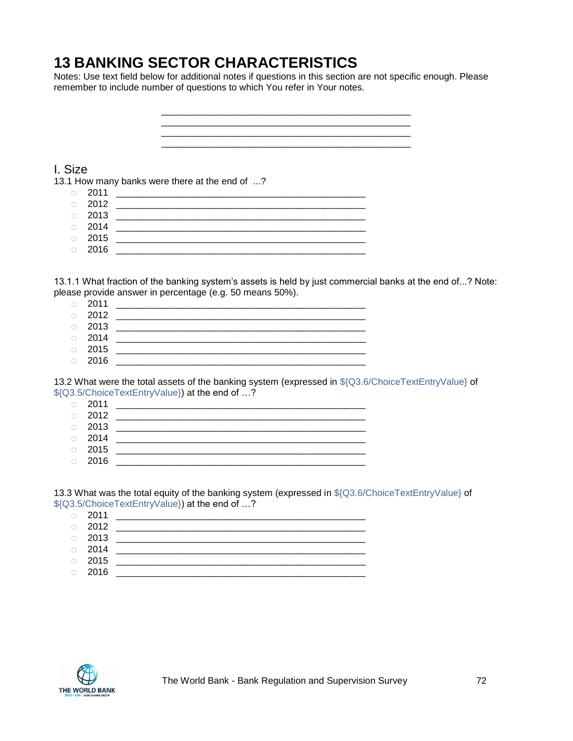# **13 BANKING SECTOR CHARACTERISTICS**

Notes: Use text field below for additional notes if questions in this section are not specific enough. Please remember to include number of questions to which You refer in Your notes.

> \_\_\_\_\_\_\_\_\_\_\_\_\_\_\_\_\_\_\_\_\_\_\_\_\_\_\_\_\_\_\_\_\_\_\_\_\_\_\_\_\_\_\_\_\_\_\_\_ \_\_\_\_\_\_\_\_\_\_\_\_\_\_\_\_\_\_\_\_\_\_\_\_\_\_\_\_\_\_\_\_\_\_\_\_\_\_\_\_\_\_\_\_\_\_\_\_

> \_\_\_\_\_\_\_\_\_\_\_\_\_\_\_\_\_\_\_\_\_\_\_\_\_\_\_\_\_\_\_\_\_\_\_\_\_\_\_\_\_\_\_\_\_\_\_\_

## I. Size

13.1 How many banks were there at the end of ...?

- o 2011 \_\_\_\_\_\_\_\_\_\_\_\_\_\_\_\_\_\_\_\_\_\_\_\_\_\_\_\_\_\_\_\_\_\_\_\_\_\_\_\_\_\_\_\_\_\_\_\_
- o 2012 \_\_\_\_\_\_\_\_\_\_\_\_\_\_\_\_\_\_\_\_\_\_\_\_\_\_\_\_\_\_\_\_\_\_\_\_\_\_\_\_\_\_\_\_\_\_\_\_
- o 2013 \_\_\_\_\_\_\_\_\_\_\_\_\_\_\_\_\_\_\_\_\_\_\_\_\_\_\_\_\_\_\_\_\_\_\_\_\_\_\_\_\_\_\_\_\_\_\_\_ o 2014 \_\_\_\_\_\_\_\_\_\_\_\_\_\_\_\_\_\_\_\_\_\_\_\_\_\_\_\_\_\_\_\_\_\_\_\_\_\_\_\_\_\_\_\_\_\_\_\_
- o 2015 \_\_\_\_\_\_\_\_\_\_\_\_\_\_\_\_\_\_\_\_\_\_\_\_\_\_\_\_\_\_\_\_\_\_\_\_\_\_\_\_\_\_\_\_\_\_\_\_
- o 2016 \_\_\_\_\_\_\_\_\_\_\_\_\_\_\_\_\_\_\_\_\_\_\_\_\_\_\_\_\_\_\_\_\_\_\_\_\_\_\_\_\_\_\_\_\_\_\_\_

13.1.1 What fraction of the banking system's assets is held by just commercial banks at the end of...? Note: please provide answer in percentage (e.g. 50 means 50%).

- o 2011 \_\_\_\_\_\_\_\_\_\_\_\_\_\_\_\_\_\_\_\_\_\_\_\_\_\_\_\_\_\_\_\_\_\_\_\_\_\_\_\_\_\_\_\_\_\_\_\_ o 2012 \_\_\_\_\_\_\_\_\_\_\_\_\_\_\_\_\_\_\_\_\_\_\_\_\_\_\_\_\_\_\_\_\_\_\_\_\_\_\_\_\_\_\_\_\_\_\_\_
- o 2013 \_\_\_\_\_\_\_\_\_\_\_\_\_\_\_\_\_\_\_\_\_\_\_\_\_\_\_\_\_\_\_\_\_\_\_\_\_\_\_\_\_\_\_\_\_\_\_\_ o 2014 \_\_\_\_\_\_\_\_\_\_\_\_\_\_\_\_\_\_\_\_\_\_\_\_\_\_\_\_\_\_\_\_\_\_\_\_\_\_\_\_\_\_\_\_\_\_\_\_
- o 2015 \_\_\_\_\_\_\_\_\_\_\_\_\_\_\_\_\_\_\_\_\_\_\_\_\_\_\_\_\_\_\_\_\_\_\_\_\_\_\_\_\_\_\_\_\_\_\_\_
- $\circ$  2016

13.2 What were the total assets of the banking system (expressed in \${Q3.6/ChoiceTextEntryValue} of \${Q3.5/ChoiceTextEntryValue}) at the end of …?

- o 2011 \_\_\_\_\_\_\_\_\_\_\_\_\_\_\_\_\_\_\_\_\_\_\_\_\_\_\_\_\_\_\_\_\_\_\_\_\_\_\_\_\_\_\_\_\_\_\_\_ o 2012 \_\_\_\_\_\_\_\_\_\_\_\_\_\_\_\_\_\_\_\_\_\_\_\_\_\_\_\_\_\_\_\_\_\_\_\_\_\_\_\_\_\_\_\_\_\_\_\_ o 2013 \_\_\_\_\_\_\_\_\_\_\_\_\_\_\_\_\_\_\_\_\_\_\_\_\_\_\_\_\_\_\_\_\_\_\_\_\_\_\_\_\_\_\_\_\_\_\_\_  $\circ$  2014 o 2015 \_\_\_\_\_\_\_\_\_\_\_\_\_\_\_\_\_\_\_\_\_\_\_\_\_\_\_\_\_\_\_\_\_\_\_\_\_\_\_\_\_\_\_\_\_\_\_\_
- o 2016 \_\_\_\_\_\_\_\_\_\_\_\_\_\_\_\_\_\_\_\_\_\_\_\_\_\_\_\_\_\_\_\_\_\_\_\_\_\_\_\_\_\_\_\_\_\_\_\_

13.3 What was the total equity of the banking system (expressed in \${Q3.6/ChoiceTextEntryValue} of \${Q3.5/ChoiceTextEntryValue}) at the end of …?

|         | $\circ$ 2011 |  |
|---------|--------------|--|
|         | $\circ$ 2012 |  |
|         | $\circ$ 2013 |  |
|         | $\circ$ 2014 |  |
|         | $\circ$ 2015 |  |
| $\circ$ | 2016         |  |

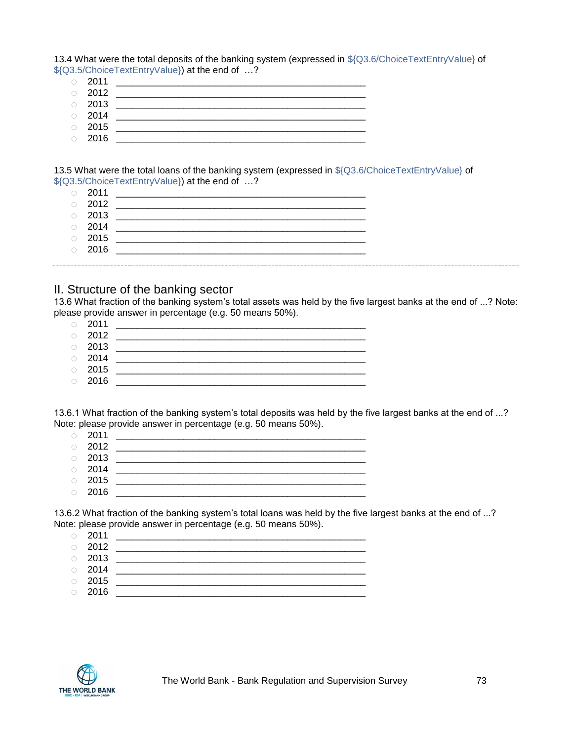13.4 What were the total deposits of the banking system (expressed in \${Q3.6/ChoiceTextEntryValue} of \${Q3.5/ChoiceTextEntryValue}) at the end of …?

- o 2011 \_\_\_\_\_\_\_\_\_\_\_\_\_\_\_\_\_\_\_\_\_\_\_\_\_\_\_\_\_\_\_\_\_\_\_\_\_\_\_\_\_\_\_\_\_\_\_\_
- o 2012 \_\_\_\_\_\_\_\_\_\_\_\_\_\_\_\_\_\_\_\_\_\_\_\_\_\_\_\_\_\_\_\_\_\_\_\_\_\_\_\_\_\_\_\_\_\_\_\_
- o 2013 \_\_\_\_\_\_\_\_\_\_\_\_\_\_\_\_\_\_\_\_\_\_\_\_\_\_\_\_\_\_\_\_\_\_\_\_\_\_\_\_\_\_\_\_\_\_\_\_
- $\circ$  2014
- o 2015 \_\_\_\_\_\_\_\_\_\_\_\_\_\_\_\_\_\_\_\_\_\_\_\_\_\_\_\_\_\_\_\_\_\_\_\_\_\_\_\_\_\_\_\_\_\_\_\_  $\circ$  2016

13.5 What were the total loans of the banking system (expressed in \${Q3.6/ChoiceTextEntryValue} of \${Q3.5/ChoiceTextEntryValue}) at the end of …?

- 
- o 2011 \_\_\_\_\_\_\_\_\_\_\_\_\_\_\_\_\_\_\_\_\_\_\_\_\_\_\_\_\_\_\_\_\_\_\_\_\_\_\_\_\_\_\_\_\_\_\_\_  $\circ$  2012
- o 2013 \_\_\_\_\_\_\_\_\_\_\_\_\_\_\_\_\_\_\_\_\_\_\_\_\_\_\_\_\_\_\_\_\_\_\_\_\_\_\_\_\_\_\_\_\_\_\_\_
- o 2014 \_\_\_\_\_\_\_\_\_\_\_\_\_\_\_\_\_\_\_\_\_\_\_\_\_\_\_\_\_\_\_\_\_\_\_\_\_\_\_\_\_\_\_\_\_\_\_\_
- o 2015 \_\_\_\_\_\_\_\_\_\_\_\_\_\_\_\_\_\_\_\_\_\_\_\_\_\_\_\_\_\_\_\_\_\_\_\_\_\_\_\_\_\_\_\_\_\_\_\_
- o 2016 \_\_\_\_\_\_\_\_\_\_\_\_\_\_\_\_\_\_\_\_\_\_\_\_\_\_\_\_\_\_\_\_\_\_\_\_\_\_\_\_\_\_\_\_\_\_\_\_

### II. Structure of the banking sector

13.6 What fraction of the banking system's total assets was held by the five largest banks at the end of ...? Note: please provide answer in percentage (e.g. 50 means 50%).

- o 2011 \_\_\_\_\_\_\_\_\_\_\_\_\_\_\_\_\_\_\_\_\_\_\_\_\_\_\_\_\_\_\_\_\_\_\_\_\_\_\_\_\_\_\_\_\_\_\_\_
- o 2012 \_\_\_\_\_\_\_\_\_\_\_\_\_\_\_\_\_\_\_\_\_\_\_\_\_\_\_\_\_\_\_\_\_\_\_\_\_\_\_\_\_\_\_\_\_\_\_\_
- o 2013 \_\_\_\_\_\_\_\_\_\_\_\_\_\_\_\_\_\_\_\_\_\_\_\_\_\_\_\_\_\_\_\_\_\_\_\_\_\_\_\_\_\_\_\_\_\_\_\_ o 2014 \_\_\_\_\_\_\_\_\_\_\_\_\_\_\_\_\_\_\_\_\_\_\_\_\_\_\_\_\_\_\_\_\_\_\_\_\_\_\_\_\_\_\_\_\_\_\_\_
- o 2015 \_\_\_\_\_\_\_\_\_\_\_\_\_\_\_\_\_\_\_\_\_\_\_\_\_\_\_\_\_\_\_\_\_\_\_\_\_\_\_\_\_\_\_\_\_\_\_\_
- o 2016 \_\_\_\_\_\_\_\_\_\_\_\_\_\_\_\_\_\_\_\_\_\_\_\_\_\_\_\_\_\_\_\_\_\_\_\_\_\_\_\_\_\_\_\_\_\_\_\_

13.6.1 What fraction of the banking system's total deposits was held by the five largest banks at the end of ...? Note: please provide answer in percentage (e.g. 50 means 50%).

o 2011 \_\_\_\_\_\_\_\_\_\_\_\_\_\_\_\_\_\_\_\_\_\_\_\_\_\_\_\_\_\_\_\_\_\_\_\_\_\_\_\_\_\_\_\_\_\_\_\_ o 2012 \_\_\_\_\_\_\_\_\_\_\_\_\_\_\_\_\_\_\_\_\_\_\_\_\_\_\_\_\_\_\_\_\_\_\_\_\_\_\_\_\_\_\_\_\_\_\_\_ o 2013 \_\_\_\_\_\_\_\_\_\_\_\_\_\_\_\_\_\_\_\_\_\_\_\_\_\_\_\_\_\_\_\_\_\_\_\_\_\_\_\_\_\_\_\_\_\_\_\_ o 2014 \_\_\_\_\_\_\_\_\_\_\_\_\_\_\_\_\_\_\_\_\_\_\_\_\_\_\_\_\_\_\_\_\_\_\_\_\_\_\_\_\_\_\_\_\_\_\_\_  $\circ$  2015  $\circ$  2016

13.6.2 What fraction of the banking system's total loans was held by the five largest banks at the end of ...? Note: please provide answer in percentage (e.g. 50 means 50%).

- o 2011 \_\_\_\_\_\_\_\_\_\_\_\_\_\_\_\_\_\_\_\_\_\_\_\_\_\_\_\_\_\_\_\_\_\_\_\_\_\_\_\_\_\_\_\_\_\_\_\_
- o 2012 \_\_\_\_\_\_\_\_\_\_\_\_\_\_\_\_\_\_\_\_\_\_\_\_\_\_\_\_\_\_\_\_\_\_\_\_\_\_\_\_\_\_\_\_\_\_\_\_
- o 2013 \_\_\_\_\_\_\_\_\_\_\_\_\_\_\_\_\_\_\_\_\_\_\_\_\_\_\_\_\_\_\_\_\_\_\_\_\_\_\_\_\_\_\_\_\_\_\_\_  $\circ$  2014
- 
- o 2015 \_\_\_\_\_\_\_\_\_\_\_\_\_\_\_\_\_\_\_\_\_\_\_\_\_\_\_\_\_\_\_\_\_\_\_\_\_\_\_\_\_\_\_\_\_\_\_\_  $\circ$  2016  $\qquad \qquad \overline{\qquad}$

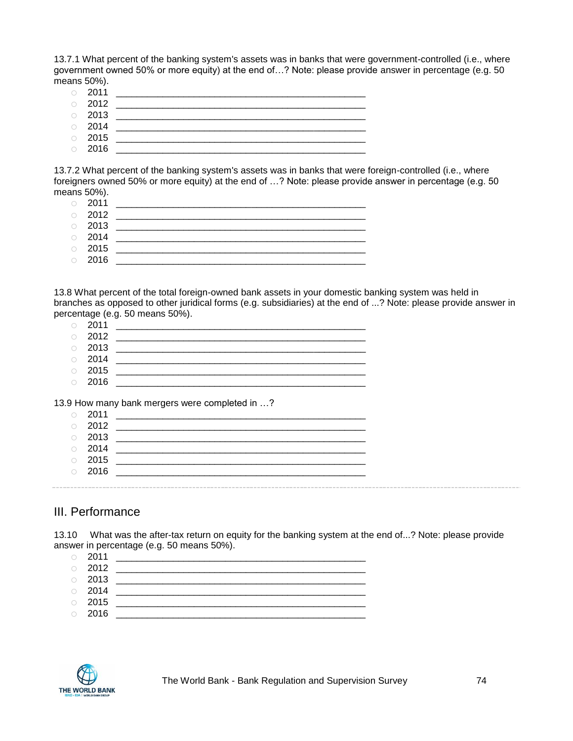13.7.1 What percent of the banking system's assets was in banks that were government-controlled (i.e., where government owned 50% or more equity) at the end of…? Note: please provide answer in percentage (e.g. 50 means 50%).

- o 2011 \_\_\_\_\_\_\_\_\_\_\_\_\_\_\_\_\_\_\_\_\_\_\_\_\_\_\_\_\_\_\_\_\_\_\_\_\_\_\_\_\_\_\_\_\_\_\_\_
- o 2012 \_\_\_\_\_\_\_\_\_\_\_\_\_\_\_\_\_\_\_\_\_\_\_\_\_\_\_\_\_\_\_\_\_\_\_\_\_\_\_\_\_\_\_\_\_\_\_\_
- $\circ$  2013 o 2014 \_\_\_\_\_\_\_\_\_\_\_\_\_\_\_\_\_\_\_\_\_\_\_\_\_\_\_\_\_\_\_\_\_\_\_\_\_\_\_\_\_\_\_\_\_\_\_\_
- o 2015 \_\_\_\_\_\_\_\_\_\_\_\_\_\_\_\_\_\_\_\_\_\_\_\_\_\_\_\_\_\_\_\_\_\_\_\_\_\_\_\_\_\_\_\_\_\_\_\_
- o 2016 \_\_\_\_\_\_\_\_\_\_\_\_\_\_\_\_\_\_\_\_\_\_\_\_\_\_\_\_\_\_\_\_\_\_\_\_\_\_\_\_\_\_\_\_\_\_\_\_

13.7.2 What percent of the banking system's assets was in banks that were foreign-controlled (i.e., where foreigners owned 50% or more equity) at the end of …? Note: please provide answer in percentage (e.g. 50 means 50%).

| $\circ$ 2011 |  |
|--------------|--|
| $\circ$ 2012 |  |
| $\circ$ 2013 |  |
| $\circ$ 2014 |  |
| $\circ$ 2015 |  |
| $\circ$ 2016 |  |

13.8 What percent of the total foreign-owned bank assets in your domestic banking system was held in branches as opposed to other juridical forms (e.g. subsidiaries) at the end of ...? Note: please provide answer in percentage (e.g. 50 means 50%).

| $\circ$ 2011 |  |
|--------------|--|
| $\circ$ 2012 |  |
| $\circ$ 2013 |  |
| $\circ$ 2014 |  |
| $\circ$ 2015 |  |

o 2016 \_\_\_\_\_\_\_\_\_\_\_\_\_\_\_\_\_\_\_\_\_\_\_\_\_\_\_\_\_\_\_\_\_\_\_\_\_\_\_\_\_\_\_\_\_\_\_\_

13.9 How many bank mergers were completed in …?

| $\bigcirc$ | 2011 |  |
|------------|------|--|
| $\circ$    | 2012 |  |
| $\bigcirc$ | 2013 |  |
| $\circ$    | 2014 |  |
| $\bigcirc$ | 2015 |  |
| $\bigcirc$ | 2016 |  |
|            |      |  |

### III. Performance

13.10 What was the after-tax return on equity for the banking system at the end of...? Note: please provide answer in percentage (e.g. 50 means 50%).

| $\circ$ 2011 |  |
|--------------|--|
| $\circ$ 2012 |  |
| $\circ$ 2013 |  |
| $\circ$ 2014 |  |
| $\circ$ 2015 |  |
| $\circ$ 2016 |  |
|              |  |

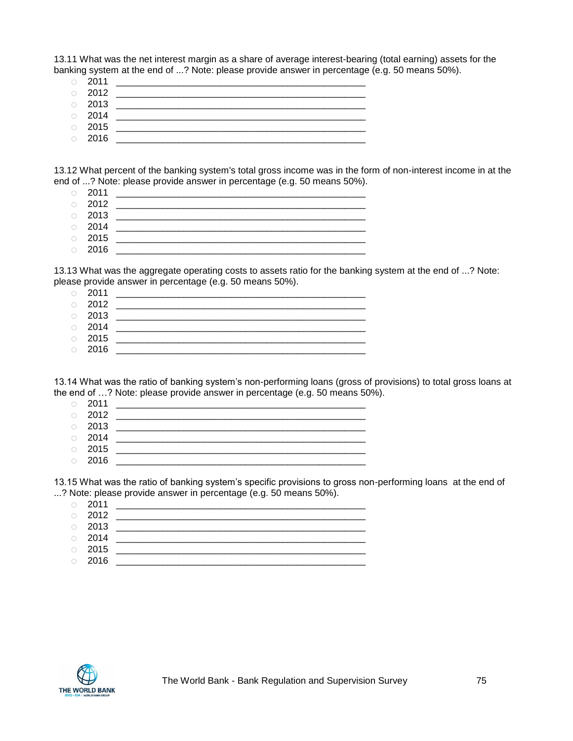13.11 What was the net interest margin as a share of average interest-bearing (total earning) assets for the banking system at the end of ...? Note: please provide answer in percentage (e.g. 50 means 50%).

- 
- o 2011 \_\_\_\_\_\_\_\_\_\_\_\_\_\_\_\_\_\_\_\_\_\_\_\_\_\_\_\_\_\_\_\_\_\_\_\_\_\_\_\_\_\_\_\_\_\_\_\_ o 2012 \_\_\_\_\_\_\_\_\_\_\_\_\_\_\_\_\_\_\_\_\_\_\_\_\_\_\_\_\_\_\_\_\_\_\_\_\_\_\_\_\_\_\_\_\_\_\_\_
- o 2013 \_\_\_\_\_\_\_\_\_\_\_\_\_\_\_\_\_\_\_\_\_\_\_\_\_\_\_\_\_\_\_\_\_\_\_\_\_\_\_\_\_\_\_\_\_\_\_\_
- $\circ$  2014
- o 2015 \_\_\_\_\_\_\_\_\_\_\_\_\_\_\_\_\_\_\_\_\_\_\_\_\_\_\_\_\_\_\_\_\_\_\_\_\_\_\_\_\_\_\_\_\_\_\_\_ o 2016 \_\_\_\_\_\_\_\_\_\_\_\_\_\_\_\_\_\_\_\_\_\_\_\_\_\_\_\_\_\_\_\_\_\_\_\_\_\_\_\_\_\_\_\_\_\_\_\_
- 13.12 What percent of the banking system's total gross income was in the form of non-interest income in at the end of ...? Note: please provide answer in percentage (e.g. 50 means 50%).
	- o 2011 \_\_\_\_\_\_\_\_\_\_\_\_\_\_\_\_\_\_\_\_\_\_\_\_\_\_\_\_\_\_\_\_\_\_\_\_\_\_\_\_\_\_\_\_\_\_\_\_
	- $\circ$  2012
	- o 2013 \_\_\_\_\_\_\_\_\_\_\_\_\_\_\_\_\_\_\_\_\_\_\_\_\_\_\_\_\_\_\_\_\_\_\_\_\_\_\_\_\_\_\_\_\_\_\_\_
	- o 2014 \_\_\_\_\_\_\_\_\_\_\_\_\_\_\_\_\_\_\_\_\_\_\_\_\_\_\_\_\_\_\_\_\_\_\_\_\_\_\_\_\_\_\_\_\_\_\_\_
	- o 2015 \_\_\_\_\_\_\_\_\_\_\_\_\_\_\_\_\_\_\_\_\_\_\_\_\_\_\_\_\_\_\_\_\_\_\_\_\_\_\_\_\_\_\_\_\_\_\_\_ o 2016 \_\_\_\_\_\_\_\_\_\_\_\_\_\_\_\_\_\_\_\_\_\_\_\_\_\_\_\_\_\_\_\_\_\_\_\_\_\_\_\_\_\_\_\_\_\_\_\_

13.13 What was the aggregate operating costs to assets ratio for the banking system at the end of ...? Note: please provide answer in percentage (e.g. 50 means 50%).

- o 2011 \_\_\_\_\_\_\_\_\_\_\_\_\_\_\_\_\_\_\_\_\_\_\_\_\_\_\_\_\_\_\_\_\_\_\_\_\_\_\_\_\_\_\_\_\_\_\_\_ o 2012 \_\_\_\_\_\_\_\_\_\_\_\_\_\_\_\_\_\_\_\_\_\_\_\_\_\_\_\_\_\_\_\_\_\_\_\_\_\_\_\_\_\_\_\_\_\_\_\_ o 2013 \_\_\_\_\_\_\_\_\_\_\_\_\_\_\_\_\_\_\_\_\_\_\_\_\_\_\_\_\_\_\_\_\_\_\_\_\_\_\_\_\_\_\_\_\_\_\_\_ o 2014 \_\_\_\_\_\_\_\_\_\_\_\_\_\_\_\_\_\_\_\_\_\_\_\_\_\_\_\_\_\_\_\_\_\_\_\_\_\_\_\_\_\_\_\_\_\_\_\_ o 2015 \_\_\_\_\_\_\_\_\_\_\_\_\_\_\_\_\_\_\_\_\_\_\_\_\_\_\_\_\_\_\_\_\_\_\_\_\_\_\_\_\_\_\_\_\_\_\_\_
- o 2016 \_\_\_\_\_\_\_\_\_\_\_\_\_\_\_\_\_\_\_\_\_\_\_\_\_\_\_\_\_\_\_\_\_\_\_\_\_\_\_\_\_\_\_\_\_\_\_\_

13.14 What was the ratio of banking system's non-performing loans (gross of provisions) to total gross loans at the end of …? Note: please provide answer in percentage (e.g. 50 means 50%).

|         | $\circ$ 2011 |  |
|---------|--------------|--|
|         | $\circ$ 2012 |  |
|         | $\circ$ 2013 |  |
|         | $\circ$ 2014 |  |
|         | $\circ$ 2015 |  |
| $\circ$ | 2016         |  |

13.15 What was the ratio of banking system's specific provisions to gross non-performing loans at the end of ...? Note: please provide answer in percentage (e.g. 50 means 50%).

o 2011 \_\_\_\_\_\_\_\_\_\_\_\_\_\_\_\_\_\_\_\_\_\_\_\_\_\_\_\_\_\_\_\_\_\_\_\_\_\_\_\_\_\_\_\_\_\_\_\_ o 2012 \_\_\_\_\_\_\_\_\_\_\_\_\_\_\_\_\_\_\_\_\_\_\_\_\_\_\_\_\_\_\_\_\_\_\_\_\_\_\_\_\_\_\_\_\_\_\_\_ o 2013 \_\_\_\_\_\_\_\_\_\_\_\_\_\_\_\_\_\_\_\_\_\_\_\_\_\_\_\_\_\_\_\_\_\_\_\_\_\_\_\_\_\_\_\_\_\_\_\_ o 2014 \_\_\_\_\_\_\_\_\_\_\_\_\_\_\_\_\_\_\_\_\_\_\_\_\_\_\_\_\_\_\_\_\_\_\_\_\_\_\_\_\_\_\_\_\_\_\_\_ o 2015 \_\_\_\_\_\_\_\_\_\_\_\_\_\_\_\_\_\_\_\_\_\_\_\_\_\_\_\_\_\_\_\_\_\_\_\_\_\_\_\_\_\_\_\_\_\_\_\_ o 2016 \_\_\_\_\_\_\_\_\_\_\_\_\_\_\_\_\_\_\_\_\_\_\_\_\_\_\_\_\_\_\_\_\_\_\_\_\_\_\_\_\_\_\_\_\_\_\_\_

THE WORLD BANK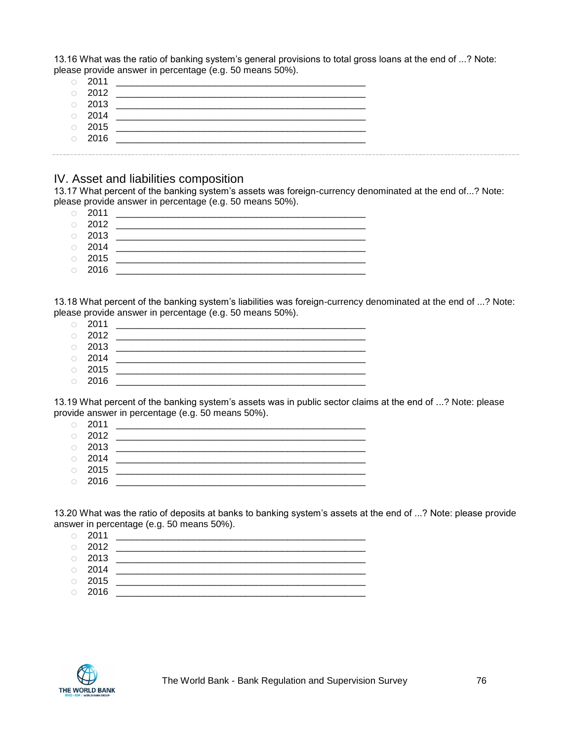13.16 What was the ratio of banking system's general provisions to total gross loans at the end of ...? Note: please provide answer in percentage (e.g. 50 means 50%).

|        | 2011         |  |
|--------|--------------|--|
| $\cap$ | 2012         |  |
| $\cap$ | 2013         |  |
|        | $\circ$ 2014 |  |
| $\cap$ | 2015         |  |
|        | $\circ$ 2016 |  |
|        |              |  |

#### IV. Asset and liabilities composition

13.17 What percent of the banking system's assets was foreign-currency denominated at the end of...? Note: please provide answer in percentage (e.g. 50 means 50%).

- o 2011 \_\_\_\_\_\_\_\_\_\_\_\_\_\_\_\_\_\_\_\_\_\_\_\_\_\_\_\_\_\_\_\_\_\_\_\_\_\_\_\_\_\_\_\_\_\_\_\_
- o 2012 \_\_\_\_\_\_\_\_\_\_\_\_\_\_\_\_\_\_\_\_\_\_\_\_\_\_\_\_\_\_\_\_\_\_\_\_\_\_\_\_\_\_\_\_\_\_\_\_
- o 2013 \_\_\_\_\_\_\_\_\_\_\_\_\_\_\_\_\_\_\_\_\_\_\_\_\_\_\_\_\_\_\_\_\_\_\_\_\_\_\_\_\_\_\_\_\_\_\_\_ o 2014 \_\_\_\_\_\_\_\_\_\_\_\_\_\_\_\_\_\_\_\_\_\_\_\_\_\_\_\_\_\_\_\_\_\_\_\_\_\_\_\_\_\_\_\_\_\_\_\_
- o 2015 \_\_\_\_\_\_\_\_\_\_\_\_\_\_\_\_\_\_\_\_\_\_\_\_\_\_\_\_\_\_\_\_\_\_\_\_\_\_\_\_\_\_\_\_\_\_\_\_
- $\circ$  2016

13.18 What percent of the banking system's liabilities was foreign-currency denominated at the end of ...? Note: please provide answer in percentage (e.g. 50 means 50%).

- o 2011 \_\_\_\_\_\_\_\_\_\_\_\_\_\_\_\_\_\_\_\_\_\_\_\_\_\_\_\_\_\_\_\_\_\_\_\_\_\_\_\_\_\_\_\_\_\_\_\_
- o 2012 \_\_\_\_\_\_\_\_\_\_\_\_\_\_\_\_\_\_\_\_\_\_\_\_\_\_\_\_\_\_\_\_\_\_\_\_\_\_\_\_\_\_\_\_\_\_\_\_
- o 2013 \_\_\_\_\_\_\_\_\_\_\_\_\_\_\_\_\_\_\_\_\_\_\_\_\_\_\_\_\_\_\_\_\_\_\_\_\_\_\_\_\_\_\_\_\_\_\_\_ o 2014 \_\_\_\_\_\_\_\_\_\_\_\_\_\_\_\_\_\_\_\_\_\_\_\_\_\_\_\_\_\_\_\_\_\_\_\_\_\_\_\_\_\_\_\_\_\_\_\_
- o 2015 \_\_\_\_\_\_\_\_\_\_\_\_\_\_\_\_\_\_\_\_\_\_\_\_\_\_\_\_\_\_\_\_\_\_\_\_\_\_\_\_\_\_\_\_\_\_\_\_
- o 2016 \_\_\_\_\_\_\_\_\_\_\_\_\_\_\_\_\_\_\_\_\_\_\_\_\_\_\_\_\_\_\_\_\_\_\_\_\_\_\_\_\_\_\_\_\_\_\_\_

13.19 What percent of the banking system's assets was in public sector claims at the end of ...? Note: please provide answer in percentage (e.g. 50 means 50%).

- o 2011 \_\_\_\_\_\_\_\_\_\_\_\_\_\_\_\_\_\_\_\_\_\_\_\_\_\_\_\_\_\_\_\_\_\_\_\_\_\_\_\_\_\_\_\_\_\_\_\_
- o 2012 \_\_\_\_\_\_\_\_\_\_\_\_\_\_\_\_\_\_\_\_\_\_\_\_\_\_\_\_\_\_\_\_\_\_\_\_\_\_\_\_\_\_\_\_\_\_\_\_ o 2013 \_\_\_\_\_\_\_\_\_\_\_\_\_\_\_\_\_\_\_\_\_\_\_\_\_\_\_\_\_\_\_\_\_\_\_\_\_\_\_\_\_\_\_\_\_\_\_\_
- 
- o 2014 \_\_\_\_\_\_\_\_\_\_\_\_\_\_\_\_\_\_\_\_\_\_\_\_\_\_\_\_\_\_\_\_\_\_\_\_\_\_\_\_\_\_\_\_\_\_\_\_ o 2015 \_\_\_\_\_\_\_\_\_\_\_\_\_\_\_\_\_\_\_\_\_\_\_\_\_\_\_\_\_\_\_\_\_\_\_\_\_\_\_\_\_\_\_\_\_\_\_\_
- $\circ$  2016

13.20 What was the ratio of deposits at banks to banking system's assets at the end of ...? Note: please provide answer in percentage (e.g. 50 means 50%).

- o 2011 \_\_\_\_\_\_\_\_\_\_\_\_\_\_\_\_\_\_\_\_\_\_\_\_\_\_\_\_\_\_\_\_\_\_\_\_\_\_\_\_\_\_\_\_\_\_\_\_ o 2012 \_\_\_\_\_\_\_\_\_\_\_\_\_\_\_\_\_\_\_\_\_\_\_\_\_\_\_\_\_\_\_\_\_\_\_\_\_\_\_\_\_\_\_\_\_\_\_\_
- o 2013 \_\_\_\_\_\_\_\_\_\_\_\_\_\_\_\_\_\_\_\_\_\_\_\_\_\_\_\_\_\_\_\_\_\_\_\_\_\_\_\_\_\_\_\_\_\_\_\_
- $\circ$  2014
- o 2015 \_\_\_\_\_\_\_\_\_\_\_\_\_\_\_\_\_\_\_\_\_\_\_\_\_\_\_\_\_\_\_\_\_\_\_\_\_\_\_\_\_\_\_\_\_\_\_\_
- o 2016 \_\_\_\_\_\_\_\_\_\_\_\_\_\_\_\_\_\_\_\_\_\_\_\_\_\_\_\_\_\_\_\_\_\_\_\_\_\_\_\_\_\_\_\_\_\_\_\_

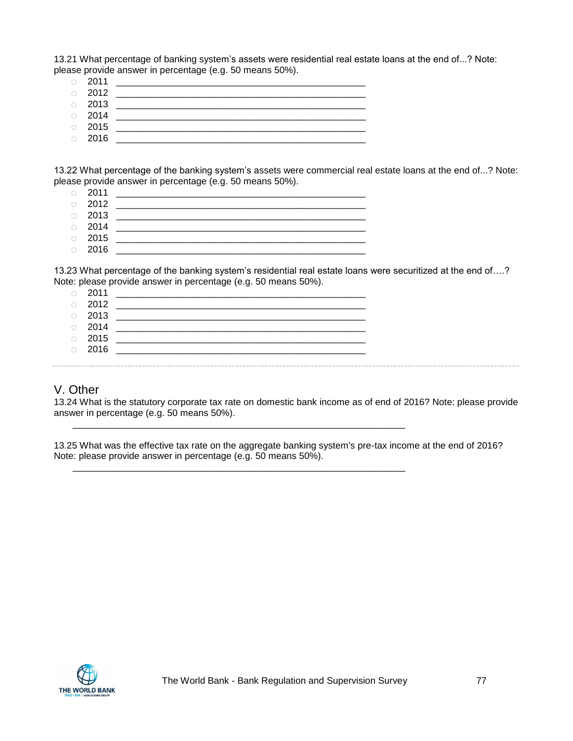13.21 What percentage of banking system's assets were residential real estate loans at the end of...? Note: please provide answer in percentage (e.g. 50 means 50%).

- o 2011 \_\_\_\_\_\_\_\_\_\_\_\_\_\_\_\_\_\_\_\_\_\_\_\_\_\_\_\_\_\_\_\_\_\_\_\_\_\_\_\_\_\_\_\_\_\_\_\_
- o 2012 \_\_\_\_\_\_\_\_\_\_\_\_\_\_\_\_\_\_\_\_\_\_\_\_\_\_\_\_\_\_\_\_\_\_\_\_\_\_\_\_\_\_\_\_\_\_\_\_
- o 2013 \_\_\_\_\_\_\_\_\_\_\_\_\_\_\_\_\_\_\_\_\_\_\_\_\_\_\_\_\_\_\_\_\_\_\_\_\_\_\_\_\_\_\_\_\_\_\_\_
- o 2014 \_\_\_\_\_\_\_\_\_\_\_\_\_\_\_\_\_\_\_\_\_\_\_\_\_\_\_\_\_\_\_\_\_\_\_\_\_\_\_\_\_\_\_\_\_\_\_\_ o 2015 \_\_\_\_\_\_\_\_\_\_\_\_\_\_\_\_\_\_\_\_\_\_\_\_\_\_\_\_\_\_\_\_\_\_\_\_\_\_\_\_\_\_\_\_\_\_\_\_
- o 2016 \_\_\_\_\_\_\_\_\_\_\_\_\_\_\_\_\_\_\_\_\_\_\_\_\_\_\_\_\_\_\_\_\_\_\_\_\_\_\_\_\_\_\_\_\_\_\_\_

13.22 What percentage of the banking system's assets were commercial real estate loans at the end of...? Note: please provide answer in percentage (e.g. 50 means 50%).

- o 2011 \_\_\_\_\_\_\_\_\_\_\_\_\_\_\_\_\_\_\_\_\_\_\_\_\_\_\_\_\_\_\_\_\_\_\_\_\_\_\_\_\_\_\_\_\_\_\_\_
- $\circ$  2012
- o 2013 \_\_\_\_\_\_\_\_\_\_\_\_\_\_\_\_\_\_\_\_\_\_\_\_\_\_\_\_\_\_\_\_\_\_\_\_\_\_\_\_\_\_\_\_\_\_\_\_
- o 2014 \_\_\_\_\_\_\_\_\_\_\_\_\_\_\_\_\_\_\_\_\_\_\_\_\_\_\_\_\_\_\_\_\_\_\_\_\_\_\_\_\_\_\_\_\_\_\_\_
- o 2015 \_\_\_\_\_\_\_\_\_\_\_\_\_\_\_\_\_\_\_\_\_\_\_\_\_\_\_\_\_\_\_\_\_\_\_\_\_\_\_\_\_\_\_\_\_\_\_\_ o 2016 \_\_\_\_\_\_\_\_\_\_\_\_\_\_\_\_\_\_\_\_\_\_\_\_\_\_\_\_\_\_\_\_\_\_\_\_\_\_\_\_\_\_\_\_\_\_\_\_

13.23 What percentage of the banking system's residential real estate loans were securitized at the end of….? Note: please provide answer in percentage (e.g. 50 means 50%).

o 2011 \_\_\_\_\_\_\_\_\_\_\_\_\_\_\_\_\_\_\_\_\_\_\_\_\_\_\_\_\_\_\_\_\_\_\_\_\_\_\_\_\_\_\_\_\_\_\_\_ o 2012 \_\_\_\_\_\_\_\_\_\_\_\_\_\_\_\_\_\_\_\_\_\_\_\_\_\_\_\_\_\_\_\_\_\_\_\_\_\_\_\_\_\_\_\_\_\_\_\_ o 2013 \_\_\_\_\_\_\_\_\_\_\_\_\_\_\_\_\_\_\_\_\_\_\_\_\_\_\_\_\_\_\_\_\_\_\_\_\_\_\_\_\_\_\_\_\_\_\_\_ o 2014 \_\_\_\_\_\_\_\_\_\_\_\_\_\_\_\_\_\_\_\_\_\_\_\_\_\_\_\_\_\_\_\_\_\_\_\_\_\_\_\_\_\_\_\_\_\_\_\_ o 2015 \_\_\_\_\_\_\_\_\_\_\_\_\_\_\_\_\_\_\_\_\_\_\_\_\_\_\_\_\_\_\_\_\_\_\_\_\_\_\_\_\_\_\_\_\_\_\_\_ o 2016 \_\_\_\_\_\_\_\_\_\_\_\_\_\_\_\_\_\_\_\_\_\_\_\_\_\_\_\_\_\_\_\_\_\_\_\_\_\_\_\_\_\_\_\_\_\_\_\_

\_\_\_\_\_\_\_\_\_\_\_\_\_\_\_\_\_\_\_\_\_\_\_\_\_\_\_\_\_\_\_\_\_\_\_\_\_\_\_\_\_\_\_\_\_\_\_\_\_\_\_\_\_\_\_\_\_\_\_\_\_\_\_\_

\_\_\_\_\_\_\_\_\_\_\_\_\_\_\_\_\_\_\_\_\_\_\_\_\_\_\_\_\_\_\_\_\_\_\_\_\_\_\_\_\_\_\_\_\_\_\_\_\_\_\_\_\_\_\_\_\_\_\_\_\_\_\_\_

## V. Other

13.24 What is the statutory corporate tax rate on domestic bank income as of end of 2016? Note: please provide answer in percentage (e.g. 50 means 50%).

13.25 What was the effective tax rate on the aggregate banking system's pre-tax income at the end of 2016? Note: please provide answer in percentage (e.g. 50 means 50%).

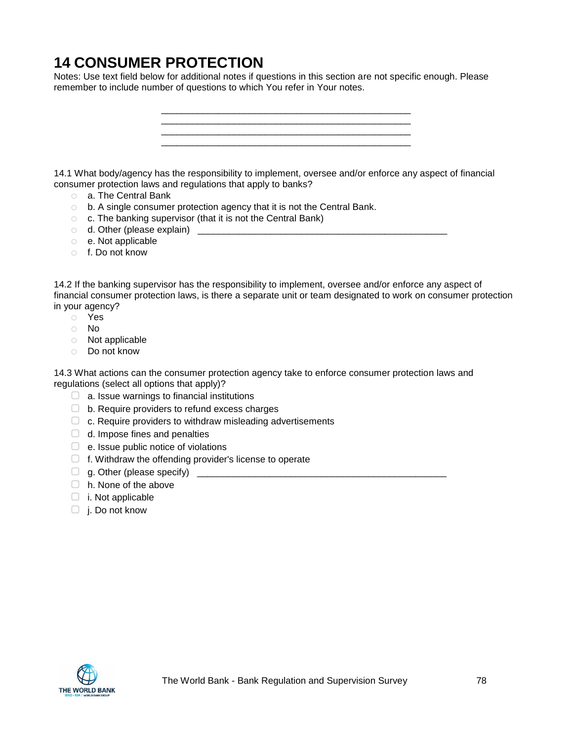# **14 CONSUMER PROTECTION**

Notes: Use text field below for additional notes if questions in this section are not specific enough. Please remember to include number of questions to which You refer in Your notes.



14.1 What body/agency has the responsibility to implement, oversee and/or enforce any aspect of financial consumer protection laws and regulations that apply to banks?

- o a. The Central Bank
- o b. A single consumer protection agency that it is not the Central Bank.
- o c. The banking supervisor (that it is not the Central Bank)
- o d. Other (please explain) \_\_\_\_\_\_\_\_\_\_\_\_\_\_\_\_\_\_\_\_\_\_\_\_\_\_\_\_\_\_\_\_\_\_\_\_\_\_\_\_\_\_\_\_\_\_\_\_
- o e. Not applicable
- o f. Do not know

14.2 If the banking supervisor has the responsibility to implement, oversee and/or enforce any aspect of financial consumer protection laws, is there a separate unit or team designated to work on consumer protection in your agency?

- o Yes
- o No
- o Not applicable
- o Do not know

14.3 What actions can the consumer protection agency take to enforce consumer protection laws and regulations (select all options that apply)?

- $\Box$  a. Issue warnings to financial institutions
- ▢ b. Require providers to refund excess charges
- $\Box$  c. Require providers to withdraw misleading advertisements
- $\Box$  d. Impose fines and penalties
- $\Box$  e. Issue public notice of violations
- $\Box$  f. Withdraw the offending provider's license to operate
- ▢ g. Other (please specify) \_\_\_\_\_\_\_\_\_\_\_\_\_\_\_\_\_\_\_\_\_\_\_\_\_\_\_\_\_\_\_\_\_\_\_\_\_\_\_\_\_\_\_\_\_\_\_\_
- □ h. None of the above
- $\Box$  i. Not applicable
- ▢ j. Do not know

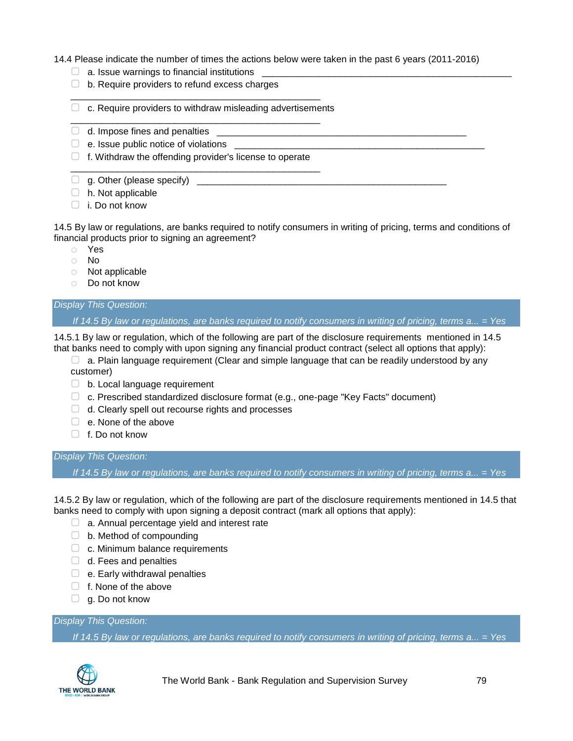14.4 Please indicate the number of times the actions below were taken in the past 6 years (2011-2016)

- $\Box$  a. Issue warnings to financial institutions
- $\Box$  b. Require providers to refund excess charges
- $\Box$  c. Require providers to withdraw misleading advertisements

\_\_\_\_\_\_\_\_\_\_\_\_\_\_\_\_\_\_\_\_\_\_\_\_\_\_\_\_\_\_\_\_\_\_\_\_\_\_\_\_\_\_\_\_\_\_\_\_

\_\_\_\_\_\_\_\_\_\_\_\_\_\_\_\_\_\_\_\_\_\_\_\_\_\_\_\_\_\_\_\_\_\_\_\_\_\_\_\_\_\_\_\_\_\_\_\_

- $\Box$  d. Impose fines and penalties
- $\Box$  e. Issue public notice of violations
- $\Box$  f. Withdraw the offending provider's license to operate \_\_\_\_\_\_\_\_\_\_\_\_\_\_\_\_\_\_\_\_\_\_\_\_\_\_\_\_\_\_\_\_\_\_\_\_\_\_\_\_\_\_\_\_\_\_\_\_
- $\Box$  g. Other (please specify)
- $\Box$  h. Not applicable
- ▢ i. Do not know

14.5 By law or regulations, are banks required to notify consumers in writing of pricing, terms and conditions of financial products prior to signing an agreement?

- o Yes
- o No
- o Not applicable
- o Do not know

### *Display This Question:*

*If 14.5 By law or regulations, are banks required to notify consumers in writing of pricing, terms a... = Yes*

14.5.1 By law or regulation, which of the following are part of the disclosure requirements mentioned in 14.5 that banks need to comply with upon signing any financial product contract (select all options that apply):

- $\Box$  a. Plain language requirement (Clear and simple language that can be readily understood by any customer)
- ▢ b. Local language requirement
- ▢ c. Prescribed standardized disclosure format (e.g., one-page "Key Facts" document)
- $\Box$  d. Clearly spell out recourse rights and processes
- ▢ e. None of the above
- ▢ f. Do not know

#### *Display This Question:*

*If 14.5 By law or regulations, are banks required to notify consumers in writing of pricing, terms a... = Yes*

14.5.2 By law or regulation, which of the following are part of the disclosure requirements mentioned in 14.5 that banks need to comply with upon signing a deposit contract (mark all options that apply):

- $\Box$  a. Annual percentage yield and interest rate
- ▢ b. Method of compounding
- $\Box$  c. Minimum balance requirements
- $\Box$  d. Fees and penalties
- $\Box$  e. Early withdrawal penalties
- $\Box$  f. None of the above
- $\Box$  g. Do not know

#### *Display This Question:*

*If 14.5 By law or regulations, are banks required to notify consumers in writing of pricing, terms a... = Yes*

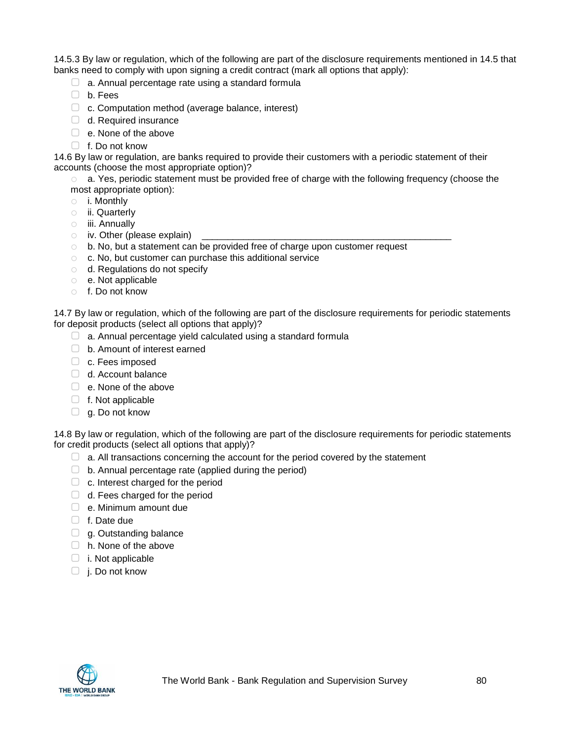14.5.3 By law or regulation, which of the following are part of the disclosure requirements mentioned in 14.5 that banks need to comply with upon signing a credit contract (mark all options that apply):

- $\Box$  a. Annual percentage rate using a standard formula
- ▢ b. Fees
- ▢ c. Computation method (average balance, interest)
- $\Box$  d. Required insurance
- $\Box$  e. None of the above
- ▢ f. Do not know

14.6 By law or regulation, are banks required to provide their customers with a periodic statement of their accounts (choose the most appropriate option)?

o a. Yes, periodic statement must be provided free of charge with the following frequency (choose the most appropriate option):

- o i. Monthly
- o ii. Quarterly
- o iii. Annually
- $\circ$  iv. Other (please explain)
- o b. No, but a statement can be provided free of charge upon customer request
- o c. No, but customer can purchase this additional service
- o d. Regulations do not specify
- o e. Not applicable
- o f. Do not know

14.7 By law or regulation, which of the following are part of the disclosure requirements for periodic statements for deposit products (select all options that apply)?

- $\Box$  a. Annual percentage yield calculated using a standard formula
- ▢ b. Amount of interest earned
- ▢ c. Fees imposed
- □ d. Account balance
- □ e. None of the above
- ▢ f. Not applicable
- $\Box$  g. Do not know

14.8 By law or regulation, which of the following are part of the disclosure requirements for periodic statements for credit products (select all options that apply)?

- ▢ a. All transactions concerning the account for the period covered by the statement
- $\Box$  b. Annual percentage rate (applied during the period)
- $\Box$  c. Interest charged for the period
- $\Box$  d. Fees charged for the period
- $\Box$  e. Minimum amount due
- ▢ f. Date due
- $\Box$  g. Outstanding balance
- □ h. None of the above
- ▢ i. Not applicable
- ▢ j. Do not know

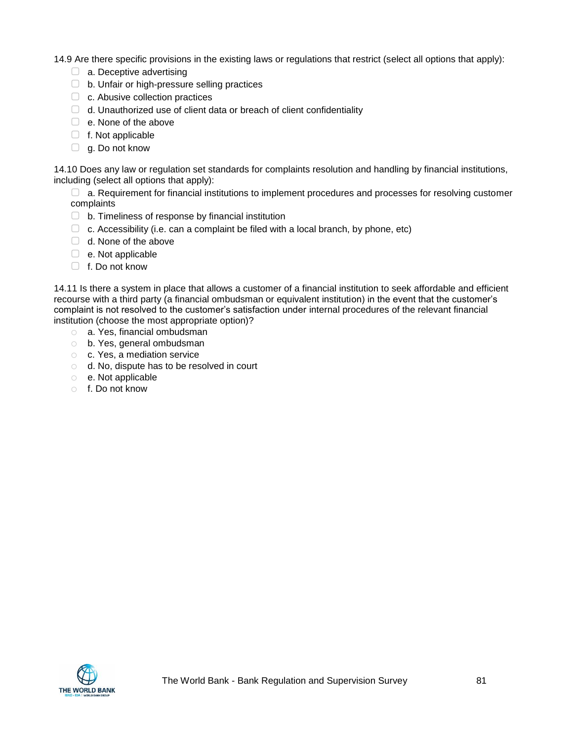14.9 Are there specific provisions in the existing laws or regulations that restrict (select all options that apply):

- $\Box$  a. Deceptive advertising
- ▢ b. Unfair or high-pressure selling practices
- □ c. Abusive collection practices
- $\Box$  d. Unauthorized use of client data or breach of client confidentiality
- $\Box$  e. None of the above
- □ f. Not applicable
- $\Box$  g. Do not know

14.10 Does any law or regulation set standards for complaints resolution and handling by financial institutions, including (select all options that apply):

▢ a. Requirement for financial institutions to implement procedures and processes for resolving customer complaints

- ▢ b. Timeliness of response by financial institution
- $\Box$  c. Accessibility (i.e. can a complaint be filed with a local branch, by phone, etc)
- □ d. None of the above
- $\Box$  e. Not applicable
- $\Box$  f. Do not know

14.11 Is there a system in place that allows a customer of a financial institution to seek affordable and efficient recourse with a third party (a financial ombudsman or equivalent institution) in the event that the customer's complaint is not resolved to the customer's satisfaction under internal procedures of the relevant financial institution (choose the most appropriate option)?

- o a. Yes, financial ombudsman
- o b. Yes, general ombudsman
- o c. Yes, a mediation service
- o d. No, dispute has to be resolved in court
- o e. Not applicable
- o f. Do not know

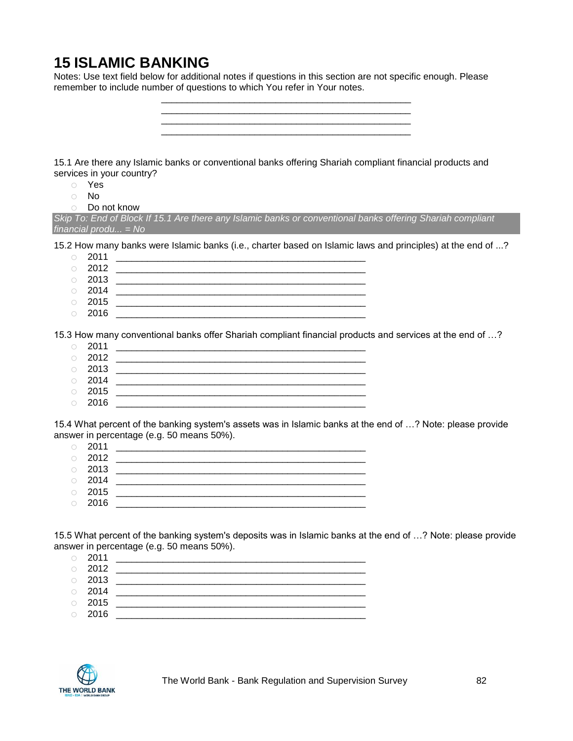# **15 ISLAMIC BANKING**

Notes: Use text field below for additional notes if questions in this section are not specific enough. Please remember to include number of questions to which You refer in Your notes.

> \_\_\_\_\_\_\_\_\_\_\_\_\_\_\_\_\_\_\_\_\_\_\_\_\_\_\_\_\_\_\_\_\_\_\_\_\_\_\_\_\_\_\_\_\_\_\_\_ \_\_\_\_\_\_\_\_\_\_\_\_\_\_\_\_\_\_\_\_\_\_\_\_\_\_\_\_\_\_\_\_\_\_\_\_\_\_\_\_\_\_\_\_\_\_\_\_

15.1 Are there any Islamic banks or conventional banks offering Shariah compliant financial products and services in your country?

- o Yes
- o No
- o Do not know

*Skip To: End of Block If 15.1 Are there any Islamic banks or conventional banks offering Shariah compliant financial produ... = No*

15.2 How many banks were Islamic banks (i.e., charter based on Islamic laws and principles) at the end of ...?

- o 2011 \_\_\_\_\_\_\_\_\_\_\_\_\_\_\_\_\_\_\_\_\_\_\_\_\_\_\_\_\_\_\_\_\_\_\_\_\_\_\_\_\_\_\_\_\_\_\_\_ o 2012 \_\_\_\_\_\_\_\_\_\_\_\_\_\_\_\_\_\_\_\_\_\_\_\_\_\_\_\_\_\_\_\_\_\_\_\_\_\_\_\_\_\_\_\_\_\_\_\_ o 2013 \_\_\_\_\_\_\_\_\_\_\_\_\_\_\_\_\_\_\_\_\_\_\_\_\_\_\_\_\_\_\_\_\_\_\_\_\_\_\_\_\_\_\_\_\_\_\_\_ o 2014 \_\_\_\_\_\_\_\_\_\_\_\_\_\_\_\_\_\_\_\_\_\_\_\_\_\_\_\_\_\_\_\_\_\_\_\_\_\_\_\_\_\_\_\_\_\_\_\_
- o 2015 \_\_\_\_\_\_\_\_\_\_\_\_\_\_\_\_\_\_\_\_\_\_\_\_\_\_\_\_\_\_\_\_\_\_\_\_\_\_\_\_\_\_\_\_\_\_\_\_
- $\circ$  2016

15.3 How many conventional banks offer Shariah compliant financial products and services at the end of …?

- o 2011 \_\_\_\_\_\_\_\_\_\_\_\_\_\_\_\_\_\_\_\_\_\_\_\_\_\_\_\_\_\_\_\_\_\_\_\_\_\_\_\_\_\_\_\_\_\_\_\_ o 2012 \_\_\_\_\_\_\_\_\_\_\_\_\_\_\_\_\_\_\_\_\_\_\_\_\_\_\_\_\_\_\_\_\_\_\_\_\_\_\_\_\_\_\_\_\_\_\_\_
- $\circ$  2013
- o 2014 \_\_\_\_\_\_\_\_\_\_\_\_\_\_\_\_\_\_\_\_\_\_\_\_\_\_\_\_\_\_\_\_\_\_\_\_\_\_\_\_\_\_\_\_\_\_\_\_
- o 2015 \_\_\_\_\_\_\_\_\_\_\_\_\_\_\_\_\_\_\_\_\_\_\_\_\_\_\_\_\_\_\_\_\_\_\_\_\_\_\_\_\_\_\_\_\_\_\_\_
- $\circ$  2016

15.4 What percent of the banking system's assets was in Islamic banks at the end of …? Note: please provide answer in percentage (e.g. 50 means 50%).

- o 2011 \_\_\_\_\_\_\_\_\_\_\_\_\_\_\_\_\_\_\_\_\_\_\_\_\_\_\_\_\_\_\_\_\_\_\_\_\_\_\_\_\_\_\_\_\_\_\_\_
- o 2012 \_\_\_\_\_\_\_\_\_\_\_\_\_\_\_\_\_\_\_\_\_\_\_\_\_\_\_\_\_\_\_\_\_\_\_\_\_\_\_\_\_\_\_\_\_\_\_\_
- o 2013 \_\_\_\_\_\_\_\_\_\_\_\_\_\_\_\_\_\_\_\_\_\_\_\_\_\_\_\_\_\_\_\_\_\_\_\_\_\_\_\_\_\_\_\_\_\_\_\_ o 2014 \_\_\_\_\_\_\_\_\_\_\_\_\_\_\_\_\_\_\_\_\_\_\_\_\_\_\_\_\_\_\_\_\_\_\_\_\_\_\_\_\_\_\_\_\_\_\_\_
- o 2015 \_\_\_\_\_\_\_\_\_\_\_\_\_\_\_\_\_\_\_\_\_\_\_\_\_\_\_\_\_\_\_\_\_\_\_\_\_\_\_\_\_\_\_\_\_\_\_\_
- $\circ$  2016

15.5 What percent of the banking system's deposits was in Islamic banks at the end of …? Note: please provide answer in percentage (e.g. 50 means 50%).

| $\circ$ 2011 |  |
|--------------|--|
| $\circ$ 2012 |  |
| $\circ$ 2013 |  |
| $\circ$ 2014 |  |
| $\circ$ 2015 |  |
| $\circ$ 2016 |  |
|              |  |

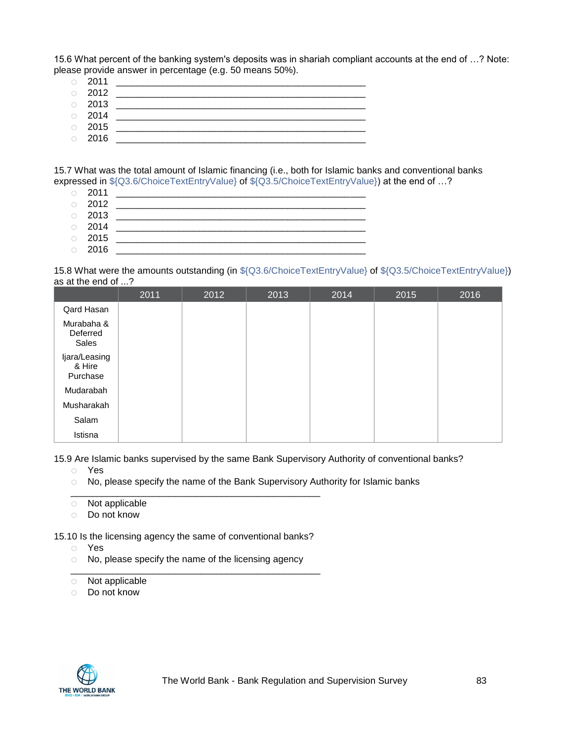15.6 What percent of the banking system's deposits was in shariah compliant accounts at the end of …? Note: please provide answer in percentage (e.g. 50 means 50%).

- o 2011 \_\_\_\_\_\_\_\_\_\_\_\_\_\_\_\_\_\_\_\_\_\_\_\_\_\_\_\_\_\_\_\_\_\_\_\_\_\_\_\_\_\_\_\_\_\_\_\_ o 2012 \_\_\_\_\_\_\_\_\_\_\_\_\_\_\_\_\_\_\_\_\_\_\_\_\_\_\_\_\_\_\_\_\_\_\_\_\_\_\_\_\_\_\_\_\_\_\_\_ o 2013 \_\_\_\_\_\_\_\_\_\_\_\_\_\_\_\_\_\_\_\_\_\_\_\_\_\_\_\_\_\_\_\_\_\_\_\_\_\_\_\_\_\_\_\_\_\_\_\_
- $\circ$  2014 o 2015 \_\_\_\_\_\_\_\_\_\_\_\_\_\_\_\_\_\_\_\_\_\_\_\_\_\_\_\_\_\_\_\_\_\_\_\_\_\_\_\_\_\_\_\_\_\_\_\_
- o 2016 \_\_\_\_\_\_\_\_\_\_\_\_\_\_\_\_\_\_\_\_\_\_\_\_\_\_\_\_\_\_\_\_\_\_\_\_\_\_\_\_\_\_\_\_\_\_\_\_

15.7 What was the total amount of Islamic financing (i.e., both for Islamic banks and conventional banks expressed in \${Q3.6/ChoiceTextEntryValue} of \${Q3.5/ChoiceTextEntryValue}) at the end of …?

- o 2011 \_\_\_\_\_\_\_\_\_\_\_\_\_\_\_\_\_\_\_\_\_\_\_\_\_\_\_\_\_\_\_\_\_\_\_\_\_\_\_\_\_\_\_\_\_\_\_\_
- 
- o 2012 \_\_\_\_\_\_\_\_\_\_\_\_\_\_\_\_\_\_\_\_\_\_\_\_\_\_\_\_\_\_\_\_\_\_\_\_\_\_\_\_\_\_\_\_\_\_\_\_ o 2013 \_\_\_\_\_\_\_\_\_\_\_\_\_\_\_\_\_\_\_\_\_\_\_\_\_\_\_\_\_\_\_\_\_\_\_\_\_\_\_\_\_\_\_\_\_\_\_\_
- o 2014 \_\_\_\_\_\_\_\_\_\_\_\_\_\_\_\_\_\_\_\_\_\_\_\_\_\_\_\_\_\_\_\_\_\_\_\_\_\_\_\_\_\_\_\_\_\_\_\_
- o 2015 \_\_\_\_\_\_\_\_\_\_\_\_\_\_\_\_\_\_\_\_\_\_\_\_\_\_\_\_\_\_\_\_\_\_\_\_\_\_\_\_\_\_\_\_\_\_\_\_ o 2016 \_\_\_\_\_\_\_\_\_\_\_\_\_\_\_\_\_\_\_\_\_\_\_\_\_\_\_\_\_\_\_\_\_\_\_\_\_\_\_\_\_\_\_\_\_\_\_\_

15.8 What were the amounts outstanding (in \${Q3.6/ChoiceTextEntryValue} of \${Q3.5/ChoiceTextEntryValue}) as at the end of ...?

|                                     | 2011 | 2012 | 2013 | 2014 | 2015 | 2016 |
|-------------------------------------|------|------|------|------|------|------|
| Qard Hasan                          |      |      |      |      |      |      |
| Murabaha &<br>Deferred<br>Sales     |      |      |      |      |      |      |
| Ijara/Leasing<br>& Hire<br>Purchase |      |      |      |      |      |      |
| Mudarabah                           |      |      |      |      |      |      |
| Musharakah                          |      |      |      |      |      |      |
| Salam                               |      |      |      |      |      |      |
| Istisna                             |      |      |      |      |      |      |

15.9 Are Islamic banks supervised by the same Bank Supervisory Authority of conventional banks?

- o Yes
- o No, please specify the name of the Bank Supervisory Authority for Islamic banks
- \_\_\_\_\_\_\_\_\_\_\_\_\_\_\_\_\_\_\_\_\_\_\_\_\_\_\_\_\_\_\_\_\_\_\_\_\_\_\_\_\_\_\_\_\_\_\_\_ o Not applicable
- o Do not know

15.10 Is the licensing agency the same of conventional banks?

- o Yes
- o No, please specify the name of the licensing agency \_\_\_\_\_\_\_\_\_\_\_\_\_\_\_\_\_\_\_\_\_\_\_\_\_\_\_\_\_\_\_\_\_\_\_\_\_\_\_\_\_\_\_\_\_\_\_\_
- o Not applicable
- o Do not know

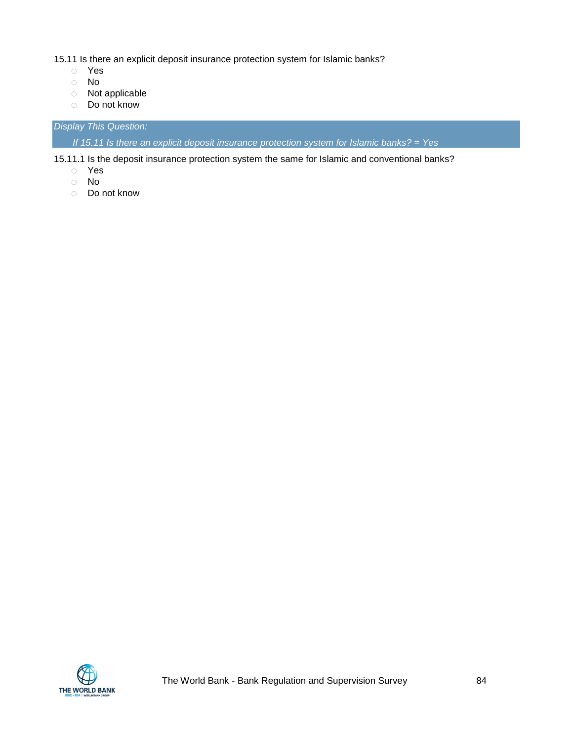15.11 Is there an explicit deposit insurance protection system for Islamic banks?

- o Yes
- o No
- o Not applicable
- o Do not know

*Display This Question:*

*If 15.11 Is there an explicit deposit insurance protection system for Islamic banks? = Yes*

15.11.1 Is the deposit insurance protection system the same for Islamic and conventional banks?

- o Yes
- o No
- o Do not know